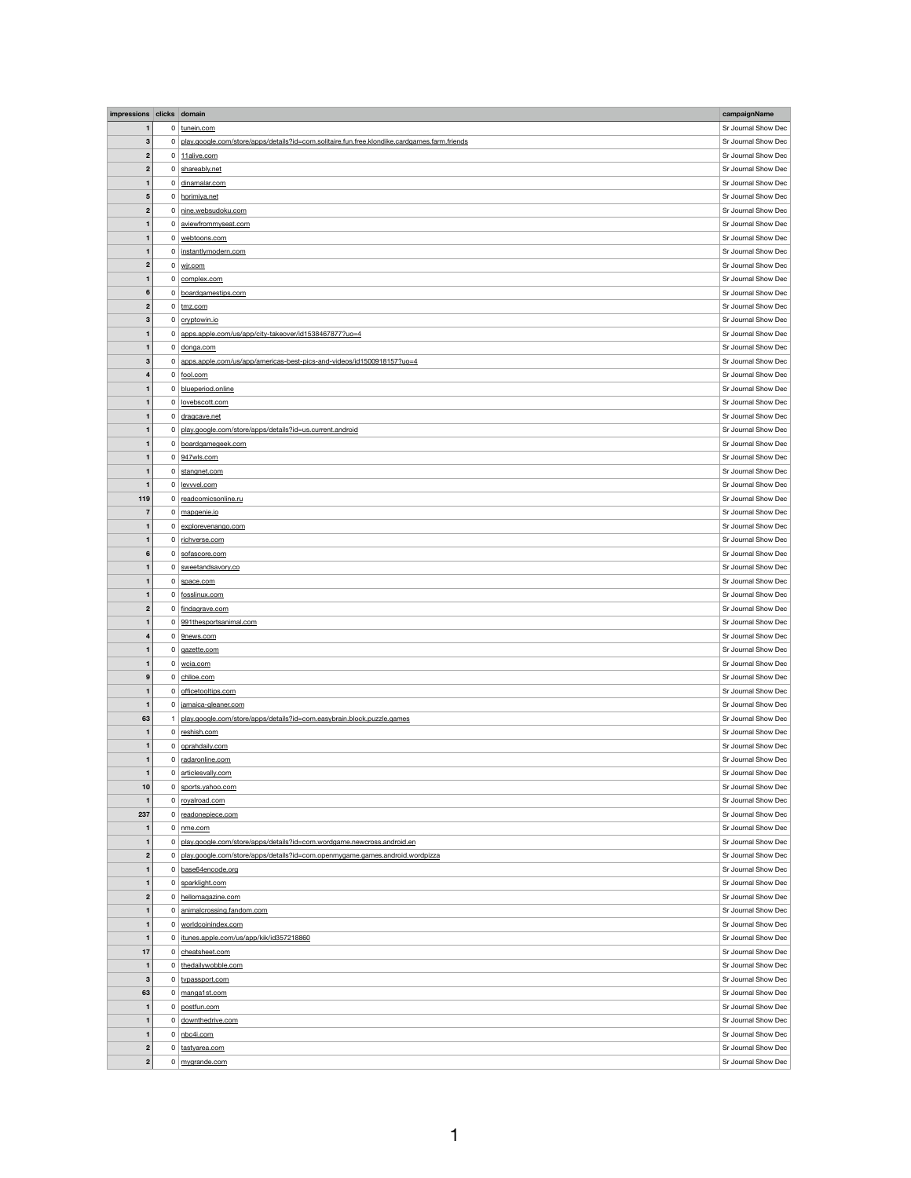| impressions clicks domain |                |                                                                                              | campaignName        |
|---------------------------|----------------|----------------------------------------------------------------------------------------------|---------------------|
| $\mathbf 1$               |                | 0 tunein.com                                                                                 | Sr Journal Show Dec |
| 3                         | 0              | play.google.com/store/apps/details?id=com.solitaire.fun.free.klondike.cardgames.farm.friends | Sr Journal Show Dec |
|                           |                |                                                                                              | Sr Journal Show Dec |
| $\boldsymbol{2}$          |                | $0$ 11alive.com                                                                              |                     |
| $\boldsymbol{2}$          | $\overline{0}$ | shareably.net                                                                                | Sr Journal Show Dec |
| $\mathbf 1$               |                | 0 dinamalar.com                                                                              | Sr Journal Show Dec |
| $\overline{\mathbf{5}}$   | $\overline{0}$ | horimiya.net                                                                                 | Sr Journal Show Dec |
| $\boldsymbol{2}$          | $\overline{0}$ | nine.websudoku.com                                                                           | Sr Journal Show Dec |
| -1                        | 0              | aviewfrommyseat.com                                                                          | Sr Journal Show Dec |
| $\mathbf{1}$              | $\overline{0}$ | webtoons.com                                                                                 | Sr Journal Show Dec |
| $\mathbf{1}$              | $\mathbf{0}$   | instantlymodern.com                                                                          | Sr Journal Show Dec |
| $\boldsymbol{2}$          | $\overline{0}$ | wjr.com                                                                                      | Sr Journal Show Dec |
| $\mathbf{1}$              |                | 0 complex.com                                                                                | Sr Journal Show Dec |
| $6\phantom{1}6$           | $\overline{0}$ | boardgamestips.com                                                                           | Sr Journal Show Dec |
| $\boldsymbol{2}$          | 0              | tmz.com                                                                                      | Sr Journal Show Dec |
| 3                         |                | 0 cryptowin.io                                                                               | Sr Journal Show Dec |
|                           |                |                                                                                              |                     |
| $\mathbf{1}$              | 0              | apps.apple.com/us/app/city-takeover/id1538467877?uo=4                                        | Sr Journal Show Dec |
| $\mathbf 1$               | $\overline{0}$ | donga.com                                                                                    | Sr Journal Show Dec |
| 3                         | $\overline{0}$ | apps.apple.com/us/app/americas-best-pics-and-videos/id1500918157?uo=4                        | Sr Journal Show Dec |
| 4                         |                | $0 \mid$ fool.com                                                                            | Sr Journal Show Dec |
|                           |                | 0 blueperiod.online                                                                          | Sr Journal Show Dec |
| $\mathbf 1$               | 0 <sup>1</sup> | lovebscott.com                                                                               | Sr Journal Show Dec |
| $\mathbf 1$               |                | 0 dragcave.net                                                                               | Sr Journal Show Dec |
| $\mathbf{1}$              | 0              | play.google.com/store/apps/details?id=us.current.android                                     | Sr Journal Show Dec |
| $\mathbf{1}$              | 0 <sup>1</sup> | boardgamegeek.com                                                                            | Sr Journal Show Dec |
| $\mathbf{1}$              |                | $0$ 947wls.com                                                                               | Sr Journal Show Dec |
| $\mathbf{1}$              |                | 0 stangnet.com                                                                               | Sr Journal Show Dec |
| $\mathbf{1}$              | $\overline{0}$ | levvvel.com                                                                                  | Sr Journal Show Dec |
| 119                       |                |                                                                                              | Sr Journal Show Dec |
|                           | 0 <sup>1</sup> | readcomicsonline.ru                                                                          |                     |
| 7                         |                | 0 mapgenie.io                                                                                | Sr Journal Show Dec |
| $\mathbf{1}$              | 0 <sup>1</sup> | explorevenango.com                                                                           | Sr Journal Show Dec |
| $\mathbf{1}$              |                | 0 richverse.com                                                                              | Sr Journal Show Dec |
| $6\phantom{1}6$           | $\overline{0}$ | sofascore.com                                                                                | Sr Journal Show Dec |
| $\mathbf{1}$              | 0 <sup>1</sup> | sweetandsavory.co                                                                            | Sr Journal Show Dec |
| $\mathbf 1$               | 0 <sup>1</sup> | space.com                                                                                    | Sr Journal Show Dec |
| $\mathbf{1}$              | 0 <sup>1</sup> | fosslinux.com                                                                                | Sr Journal Show Dec |
| $\mathbf{2}$              | $\mathbf{0}$   | findagrave.com                                                                               | Sr Journal Show Dec |
| $\mathbf 1$               | 0 <sup>1</sup> | 991thesportsanimal.com                                                                       | Sr Journal Show Dec |
| 4                         | 0              | 9news.com                                                                                    | Sr Journal Show Dec |
| $\mathbf{1}$              | 0              | gazette.com                                                                                  | Sr Journal Show Dec |
| -1                        | 0 <sup>1</sup> | wcia.com                                                                                     | Sr Journal Show Dec |
| 9                         |                | 0 chlloe.com                                                                                 | Sr Journal Show Dec |
| $\mathbf{1}$              | $\mathbf{0}$   | officetooltips.com                                                                           | Sr Journal Show Dec |
|                           |                | jamaica-gleaner.com                                                                          | Sr Journal Show Dec |
|                           | 0 <sup>1</sup> |                                                                                              |                     |
| 63                        |                | 1 play.google.com/store/apps/details?id=com.easybrain.block.puzzle.games                     | Sr Journal Show Dec |
| $\mathbf 1$               |                | $0$ reshish.com                                                                              | Sr Journal Show Dec |
| $\mathbf 1$               |                | 0 oprahdaily.com                                                                             | Sr Journal Show Dec |
| $\mathbf{1}$              |                | 0 radaronline.com                                                                            | Sr Journal Show Dec |
| $\mathbf{1}$              |                | 0 articlesvally.com                                                                          | Sr Journal Show Dec |
| 10                        | $\overline{0}$ | sports.yahoo.com                                                                             | Sr Journal Show Dec |
| $\mathbf 1$               | $\overline{0}$ | royalroad.com                                                                                | Sr Journal Show Dec |
| 237                       | 0              | readonepiece.com                                                                             | Sr Journal Show Dec |
| -1                        | $\overline{0}$ | nme.com                                                                                      | Sr Journal Show Dec |
| $\mathbf{1}$              | 0              | play.google.com/store/apps/details?id=com.wordgame.newcross.android.en                       | Sr Journal Show Dec |
| $\mathbf{2}$              | 0              | play.google.com/store/apps/details?id=com.openmygame.games.android.wordpizza                 | Sr Journal Show Dec |
| $\mathbf{1}$              | $\overline{0}$ | base64encode.org                                                                             | Sr Journal Show Dec |
| $\mathbf{1}$              | $\mathbf{0}$   | sparklight.com                                                                               | Sr Journal Show Dec |
| $\boldsymbol{2}$          | 0 <sup>1</sup> | hellomagazine.com                                                                            | Sr Journal Show Dec |
|                           |                |                                                                                              | Sr Journal Show Dec |
| $\mathbf{1}$              | 0 <sup>1</sup> | animalcrossing.fandom.com                                                                    |                     |
| $\mathbf{1}$              | 0 <sup>1</sup> | worldcoinindex.com                                                                           | Sr Journal Show Dec |
| $\mathbf 1$               | 0              | itunes.apple.com/us/app/kik/id357218860                                                      | Sr Journal Show Dec |
| 17                        | $\overline{0}$ | cheatsheet.com                                                                               | Sr Journal Show Dec |
| $\mathbf{1}$              | $\mathbf 0$    | thedailywobble.com                                                                           | Sr Journal Show Dec |
| $\mathbf{3}$              | 0 <sup>1</sup> | typassport.com                                                                               | Sr Journal Show Dec |
| 63                        | $\overline{0}$ | manga1st.com                                                                                 | Sr Journal Show Dec |
| $\mathbf{1}$              | $\mathbf{0}$   | postfun.com                                                                                  | Sr Journal Show Dec |
| $\mathbf{1}$              | 0 <sup>1</sup> | downthedrive.com                                                                             | Sr Journal Show Dec |
| $\mathbf{1}$              |                | $0$ nbc4i.com                                                                                | Sr Journal Show Dec |
| $\mathbf{2}$              |                | 0 tastyarea.com                                                                              | Sr Journal Show Dec |
| $\mathbf{2}$              |                | 0 mygrande.com                                                                               | Sr Journal Show Dec |
|                           |                |                                                                                              |                     |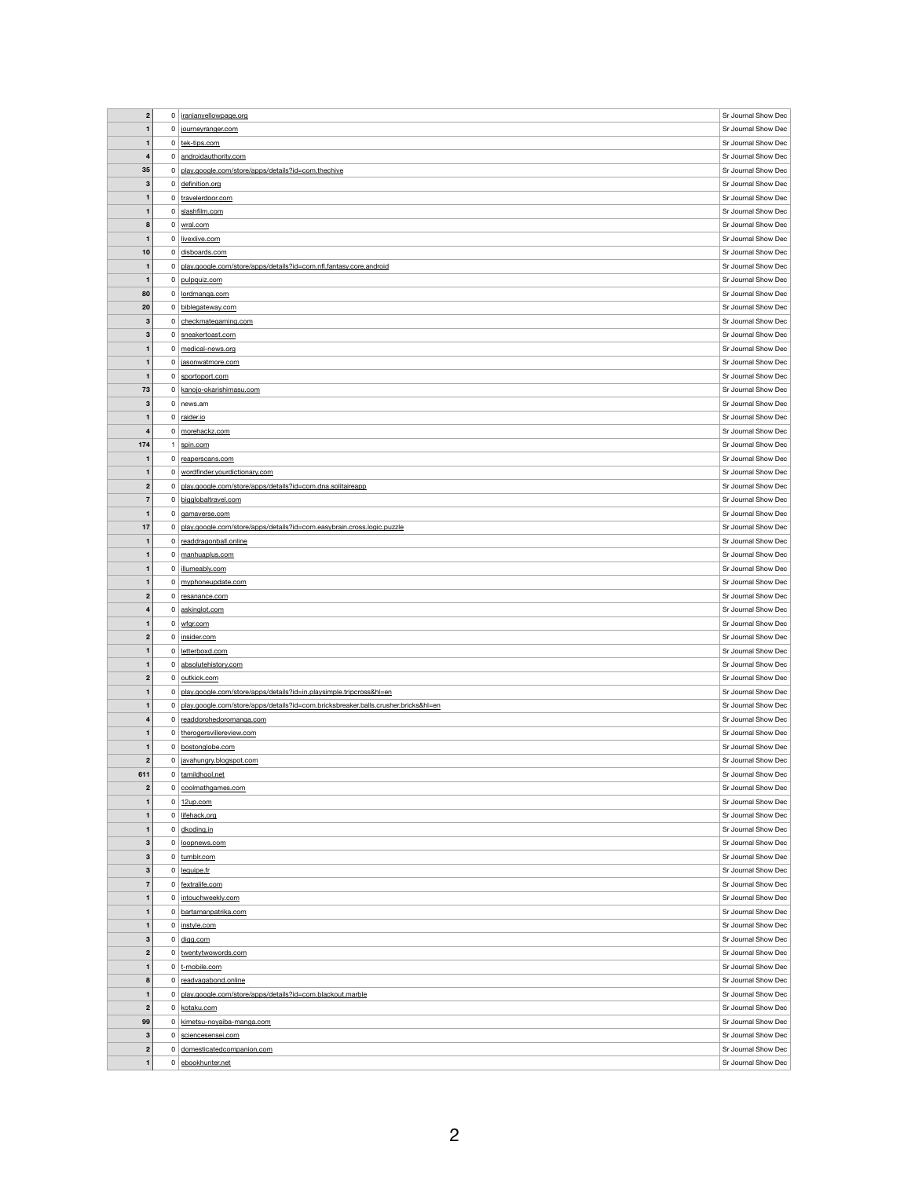| $\overline{2}$                   | $\overline{0}$ | iranianyellowpage.org                                                              | Sr Journal Show Dec                        |
|----------------------------------|----------------|------------------------------------------------------------------------------------|--------------------------------------------|
| $\mathbf{1}$                     | $\overline{0}$ |                                                                                    | Sr Journal Show Dec                        |
|                                  |                | journeyranger.com                                                                  |                                            |
| $\mathbf{1}$                     |                | 0 tek-tips.com                                                                     | Sr Journal Show Dec                        |
| $\overline{\mathbf{4}}$          | $\overline{0}$ | androidauthority.com                                                               | Sr Journal Show Dec                        |
| 35                               | 0              | play.google.com/store/apps/details?id=com.thechive                                 | Sr Journal Show Dec                        |
| $\mathbf{3}$                     |                | $0$ definition.org                                                                 | Sr Journal Show Dec                        |
|                                  |                |                                                                                    |                                            |
| $\mathbf{1}$                     |                | 0 travelerdoor.com                                                                 | Sr Journal Show Dec                        |
| $\mathbf{1}$                     | $\overline{0}$ | slashfilm.com                                                                      | Sr Journal Show Dec                        |
| 8                                |                | $0 \vert$ wral.com                                                                 | Sr Journal Show Dec                        |
| $\mathbf{1}$                     |                | 0 livexlive.com                                                                    | Sr Journal Show Dec                        |
| 10                               | $\overline{0}$ | disboards.com                                                                      | Sr Journal Show Dec                        |
|                                  |                |                                                                                    |                                            |
| $\mathbf 1$                      | 0              | play.google.com/store/apps/details?id=com.nfl.fantasy.core.android                 | Sr Journal Show Dec                        |
| $\mathbf{1}$                     |                | 0 pulpquiz.com                                                                     | Sr Journal Show Dec                        |
| 80                               | 0              | lordmanga.com                                                                      | Sr Journal Show Dec                        |
| 20                               | $\overline{0}$ | biblegateway.com                                                                   | Sr Journal Show Dec                        |
|                                  |                |                                                                                    |                                            |
| $\mathbf{3}$                     | $\overline{0}$ | checkmategaming.com                                                                | Sr Journal Show Dec                        |
| 3                                |                | 0 sneakertoast.com                                                                 | Sr Journal Show Dec                        |
| $\mathbf 1$                      | 0 <sup>1</sup> | medical-news.org                                                                   | Sr Journal Show Dec                        |
| $\mathbf{1}$                     | 0              | jasonwatmore.com                                                                   | Sr Journal Show Dec                        |
| $\mathbf{1}$                     | 0 <sup>1</sup> | sportoport.com                                                                     | Sr Journal Show Dec                        |
|                                  |                |                                                                                    |                                            |
| 73                               | 0              | kanojo-okarishimasu.com                                                            | Sr Journal Show Dec                        |
| $\mathbf{3}$                     |                | $0$ news.am                                                                        | Sr Journal Show Dec                        |
| $\mathbf{1}$                     | $\overline{0}$ | raider.io                                                                          | Sr Journal Show Dec                        |
| $\overline{\mathbf{4}}$          | 0              | morehackz.com                                                                      | Sr Journal Show Dec                        |
| 174                              |                | spin.com                                                                           | Sr Journal Show Dec                        |
|                                  |                |                                                                                    |                                            |
| $\mathbf 1$                      | $\mathbf{0}$   | reaperscans.com                                                                    | Sr Journal Show Dec                        |
| 1                                | $\mathbf{0}$   | wordfinder.yourdictionary.com                                                      | Sr Journal Show Dec                        |
| $\mathbf{2}$                     | 0              | play.google.com/store/apps/details?id=com.dna.solitaireapp                         | Sr Journal Show Dec                        |
| $\overline{7}$                   | $\mathbf 0$    | bigglobaltravel.com                                                                | Sr Journal Show Dec                        |
|                                  |                |                                                                                    |                                            |
| $\mathbf{1}$                     | $\mathbf{0}$   | gamaverse.com                                                                      | Sr Journal Show Dec                        |
| 17                               | 0              | play.google.com/store/apps/details?id=com.easybrain.cross.logic.puzzle             | Sr Journal Show Dec                        |
| $\mathbf 1$                      | 0              | readdragonball.online                                                              | Sr Journal Show Dec                        |
| $\mathbf{1}$                     | $\overline{0}$ | manhuaplus.com                                                                     | Sr Journal Show Dec                        |
| $\mathbf{1}$                     | $\mathbf{0}$   | illumeably.com                                                                     | Sr Journal Show Dec                        |
|                                  |                |                                                                                    | Sr Journal Show Dec                        |
| $\mathbf 1$                      | 0 <sup>1</sup> | myphoneupdate.com                                                                  |                                            |
|                                  |                |                                                                                    |                                            |
| $\mathbf{2}$                     | $\mathbf{0}$   | resanance.com                                                                      | Sr Journal Show Dec                        |
| $\overline{\mathbf{4}}$          | $\mathbf{0}$   | askinglot.com                                                                      | Sr Journal Show Dec                        |
| $\mathbf 1$                      | 0 <sup>1</sup> |                                                                                    | Sr Journal Show Dec                        |
|                                  |                | wfgr.com                                                                           |                                            |
| $\mathbf{2}$                     |                | 0   insider.com                                                                    | Sr Journal Show Dec                        |
| $\mathbf{1}$                     | 0 <sup>1</sup> | letterboxd.com                                                                     | Sr Journal Show Dec                        |
| $\mathbf 1$                      | $\mathbf{0}$   | absolutehistory.com                                                                | Sr Journal Show Dec                        |
| $\mathbf{2}$                     |                | 0 outkick.com                                                                      | Sr Journal Show Dec                        |
| $\mathbf{1}$                     | $\mathbf{0}$   |                                                                                    |                                            |
|                                  |                | play.google.com/store/apps/details?id=in.playsimple.tripcross&hl=en                | Sr Journal Show Dec                        |
| -1                               | 0              | play.google.com/store/apps/details?id=com.bricksbreaker.balls.crusher.bricks&hl=en | Sr Journal Show Dec                        |
| $\overline{\mathbf{4}}$          |                | 0 readdorohedoromanga.com                                                          | Sr Journal Show Dec                        |
| $\mathbf{1}$                     |                | 0 therogersvillereview.com                                                         | Sr Journal Show Dec                        |
| $\mathbf{1}$                     | $\mathbf{0}$   | bostonglobe.com                                                                    | Sr Journal Show Dec                        |
| $\mathbf{2}$                     |                | 0 avahungry.blogspot.com                                                           | Sr Journal Show Dec                        |
|                                  |                |                                                                                    |                                            |
| 611                              |                | 0 tamildhool.net                                                                   | Sr Journal Show Dec                        |
| $\boldsymbol{2}$                 | 0 <sup>1</sup> | coolmathgames.com                                                                  | Sr Journal Show Dec                        |
| $\mathbf{1}$                     |                | $0 \mid 12$ up.com                                                                 | Sr Journal Show Dec                        |
| $\mathbf{1}$                     |                | 0 lifehack.org                                                                     | Sr Journal Show Dec                        |
| $\mathbf{1}$                     |                | $0$ dkoding.in                                                                     | Sr Journal Show Dec                        |
|                                  |                |                                                                                    |                                            |
| $\mathbf{3}$                     | $\overline{0}$ | loopnews.com                                                                       | Sr Journal Show Dec                        |
| 3                                |                | $0$ tumblr.com                                                                     | Sr Journal Show Dec                        |
| $\boldsymbol{3}$                 |                | $0$ lequipe.fr                                                                     | Sr Journal Show Dec                        |
| $\overline{7}$                   |                | 0 fextralife.com                                                                   | Sr Journal Show Dec                        |
| $\mathbf{1}$                     |                | 0 intouchweekly.com                                                                | Sr Journal Show Dec                        |
|                                  |                |                                                                                    |                                            |
| $\mathbf{1}$                     |                | 0 bartamanpatrika.com                                                              | Sr Journal Show Dec                        |
| $\mathbf{1}$                     | $\mathbf{0}$   | instyle.com                                                                        | Sr Journal Show Dec                        |
| $\mathbf{3}$                     |                | $0  $ digg.com                                                                     | Sr Journal Show Dec                        |
| $\mathbf{2}$                     |                | 0 twentytwowords.com                                                               | Sr Journal Show Dec                        |
| $\mathbf{1}$                     |                |                                                                                    | Sr Journal Show Dec                        |
|                                  |                | 0 t-mobile.com                                                                     |                                            |
| 8                                |                | 0 readvagabond.online                                                              | Sr Journal Show Dec                        |
| $\mathbf{1}$                     | $\mathbf 0$    | play.google.com/store/apps/details?id=com.blackout.marble                          | Sr Journal Show Dec                        |
| $\boldsymbol{2}$                 | $\overline{0}$ | kotaku.com                                                                         | Sr Journal Show Dec                        |
| 99                               | 0              | kimetsu-noyaiba-manga.com                                                          | Sr Journal Show Dec                        |
|                                  |                |                                                                                    |                                            |
| $3\phantom{a}$                   | $\overline{0}$ | sciencesensei.com                                                                  | Sr Journal Show Dec                        |
| $\boldsymbol{2}$<br>$\mathbf{1}$ | $\overline{0}$ | 0 domesticated companion.com<br>ebookhunter.net                                    | Sr Journal Show Dec<br>Sr Journal Show Dec |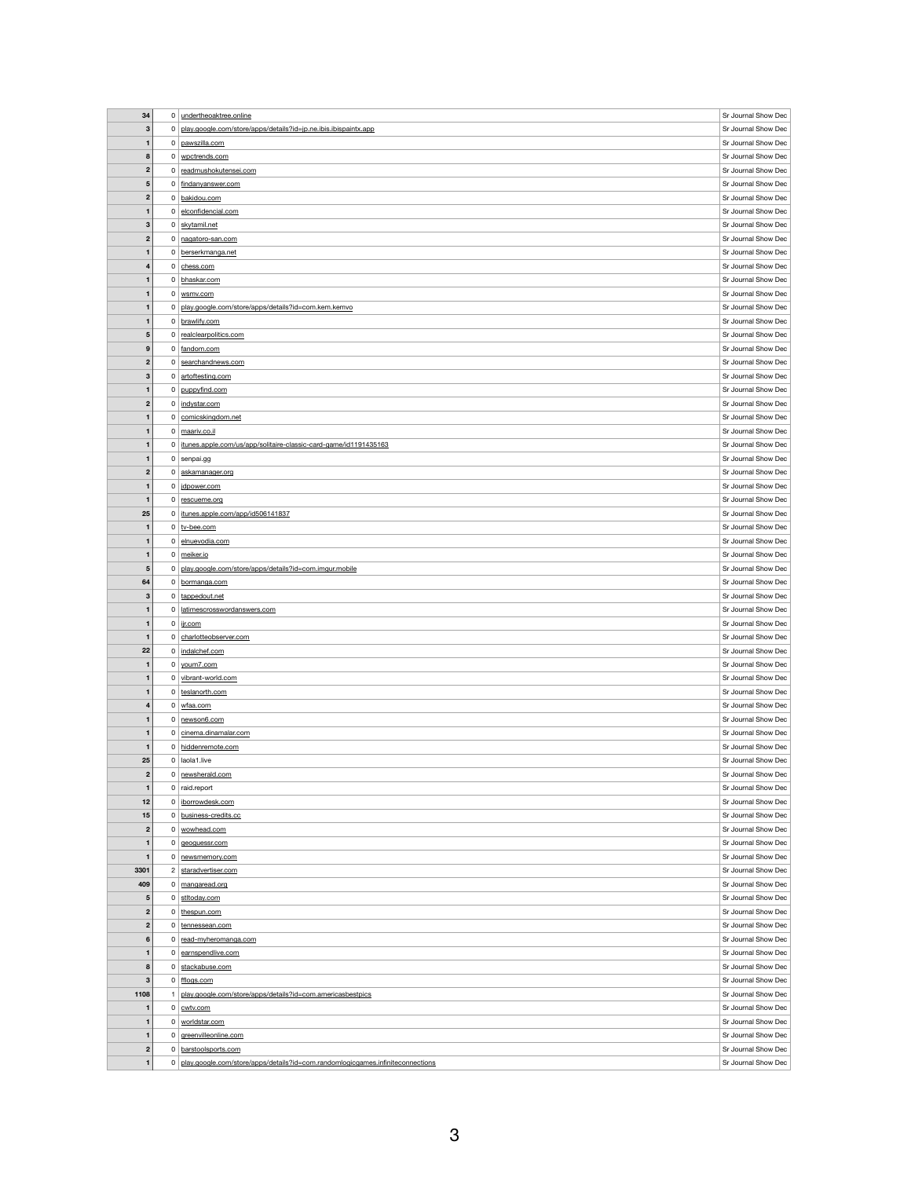| 34                   |                | 0 undertheoaktree.online                                         | Sr Journal Show Dec |
|----------------------|----------------|------------------------------------------------------------------|---------------------|
|                      |                |                                                                  | Sr Journal Show Dec |
| $\mathbf{3}$         | 0 <sup>1</sup> | play.google.com/store/apps/details?id=jp.ne.ibis.ibispaintx.app  |                     |
| $\mathbf 1$          |                | 0 pawszilla.com                                                  | Sr Journal Show Dec |
| 8                    |                | 0 wpctrends.com                                                  | Sr Journal Show Dec |
| $\mathbf{2}$         |                | 0 readmushokutensei.com                                          | Sr Journal Show Dec |
| $\sqrt{5}$           |                | 0 findanyanswer.com                                              | Sr Journal Show Dec |
| $\mathbf{2}$         |                | 0 bakidou.com                                                    | Sr Journal Show Dec |
| $\mathbf{1}$         |                | 0 elconfidencial.com                                             | Sr Journal Show Dec |
|                      |                |                                                                  |                     |
| $\mathbf{3}$         |                | 0 skytamil.net                                                   | Sr Journal Show Dec |
| $\overline{2}$       |                | 0 nagatoro-san.com                                               | Sr Journal Show Dec |
| 1                    |                | 0 berserkmanga.net                                               | Sr Journal Show Dec |
| 4                    |                | $0$ chess.com                                                    | Sr Journal Show Dec |
| $\mathbf{1}$         |                | 0 bhaskar.com                                                    | Sr Journal Show Dec |
| 1                    |                | $0 \mid$ wsmv.com                                                | Sr Journal Show Dec |
| 1                    |                | 0   play.google.com/store/apps/details?id=com.kem.kemvo          | Sr Journal Show Dec |
| $\mathbf{1}$         |                | 0 brawlify.com                                                   | Sr Journal Show Dec |
| $\sqrt{5}$           |                | 0 realclearpolitics.com                                          | Sr Journal Show Dec |
| 9                    |                | 0 fandom.com                                                     | Sr Journal Show Dec |
|                      |                |                                                                  |                     |
| $\boldsymbol{2}$     |                | 0 searchandnews.com                                              | Sr Journal Show Dec |
| 3                    |                | 0 artoftesting.com                                               | Sr Journal Show Dec |
| 1                    |                | 0 puppyfind.com                                                  | Sr Journal Show Dec |
| $\boldsymbol{2}$     |                | $0$ indystar.com                                                 | Sr Journal Show Dec |
| $\mathbf{1}$         |                | 0 comicskingdom.net                                              | Sr Journal Show Dec |
| 1                    |                | $0 \mid$ maariv.co.il                                            | Sr Journal Show Dec |
| 1                    | 0              | itunes.apple.com/us/app/solitaire-classic-card-game/id1191435163 | Sr Journal Show Dec |
| 1                    |                | $0$ senpai.gg                                                    | Sr Journal Show Dec |
| $\boldsymbol{2}$     | $\mathbf{0}$   | askamanager.org                                                  | Sr Journal Show Dec |
| $\mathbf{1}$         | $\mathsf{O}$   | jdpower.com                                                      | Sr Journal Show Dec |
|                      |                |                                                                  | Sr Journal Show Dec |
| $\mathbf{1}$         |                | 0 rescueme.org                                                   |                     |
| 25                   | 0 <sup>1</sup> | itunes.apple.com/app/id506141837                                 | Sr Journal Show Dec |
| 1                    |                | $0  $ tv-bee.com                                                 | Sr Journal Show Dec |
| $\mathbf 1$          |                | 0 elnuevodia.com                                                 | Sr Journal Show Dec |
| $\mathbf{1}$         |                | $0 \mid$ meiker.io                                               | Sr Journal Show Dec |
| $\sqrt{5}$           | 0              | play.google.com/store/apps/details?id=com.imgur.mobile           | Sr Journal Show Dec |
| 64                   |                | 0 bormanga.com                                                   | Sr Journal Show Dec |
|                      |                |                                                                  |                     |
| $\mathbf{3}$         |                | $0$ tappedout.net                                                | Sr Journal Show Dec |
| 1                    |                | 0   latimescrosswordanswers.com                                  | Sr Journal Show Dec |
| 1                    |                |                                                                  | Sr Journal Show Dec |
|                      |                | $0 \mid$ ijr.com                                                 |                     |
| $\mathbf{1}$         |                | 0 charlotteobserver.com                                          | Sr Journal Show Dec |
| 22                   |                | 0   indalchef.com                                                | Sr Journal Show Dec |
| $\mathbf 1$          |                | $0 \mid$ youm 7.com                                              | Sr Journal Show Dec |
| $\mathbf{1}$         |                | 0 vibrant-world.com                                              | Sr Journal Show Dec |
| 1                    |                | 0 teslanorth.com                                                 | Sr Journal Show Dec |
| 4                    | 0              | wfaa.com                                                         | Sr Journal Show Dec |
| $\blacksquare$       |                | 0 newson6.com                                                    | Sr Journal Show Dec |
| $\mathbf{1}$         |                | $0$ cinema.dinamalar.com                                         | Sr Journal Show Dec |
| $\mathbf{1}$         |                | 0 hiddenremote.com                                               | Sr Journal Show Dec |
| 25                   |                | $0$ laola1.live                                                  | Sr Journal Show Dec |
| $\boldsymbol{2}$     |                | $0$ newsherald.com                                               | Sr Journal Show Dec |
| $\mathbf{1}$         |                | $0$ raid.report                                                  | Sr Journal Show Dec |
|                      | 0 <sup>1</sup> |                                                                  |                     |
| 12                   |                | iborrowdesk.com                                                  | Sr Journal Show Dec |
| 15                   |                | 0 business-credits.cc                                            | Sr Journal Show Dec |
| $\mathbf{2}$         |                | 0 wowhead.com                                                    | Sr Journal Show Dec |
| $\mathbf{1}$         | 0 <sup>1</sup> | geoguessr.com                                                    | Sr Journal Show Dec |
| $\blacktriangleleft$ |                | 0 newsmemory.com                                                 | Sr Journal Show Dec |
| 3301                 |                | 2 staradvertiser.com                                             | Sr Journal Show Dec |
| 409                  |                | $0 \mid$ mangaread.org                                           | Sr Journal Show Dec |
| $\sqrt{5}$           |                | 0 stltoday.com                                                   | Sr Journal Show Dec |
| $\mathbf{2}$         | 0 <sup>1</sup> | thespun.com                                                      | Sr Journal Show Dec |
| $\mathbf{2}$         |                | 0 tennessean.com                                                 | Sr Journal Show Dec |
| $6\phantom{1}$       |                | 0 read-myheromanga.com                                           | Sr Journal Show Dec |
| 1                    |                |                                                                  | Sr Journal Show Dec |
|                      |                | $0$ earnspendlive.com                                            |                     |
| 8                    |                | $0$ stackabuse.com                                               | Sr Journal Show Dec |
| $\mathbf{3}$         |                | $0$ fflogs.com                                                   | Sr Journal Show Dec |
| 1108                 |                | play.google.com/store/apps/details?id=com.americasbestpics       | Sr Journal Show Dec |
| $\mathbf 1$          |                | $0$ cwtv.com                                                     | Sr Journal Show Dec |
| $\mathbf{1}$         | 0 <sup>1</sup> | worldstar.com                                                    | Sr Journal Show Dec |
| $\blacksquare$       |                | 0 greenvilleonline.com                                           | Sr Journal Show Dec |
| $\mathbf{2}$         |                | 0 barstoolsports.com                                             | Sr Journal Show Dec |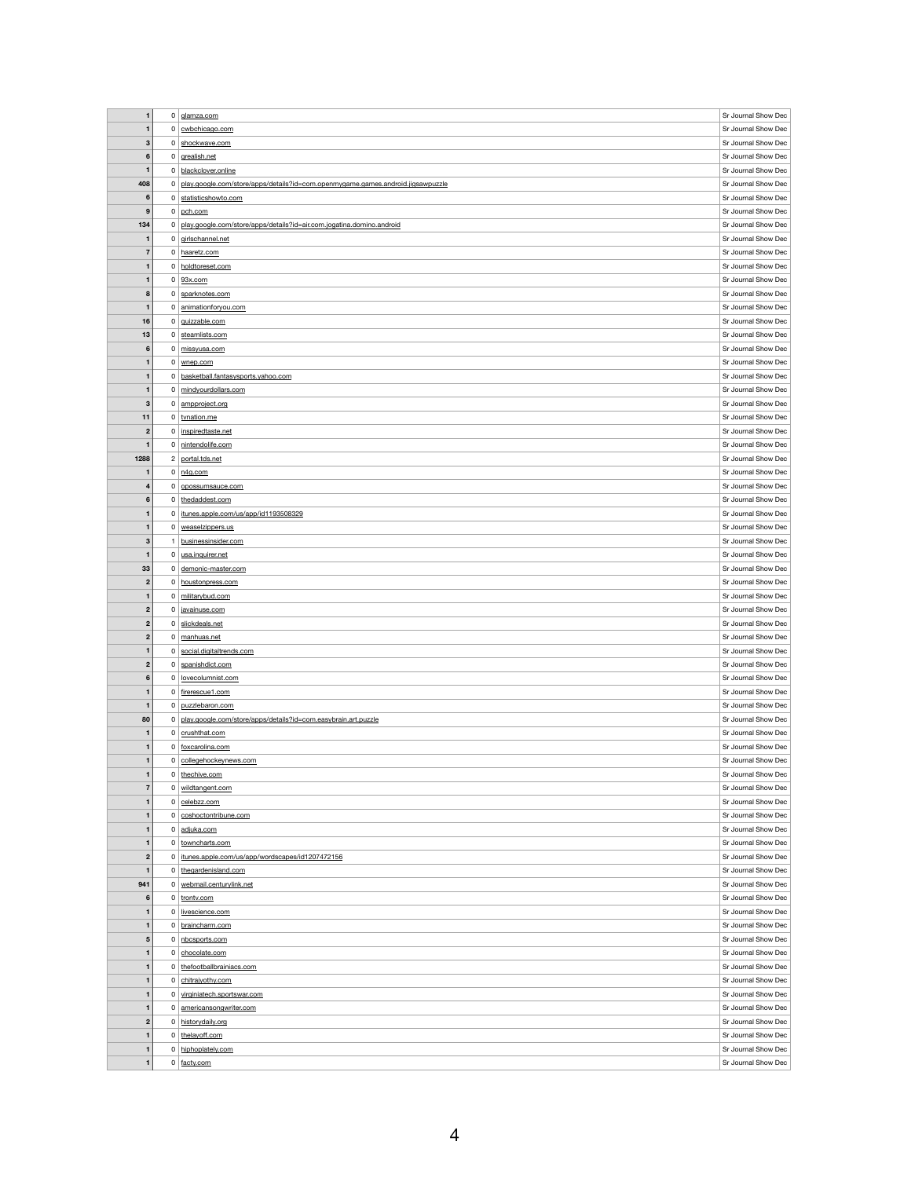| $\mathbf{1}$                 |                | 0 glamza.com                                                                    | Sr Journal Show Dec                        |
|------------------------------|----------------|---------------------------------------------------------------------------------|--------------------------------------------|
|                              |                |                                                                                 |                                            |
| $\mathbf{1}$                 |                | $0$ cwbchicago.com                                                              | Sr Journal Show Dec                        |
| 3                            |                | 0 shockwave.com                                                                 | Sr Journal Show Dec                        |
| $6\phantom{1}$               |                | $0$ grealish.net                                                                | Sr Journal Show Dec                        |
| $\mathbf{1}$                 |                | 0 blackclover.online                                                            | Sr Journal Show Dec                        |
| 408                          | 0              | play.google.com/store/apps/details?id=com.openmygame.games.android.jigsawpuzzle | Sr Journal Show Dec                        |
|                              |                |                                                                                 |                                            |
| $6\phantom{1}6$              |                | 0 statisticshowto.com                                                           | Sr Journal Show Dec                        |
| $\boldsymbol{9}$             | $\mathbf{0}$   | pch.com                                                                         | Sr Journal Show Dec                        |
| 134                          | 0              | play.google.com/store/apps/details?id=air.com.jogatina.domino.android           | Sr Journal Show Dec                        |
| $\mathbf 1$                  |                | $0$ girlschannel.net                                                            | Sr Journal Show Dec                        |
| $\overline{7}$               |                | 0 haaretz.com                                                                   | Sr Journal Show Dec                        |
|                              |                |                                                                                 |                                            |
| $\mathbf{1}$                 |                | 0 holdtoreset.com                                                               | Sr Journal Show Dec                        |
| $\mathbf{1}$                 |                | $0$ 93x.com                                                                     | Sr Journal Show Dec                        |
| ${\bf 8}$                    |                | 0 sparknotes.com                                                                | Sr Journal Show Dec                        |
| $\mathbf 1$                  |                | 0 animationforyou.com                                                           | Sr Journal Show Dec                        |
| 16                           |                | $0$ guizzable.com                                                               | Sr Journal Show Dec                        |
|                              |                |                                                                                 |                                            |
| 13                           |                | 0 steamlists.com                                                                | Sr Journal Show Dec                        |
| $6\phantom{1}$               |                | 0 missyusa.com                                                                  | Sr Journal Show Dec                        |
| $\mathbf{1}$                 |                | $0 \mid$ wnep.com                                                               | Sr Journal Show Dec                        |
| $\mathbf{1}$                 |                | 0 basketball.fantasysports.yahoo.com                                            | Sr Journal Show Dec                        |
|                              |                |                                                                                 |                                            |
| 1                            |                | 0 mindyourdollars.com                                                           | Sr Journal Show Dec                        |
| $\mathbf{3}$                 |                | $0 \mid amproject.org$                                                          | Sr Journal Show Dec                        |
| 11                           |                | $0  $ tvnation.me                                                               | Sr Journal Show Dec                        |
| $\boldsymbol{2}$             |                | 0   inspiredtaste.net                                                           | Sr Journal Show Dec                        |
| $\mathbf 1$                  |                | 0 nintendolife.com                                                              | Sr Journal Show Dec                        |
|                              |                |                                                                                 |                                            |
| 1288                         |                | 2 portal.tds.net                                                                | Sr Journal Show Dec                        |
| 1                            |                | $0 \mid n4g.com$                                                                | Sr Journal Show Dec                        |
| 4                            | 0              | opossumsauce.com                                                                | Sr Journal Show Dec                        |
| 6                            |                | $0$ the daddest.com                                                             | Sr Journal Show Dec                        |
|                              |                |                                                                                 |                                            |
| 1                            | 0              | itunes.apple.com/us/app/id1193508329                                            | Sr Journal Show Dec                        |
| $\mathbf{1}$                 |                | $0$ weaselzippers.us                                                            | Sr Journal Show Dec                        |
| 3                            |                | businessinsider.com                                                             | Sr Journal Show Dec                        |
| $\mathbf{1}$                 |                | 0 usa.inquirer.net                                                              | Sr Journal Show Dec                        |
| 33                           | 0              | demonic-master.com                                                              | Sr Journal Show Dec                        |
|                              |                |                                                                                 | Sr Journal Show Dec                        |
| $\boldsymbol{2}$             |                | 0 houstonpress.com                                                              |                                            |
|                              |                | 0 militarybud.com                                                               | Sr Journal Show Dec                        |
| 1                            |                |                                                                                 |                                            |
| $\mathbf{2}$                 |                | 0 avainuse.com                                                                  | Sr Journal Show Dec                        |
| $\boldsymbol{2}$             |                | 0 slickdeals.net                                                                | Sr Journal Show Dec                        |
|                              |                |                                                                                 |                                            |
| $\mathbf{2}$                 |                | 0 manhuas.net                                                                   | Sr Journal Show Dec                        |
| $\mathbf{1}$                 |                | 0 social.digitaltrends.com                                                      | Sr Journal Show Dec                        |
| $\boldsymbol{2}$             |                | 0 spanishdict.com                                                               | Sr Journal Show Dec                        |
| $6\phantom{1}$               |                | 0 lovecolumnist.com                                                             | Sr Journal Show Dec                        |
| $\mathbf{1}$                 |                |                                                                                 |                                            |
|                              |                | 0 firerescue1.com                                                               | Sr Journal Show Dec                        |
|                              |                | $0$ puzzlebaron.com                                                             | Sr Journal Show Dec                        |
| 80                           |                | 0 play.google.com/store/apps/details?id=com.easybrain.art.puzzle                | Sr Journal Show Dec                        |
| $\mathbf{1}$                 |                | $0$ crushthat.com                                                               | Sr Journal Show Dec                        |
| 1                            |                | 0 foxcarolina.com                                                               | Sr Journal Show Dec                        |
|                              |                |                                                                                 |                                            |
| $\mathbf{1}$                 |                | 0 collegehockeynews.com                                                         | Sr Journal Show Dec                        |
| 1                            |                | 0 thechive.com                                                                  | Sr Journal Show Dec                        |
| $\overline{7}$               |                | 0 wildtangent.com                                                               | Sr Journal Show Dec                        |
| $\mathbf{1}$                 |                | $0$ celebzz.com                                                                 | Sr Journal Show Dec                        |
| 1                            |                | 0 coshoctontribune.com                                                          | Sr Journal Show Dec                        |
| 1                            |                |                                                                                 |                                            |
|                              |                | 0 adjuka.com                                                                    | Sr Journal Show Dec                        |
| $\mathbf{1}$                 |                | 0 towncharts.com                                                                | Sr Journal Show Dec                        |
| $\mathbf{2}$                 |                | 0 itunes.apple.com/us/app/wordscapes/id1207472156                               | Sr Journal Show Dec                        |
| 1                            | $\mathbf{0}$   | thegardenisland.com                                                             | Sr Journal Show Dec                        |
| 941                          |                | 0   webmail.centurylink.net                                                     | Sr Journal Show Dec                        |
| 6                            |                |                                                                                 |                                            |
|                              |                | $0$ trontv.com                                                                  | Sr Journal Show Dec                        |
| 1                            | 0 <sup>1</sup> | livescience.com                                                                 | Sr Journal Show Dec                        |
| $\mathbf{1}$                 |                | 0 braincharm.com                                                                | Sr Journal Show Dec                        |
| $\sqrt{5}$                   |                | 0 nbcsports.com                                                                 | Sr Journal Show Dec                        |
| 1                            |                | 0 chocolate.com                                                                 | Sr Journal Show Dec                        |
|                              |                |                                                                                 |                                            |
| $\mathbf{1}$                 |                | 0 thefootballbrainiacs.com                                                      | Sr Journal Show Dec                        |
| $\mathbf{1}$                 |                | 0 chitrajyothy.com                                                              | Sr Journal Show Dec                        |
| 1                            |                | 0 virginiatech.sportswar.com                                                    | Sr Journal Show Dec                        |
| $\mathbf{1}$                 | 0 <sup>1</sup> | americansongwriter.com                                                          | Sr Journal Show Dec                        |
| $\boldsymbol{2}$             |                | 0 historydaily.org                                                              | Sr Journal Show Dec                        |
|                              |                |                                                                                 |                                            |
| $\mathbf 1$                  |                | 0 thelayoff.com                                                                 | Sr Journal Show Dec                        |
| $\mathbf{1}$<br>$\mathbf{1}$ |                | 0 hiphoplately.com<br>$0 \mid \frac{\text{facty.com}}{\text{facty.com}}$        | Sr Journal Show Dec<br>Sr Journal Show Dec |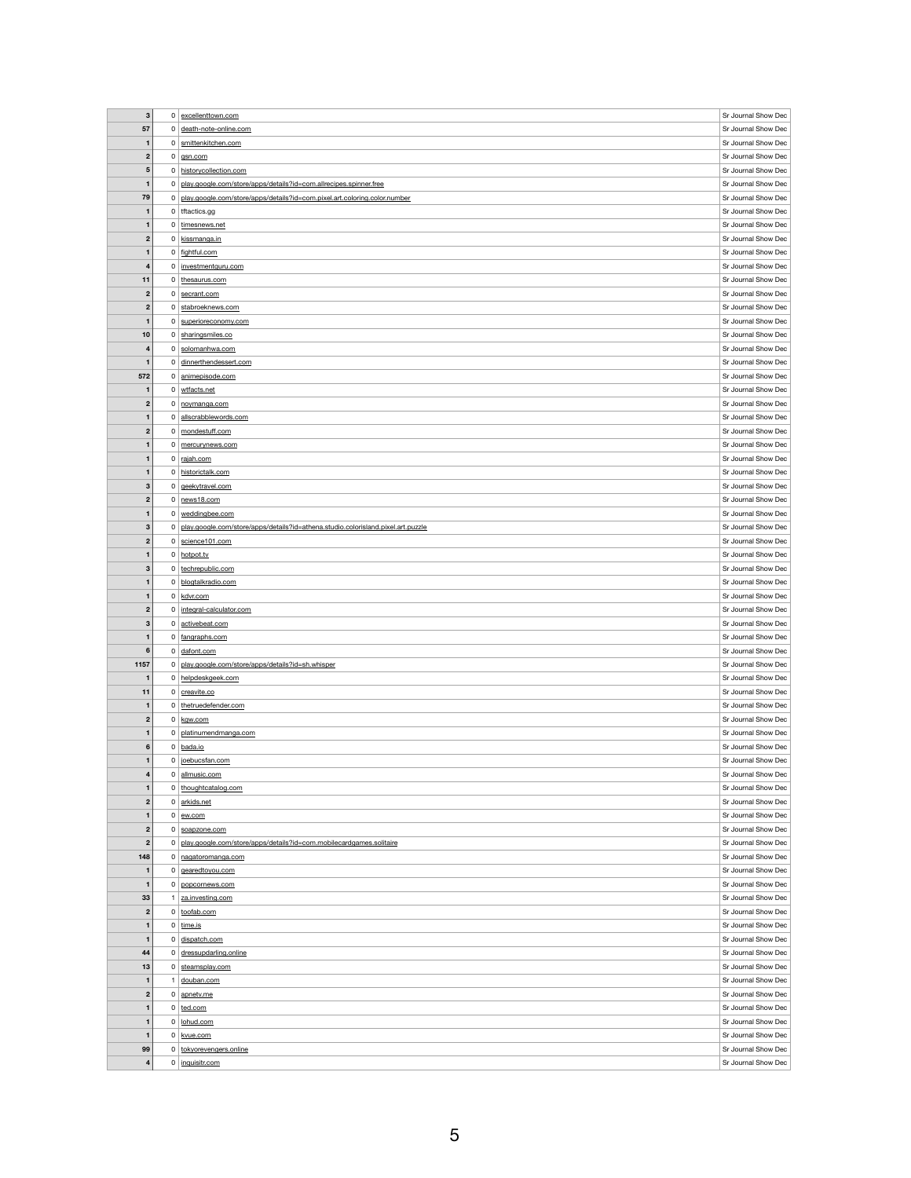| $\mathbf{3}$                  |                | $0$ excellenttown.com                                                            | Sr Journal Show Dec                        |
|-------------------------------|----------------|----------------------------------------------------------------------------------|--------------------------------------------|
|                               |                |                                                                                  |                                            |
| 57                            |                | 0 death-note-online.com                                                          | Sr Journal Show Dec                        |
| $\mathbf 1$                   |                | 0   smittenkitchen.com                                                           | Sr Journal Show Dec                        |
| $\boldsymbol{2}$              | $\mathbf{0}$   | gsn.com                                                                          | Sr Journal Show Dec                        |
| $\overline{\mathbf{5}}$       |                | 0 historycollection.com                                                          | Sr Journal Show Dec                        |
| $\mathbf{1}$                  |                | 0 play.google.com/store/apps/details?id=com.allrecipes.spinner.free              | Sr Journal Show Dec                        |
|                               |                |                                                                                  | Sr Journal Show Dec                        |
| 79                            |                | 0 play.google.com/store/apps/details?id=com.pixel.art.coloring.color.number      |                                            |
| $\mathbf{1}$                  |                | $0$ tftactics.gg                                                                 | Sr Journal Show Dec                        |
| $\mathbf{1}$                  |                | 0 timesnews.net                                                                  | Sr Journal Show Dec                        |
| $\boldsymbol{2}$              |                | 0 kissmanga.in                                                                   | Sr Journal Show Dec                        |
| $\mathbf{1}$                  |                | $0$ fightful.com                                                                 | Sr Journal Show Dec                        |
| 4                             | 0 <sup>1</sup> | investmentguru.com                                                               | Sr Journal Show Dec                        |
| 11                            | $\mathbf{0}$   | thesaurus.com                                                                    | Sr Journal Show Dec                        |
|                               |                |                                                                                  |                                            |
| $\mathbf{2}$                  | 0 <sup>1</sup> | secrant.com                                                                      | Sr Journal Show Dec                        |
| $\boldsymbol{2}$              | 0 <sup>1</sup> | stabroeknews.com                                                                 | Sr Journal Show Dec                        |
| $\mathbf{1}$                  |                | 0 superioreconomy.com                                                            | Sr Journal Show Dec                        |
| 10                            |                | 0 sharingsmiles.co                                                               | Sr Journal Show Dec                        |
| 4                             |                | $0$ solomanhwa.com                                                               | Sr Journal Show Dec                        |
| $\mathbf{1}$                  |                | 0 dinnerthendessert.com                                                          | Sr Journal Show Dec                        |
| 572                           |                | 0 animepisode.com                                                                | Sr Journal Show Dec                        |
|                               |                |                                                                                  |                                            |
| $\mathbf{1}$                  |                | 0 wtfacts.net                                                                    | Sr Journal Show Dec                        |
| $\boldsymbol{2}$              | 0 <sup>1</sup> | noymanga.com                                                                     | Sr Journal Show Dec                        |
| $\mathbf{1}$                  | 0 <sup>1</sup> | allscrabblewords.com                                                             | Sr Journal Show Dec                        |
| $\mathbf{2}$                  |                | 0 mondestuff.com                                                                 | Sr Journal Show Dec                        |
| $\mathbf{1}$                  | 0 <sup>1</sup> | mercurynews.com                                                                  | Sr Journal Show Dec                        |
| 1                             |                | 0 rajah.com                                                                      | Sr Journal Show Dec                        |
| $\mathbf{1}$                  |                | 0 historictalk.com                                                               | Sr Journal Show Dec                        |
|                               |                |                                                                                  | Sr Journal Show Dec                        |
| $\mathbf{3}$                  |                | $0$ geekytravel.com                                                              |                                            |
| $\boldsymbol{2}$              |                | $0$ news 18.com                                                                  | Sr Journal Show Dec                        |
| 1                             |                | $0 \mid$ weddingbee.com                                                          | Sr Journal Show Dec                        |
| $\mathbf{3}$                  | 0              | play.google.com/store/apps/details?id=athena.studio.colorisland.pixel.art.puzzle | Sr Journal Show Dec                        |
| $\boldsymbol{2}$              |                | $0$ science 101.com                                                              | Sr Journal Show Dec                        |
| 1                             |                | $0$ hotpot tv                                                                    | Sr Journal Show Dec                        |
| $\mathbf{3}$                  |                | 0   technepublic.com                                                             | Sr Journal Show Dec                        |
|                               |                |                                                                                  |                                            |
|                               |                |                                                                                  |                                            |
| 1                             |                | 0 blogtalkradio.com                                                              | Sr Journal Show Dec                        |
| 1                             |                | $0 \mid kdvr.com$                                                                | Sr Journal Show Dec                        |
| $\mathbf{2}$                  | 0 <sup>1</sup> | integral-calculator.com                                                          | Sr Journal Show Dec                        |
| 3                             |                | 0 activebeat.com                                                                 | Sr Journal Show Dec                        |
| $\mathbf{1}$                  |                | 0 fangraphs.com                                                                  | Sr Journal Show Dec                        |
| $\bf 6$                       |                | $0$ dafont.com                                                                   | Sr Journal Show Dec                        |
| 1157                          | 0              | play.google.com/store/apps/details?id=sh.whisper                                 | Sr Journal Show Dec                        |
| $\mathbf{1}$                  |                |                                                                                  |                                            |
|                               |                | 0 helpdeskgeek.com                                                               | Sr Journal Show Dec                        |
| 11                            |                | $0$ creavite.co                                                                  | Sr Journal Show Dec                        |
| $\mathbf 1$                   | 0              | thetruedefender.com                                                              | Sr Journal Show Dec                        |
| $\boldsymbol{2}$              |                | $0 \mid$ kgw.com                                                                 | Sr Journal Show Dec                        |
| $\mathbf{1}$                  |                | 0   platinumendmanga.com                                                         | Sr Journal Show Dec                        |
| $6\phantom{1}$                |                | $0  $ bada.io                                                                    | Sr Journal Show Dec                        |
| $\mathbf{1}$                  |                | $0$   joebucsfan.com                                                             | Sr Journal Show Dec                        |
| 4                             |                | 0 allmusic.com                                                                   | Sr Journal Show Dec                        |
| 1                             |                | 0 thoughtcatalog.com                                                             | Sr Journal Show Dec                        |
|                               |                |                                                                                  |                                            |
| $\boldsymbol{2}$              |                | 0 arkids.net                                                                     | Sr Journal Show Dec                        |
| 1                             |                | $0 \mid \underline{\text{ew.com}}$                                               | Sr Journal Show Dec                        |
| $\mathbf{2}$                  |                | 0 soapzone.com                                                                   | Sr Journal Show Dec                        |
| $\boldsymbol{2}$              | 0 <sup>1</sup> | play.google.com/store/apps/details?id=com.mobilecardgames.solitaire              | Sr Journal Show Dec                        |
| 148                           |                | 0   nagatoromanga.com                                                            | Sr Journal Show Dec                        |
| 1                             |                | $0 \mid$ geared to you.com                                                       | Sr Journal Show Dec                        |
| $\mathbf{1}$                  | 0              | popcornews.com                                                                   | Sr Journal Show Dec                        |
|                               |                |                                                                                  |                                            |
| 33                            |                | za.investing.com                                                                 | Sr Journal Show Dec                        |
| $\boldsymbol{2}$              |                | $0  $ toofab.com                                                                 | Sr Journal Show Dec                        |
| $\mathbf{1}$                  |                | 0 $\overline{\lim_{i}}$                                                          | Sr Journal Show Dec                        |
| 1                             |                | 0 dispatch.com                                                                   | Sr Journal Show Dec                        |
| 44                            |                | 0 dressupdarling.online                                                          | Sr Journal Show Dec                        |
| 13                            |                | $0$ steamsplay.com                                                               | Sr Journal Show Dec                        |
| $\mathbf 1$                   |                | douban.com                                                                       | Sr Journal Show Dec                        |
| $\overline{2}$                | 0 <sup>1</sup> | apnetv.me                                                                        | Sr Journal Show Dec                        |
| 1                             |                |                                                                                  | Sr Journal Show Dec                        |
|                               |                | $0  $ ted.com                                                                    |                                            |
| $\mathbf{1}$                  |                | $0$   lohud.com                                                                  | Sr Journal Show Dec                        |
| $\mathbf{1}$                  |                | $0 \vert$ kvue.com                                                               | Sr Journal Show Dec                        |
| 99<br>$\overline{\mathbf{4}}$ |                | 0 tokyorevengers.online<br>$0$ inquisitr.com                                     | Sr Journal Show Dec<br>Sr Journal Show Dec |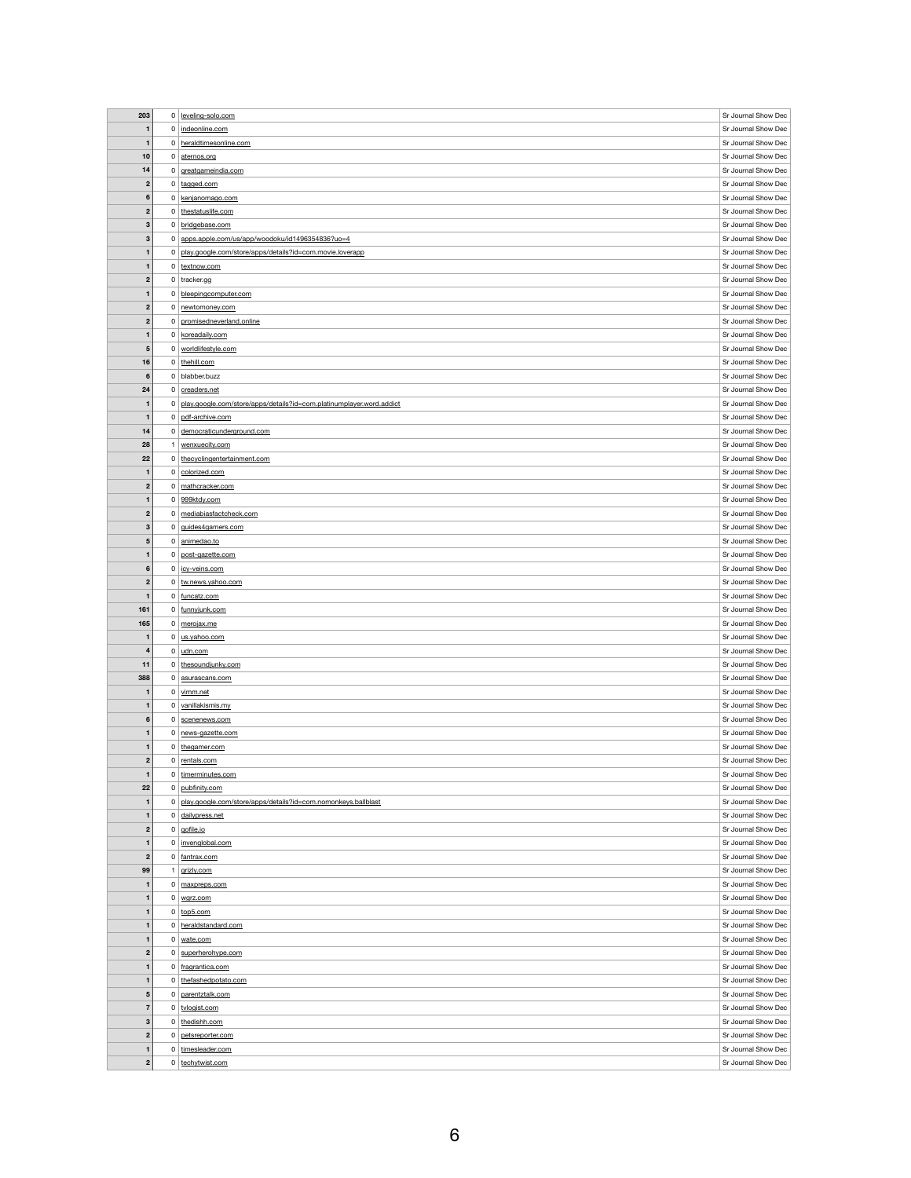| 203                          |                | 0 leveling-solo.com                                                  | Sr Journal Show Dec                        |
|------------------------------|----------------|----------------------------------------------------------------------|--------------------------------------------|
| $\mathbf 1$                  |                | 0   indeonline.com                                                   | Sr Journal Show Dec                        |
|                              |                |                                                                      |                                            |
| $\mathbf{1}$                 |                | 0 heraldtimesonline.com                                              | Sr Journal Show Dec                        |
| 10                           | $\overline{0}$ | aternos.org                                                          | Sr Journal Show Dec                        |
| 14                           |                | 0 greatgameindia.com                                                 | Sr Journal Show Dec                        |
| $\mathbf{2}$                 |                | $0 \mid \text{tagged.com}$                                           | Sr Journal Show Dec                        |
| $\bf 6$                      | $\overline{0}$ | kenjanomago.com                                                      | Sr Journal Show Dec                        |
| $\mathbf{2}$                 | $\overline{0}$ | thestatuslife.com                                                    | Sr Journal Show Dec                        |
|                              |                |                                                                      | Sr Journal Show Dec                        |
| $\mathbf{3}$                 | $\mathbf 0$    | bridgebase.com                                                       |                                            |
| $\mathbf{3}$                 | $\overline{0}$ | apps.apple.com/us/app/woodoku/id1496354836?uo=4                      | Sr Journal Show Dec                        |
| $\mathbf{1}$                 | 0              | play.google.com/store/apps/details?id=com.movie.loverapp             | Sr Journal Show Dec                        |
| $\mathbf 1$                  |                | 0 textnow.com                                                        | Sr Journal Show Dec                        |
| $\mathbf{2}$                 |                | $0$ tracker.gg                                                       | Sr Journal Show Dec                        |
| $\mathbf{1}$                 | 0              | bleepingcomputer.com                                                 | Sr Journal Show Dec                        |
| $\boldsymbol{2}$             | 0              | newtomoney.com                                                       | Sr Journal Show Dec                        |
| $\mathbf{2}$                 | $\overline{0}$ | promisedneverland.online                                             | Sr Journal Show Dec                        |
|                              |                |                                                                      | Sr Journal Show Dec                        |
| $\mathbf{1}$                 | $\overline{0}$ | koreadaily.com                                                       |                                            |
| $\sqrt{5}$                   | $\overline{0}$ | worldlifestyle.com                                                   | Sr Journal Show Dec                        |
| 16                           |                | 0 the hill.com                                                       | Sr Journal Show Dec                        |
| $\bf 6$                      |                | $0$ blabber.buzz                                                     | Sr Journal Show Dec                        |
| 24                           |                | 0 creaders.net                                                       | Sr Journal Show Dec                        |
| $\mathbf{1}$                 | 0              | play.google.com/store/apps/details?id=com.platinumplayer.word.addict | Sr Journal Show Dec                        |
| $\mathbf{1}$                 | $\mathbf 0$    | pdf-archive.com                                                      | Sr Journal Show Dec                        |
| 14                           |                | 0 democraticunderground.com                                          | Sr Journal Show Dec                        |
| 28                           |                | wenxuecity.com                                                       | Sr Journal Show Dec                        |
| 22                           | 0 <sup>1</sup> | thecyclingentertainment.com                                          | Sr Journal Show Dec                        |
| 1                            |                | 0 colorized.com                                                      | Sr Journal Show Dec                        |
|                              |                |                                                                      | Sr Journal Show Dec                        |
| $\boldsymbol{2}$             | 0 <sup>1</sup> | mathcracker.com                                                      |                                            |
| $\mathbf{1}$                 | 0 <sup>1</sup> | 999ktdy.com                                                          | Sr Journal Show Dec                        |
| $\mathbf{2}$                 | $\overline{0}$ | mediabiasfactcheck.com                                               | Sr Journal Show Dec                        |
| $\mathbf{3}$                 | $\overline{0}$ | guides4gamers.com                                                    | Sr Journal Show Dec                        |
| $\overline{\mathbf{5}}$      | 0 <sup>1</sup> | animedao.to                                                          | Sr Journal Show Dec                        |
| $\mathbf{1}$                 | $\overline{0}$ | post-gazette.com                                                     | Sr Journal Show Dec                        |
| $\bf 6$                      | $\overline{0}$ | icy-veins.com                                                        | Sr Journal Show Dec                        |
| $\mathbf{2}$                 |                | 0 tw.news.yahoo.com                                                  | Sr Journal Show Dec                        |
| $\mathbf{1}$                 |                | 0 funcatz.com                                                        | Sr Journal Show Dec                        |
| 161                          |                | 0 funnyjunk.com                                                      |                                            |
|                              |                |                                                                      | Sr Journal Show Dec                        |
|                              |                |                                                                      | Sr Journal Show Dec                        |
| 165                          |                | 0 merojax.me                                                         |                                            |
| $\mathbf{1}$                 |                | 0   us.yahoo.com                                                     | Sr Journal Show Dec                        |
| $\overline{\mathbf{4}}$      |                | $0 \mid$ udn.com                                                     | Sr Journal Show Dec                        |
| 11                           | 0 <sup>1</sup> | thesoundjunky.com                                                    | Sr Journal Show Dec                        |
| 388                          |                | 0 asurascans.com                                                     | Sr Journal Show Dec                        |
| $\mathbf{1}$                 |                | $0 \mid \underline{\text{vimm.net}}$                                 | Sr Journal Show Dec                        |
| $\mathbf 1$                  |                | 0 vanillakismis.my                                                   | Sr Journal Show Dec                        |
| $6\phantom{1}6$              |                | 0 scenenews.com                                                      | Sr Journal Show Dec                        |
| $\mathbf{1}$                 |                | 0 news-gazette.com                                                   | Sr Journal Show Dec                        |
| $\mathbf{1}$                 | 0 <sup>1</sup> | thegamer.com                                                         | Sr Journal Show Dec                        |
| $\mathbf{2}$                 | $\overline{0}$ | rentals.com                                                          | Sr Journal Show Dec                        |
| $\mathbf{1}$                 | 0 <sup>1</sup> | timerminutes.com                                                     | Sr Journal Show Dec                        |
| 22                           | 0 <sup>1</sup> | pubfinity.com                                                        | Sr Journal Show Dec                        |
|                              | $\overline{0}$ |                                                                      |                                            |
| $\mathbf{1}$                 |                | play.google.com/store/apps/details?id=com.nomonkeys.ballblast        | Sr Journal Show Dec                        |
| $\mathbf{1}$                 |                | 0 dailypress.net                                                     | Sr Journal Show Dec                        |
| $\mathbf{2}$                 |                | $0 \mid$ gofile.io                                                   | Sr Journal Show Dec                        |
| $\mathbf{1}$                 |                | 0   invenglobal.com                                                  | Sr Journal Show Dec                        |
| $\mathbf{2}$                 |                | 0 fantrax.com                                                        | Sr Journal Show Dec                        |
| 99                           |                | grizly.com                                                           | Sr Journal Show Dec                        |
| $\mathbf 1$                  | $\mathbf{0}$   | maxpreps.com                                                         | Sr Journal Show Dec                        |
| $\mathbf{1}$                 |                | $0 \mid \text{wgrz.com}$                                             | Sr Journal Show Dec                        |
| $\mathbf{1}$                 |                | $0   \text{top5.com}$                                                | Sr Journal Show Dec                        |
| $\mathbf{1}$                 |                | 0 heraldstandard.com                                                 | Sr Journal Show Dec                        |
| $\mathbf{1}$                 |                | $0 \mid$ wate.com                                                    | Sr Journal Show Dec                        |
| $\mathbf{2}$                 |                | 0 superherohype.com                                                  | Sr Journal Show Dec                        |
| $\mathbf{1}$                 | 0 <sup>1</sup> | fragrantica.com                                                      | Sr Journal Show Dec                        |
| $\mathbf 1$                  | 0 <sup>1</sup> |                                                                      |                                            |
|                              |                | thefashedpotato.com                                                  | Sr Journal Show Dec                        |
| $\overline{\mathbf{5}}$      | $\overline{0}$ | parentztalk.com                                                      | Sr Journal Show Dec                        |
| $\overline{7}$               |                | 0 tvlogist.com                                                       | Sr Journal Show Dec                        |
| $\mathbf{3}$                 |                | $0  $ the dish h.com                                                 | Sr Journal Show Dec                        |
| $\overline{2}$               | $\overline{0}$ | petsreporter.com                                                     | Sr Journal Show Dec                        |
| $\mathbf{1}$<br>$\mathbf{2}$ |                | 0 timesleader.com<br>0 techytwist.com                                | Sr Journal Show Dec<br>Sr Journal Show Dec |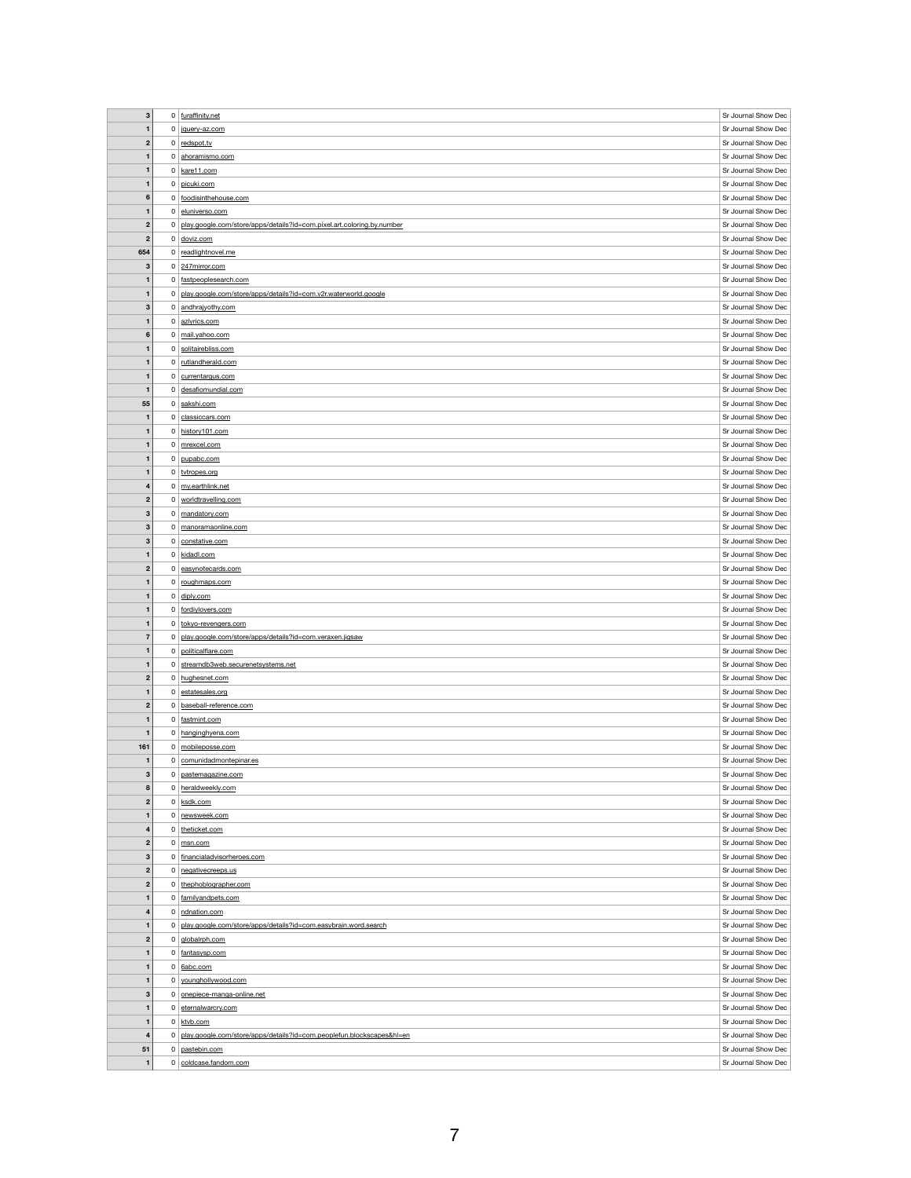| $\mathbf{3}$            |                | $0$ furaffinity.net                                                    | Sr Journal Show Dec |
|-------------------------|----------------|------------------------------------------------------------------------|---------------------|
|                         |                |                                                                        |                     |
| $\mathbf{1}$            |                | 0 jquery-az.com                                                        | Sr Journal Show Dec |
| $\boldsymbol{2}$        |                | $0$ redspot.tv                                                         | Sr Journal Show Dec |
| $\mathbf{1}$            | $\overline{0}$ | ahoramismo.com                                                         | Sr Journal Show Dec |
| $\mathbf{1}$            |                | $0$ kare11.com                                                         | Sr Journal Show Dec |
|                         |                |                                                                        | Sr Journal Show Dec |
| $\mathbf{1}$            | 0 <sup>1</sup> | picuki.com                                                             |                     |
| $\bf 6$                 |                | 0 foodisinthehouse.com                                                 | Sr Journal Show Dec |
| $\mathbf{1}$            | 0              | eluniverso.com                                                         | Sr Journal Show Dec |
| $\boldsymbol{2}$        | 0              | play.google.com/store/apps/details?id=com.pixel.art.coloring.by.number | Sr Journal Show Dec |
| $\boldsymbol{2}$        |                | $0 \mid \text{doviz.com}$                                              | Sr Journal Show Dec |
|                         |                |                                                                        |                     |
| 654                     | 0 <sup>1</sup> | readlightnovel.me                                                      | Sr Journal Show Dec |
| $\mathbf{3}$            |                | $0$ 247 mirror.com                                                     | Sr Journal Show Dec |
| $\mathbf{1}$            |                | 0 fastpeoplesearch.com                                                 | Sr Journal Show Dec |
| $\mathbf{1}$            | 0              | play.google.com/store/apps/details?id=com.v2r.waterworld.google        | Sr Journal Show Dec |
| $\mathbf{3}$            | $\overline{0}$ | andhrajyothy.com                                                       | Sr Journal Show Dec |
|                         |                |                                                                        |                     |
| $\mathbf{1}$            |                | 0 azlyrics.com                                                         | Sr Journal Show Dec |
| $\bf 6$                 | $\overline{0}$ | mail.yahoo.com                                                         | Sr Journal Show Dec |
| $\mathbf 1$             | $\overline{0}$ | solitairebliss.com                                                     | Sr Journal Show Dec |
| $\mathbf{1}$            |                | 0 rutlandherald.com                                                    | Sr Journal Show Dec |
|                         |                |                                                                        |                     |
| $\mathbf{1}$            |                | 0 currentargus.com                                                     | Sr Journal Show Dec |
| -1                      |                | 0 desafiomundial.com                                                   | Sr Journal Show Dec |
| 55                      |                | 0 sakshi.com                                                           | Sr Journal Show Dec |
| $\mathbf{1}$            |                | 0 classiccars.com                                                      | Sr Journal Show Dec |
| $\mathbf{1}$            |                | 0 history101.com                                                       | Sr Journal Show Dec |
|                         |                |                                                                        |                     |
| $\mathbf{1}$            |                | 0 mrexcel.com                                                          | Sr Journal Show Dec |
| $\mathbf{1}$            |                | 0 pupabc.com                                                           | Sr Journal Show Dec |
| $\mathbf{1}$            |                | 0 tvtropes.org                                                         | Sr Journal Show Dec |
| $\overline{\mathbf{4}}$ |                | 0 my.earthlink.net                                                     | Sr Journal Show Dec |
|                         |                |                                                                        | Sr Journal Show Dec |
| $\mathbf{2}$            |                | 0 worldtravelling.com                                                  |                     |
| 3                       | 0 <sup>1</sup> | mandatory.com                                                          | Sr Journal Show Dec |
| $\mathbf{3}$            | 0              | manoramaonline.com                                                     | Sr Journal Show Dec |
| 3                       |                | 0 constative.com                                                       | Sr Journal Show Dec |
| $\mathbf{1}$            |                | 0 kidadl.com                                                           | Sr Journal Show Dec |
|                         |                |                                                                        |                     |
| $\mathbf{2}$            | 0 <sup>1</sup> | easynotecards.com                                                      | Sr Journal Show Dec |
| $\mathbf 1$             |                | 0 roughmaps.com                                                        | Sr Journal Show Dec |
| $\mathbf{1}$            |                | $0 \mid$ diply.com                                                     | Sr Journal Show Dec |
| $\mathbf{1}$            |                | 0 fordiylovers.com                                                     | Sr Journal Show Dec |
| $\mathbf 1$             |                | 0 tokyo-revengers.com                                                  |                     |
|                         |                |                                                                        |                     |
|                         |                |                                                                        | Sr Journal Show Dec |
| $\overline{7}$          | 0 <sup>1</sup> | play.google.com/store/apps/details?id=com.veraxen.jigsaw               | Sr Journal Show Dec |
| $\mathbf{1}$            |                | 0   politicalflare.com                                                 | Sr Journal Show Dec |
| $\mathbf 1$             | 0 <sup>1</sup> | streamdb3web.securenetsystems.net                                      | Sr Journal Show Dec |
|                         |                |                                                                        |                     |
| $\overline{2}$          |                | 0 hughesnet.com                                                        | Sr Journal Show Dec |
| $\mathbf{1}$            |                | 0 estatesales.org                                                      | Sr Journal Show Dec |
| $\boldsymbol{2}$        | 0 <sup>1</sup> | baseball-reference.com                                                 | Sr Journal Show Dec |
| $\mathbf{1}$            |                | 0 fastmint.com                                                         | Sr Journal Show Dec |
| $\mathbf{1}$            |                | 0 hanginghyena.com                                                     | Sr Journal Show Dec |
|                         |                |                                                                        |                     |
| 161                     | $\mathbf{0}$   | mobileposse.com                                                        | Sr Journal Show Dec |
| $\mathbf 1$             |                | 0 comunidadmontepinar.es                                               | Sr Journal Show Dec |
| $\mathbf{3}$            | $\mathbf{0}$   | pastemagazine.com                                                      | Sr Journal Show Dec |
| 8                       | 0              | heraldweekly.com                                                       | Sr Journal Show Dec |
| $\mathbf{2}$            | $\overline{0}$ | ksdk.com                                                               | Sr Journal Show Dec |
|                         |                |                                                                        |                     |
| $\mathbf{1}$            | 0 <sup>1</sup> | newsweek.com                                                           | Sr Journal Show Dec |
| 4                       |                | $0$ theticket.com                                                      | Sr Journal Show Dec |
| $\overline{2}$          | $\overline{0}$ | msn.com                                                                | Sr Journal Show Dec |
| 3                       | 0 <sup>1</sup> | financialadvisorheroes.com                                             | Sr Journal Show Dec |
|                         |                |                                                                        |                     |
| $\boldsymbol{2}$        | 0 <sup>1</sup> | negativecreeps.us                                                      | Sr Journal Show Dec |
| $\mathbf{2}$            | $\overline{0}$ | thephoblographer.com                                                   | Sr Journal Show Dec |
| $\mathbf{1}$            |                | 0 familyandpets.com                                                    | Sr Journal Show Dec |
| 4                       | $\overline{0}$ | ndnation.com                                                           | Sr Journal Show Dec |
| $\mathbf{1}$            | 0              | play.google.com/store/apps/details?id=com.easybrain.word.search        | Sr Journal Show Dec |
|                         |                |                                                                        |                     |
| $\mathbf{2}$            |                | 0 globalrph.com                                                        | Sr Journal Show Dec |
| $\mathbf{1}$            |                | 0 fantasysp.com                                                        | Sr Journal Show Dec |
| $\mathbf{1}$            |                | 0 6abc.com                                                             | Sr Journal Show Dec |
| $\mathbf 1$             |                | 0 younghollywood.com                                                   | Sr Journal Show Dec |
| 3                       |                | 0 onepiece-manga-online.net                                            | Sr Journal Show Dec |
|                         |                |                                                                        |                     |
| $\mathbf{1}$            | $\mathbf{0}$   | eternalwarcry.com                                                      | Sr Journal Show Dec |
| $\mathbf{1}$            |                | $0$ ktvb.com                                                           | Sr Journal Show Dec |
| $\overline{\mathbf{4}}$ | 0              | play.google.com/store/apps/details?id=com.peoplefun.blockscapes&hl=en  | Sr Journal Show Dec |
| 51                      | $\mathbf{0}$   | pastebin.com                                                           | Sr Journal Show Dec |
| $\mathbf 1$             |                | 0 coldcase.fandom.com                                                  | Sr Journal Show Dec |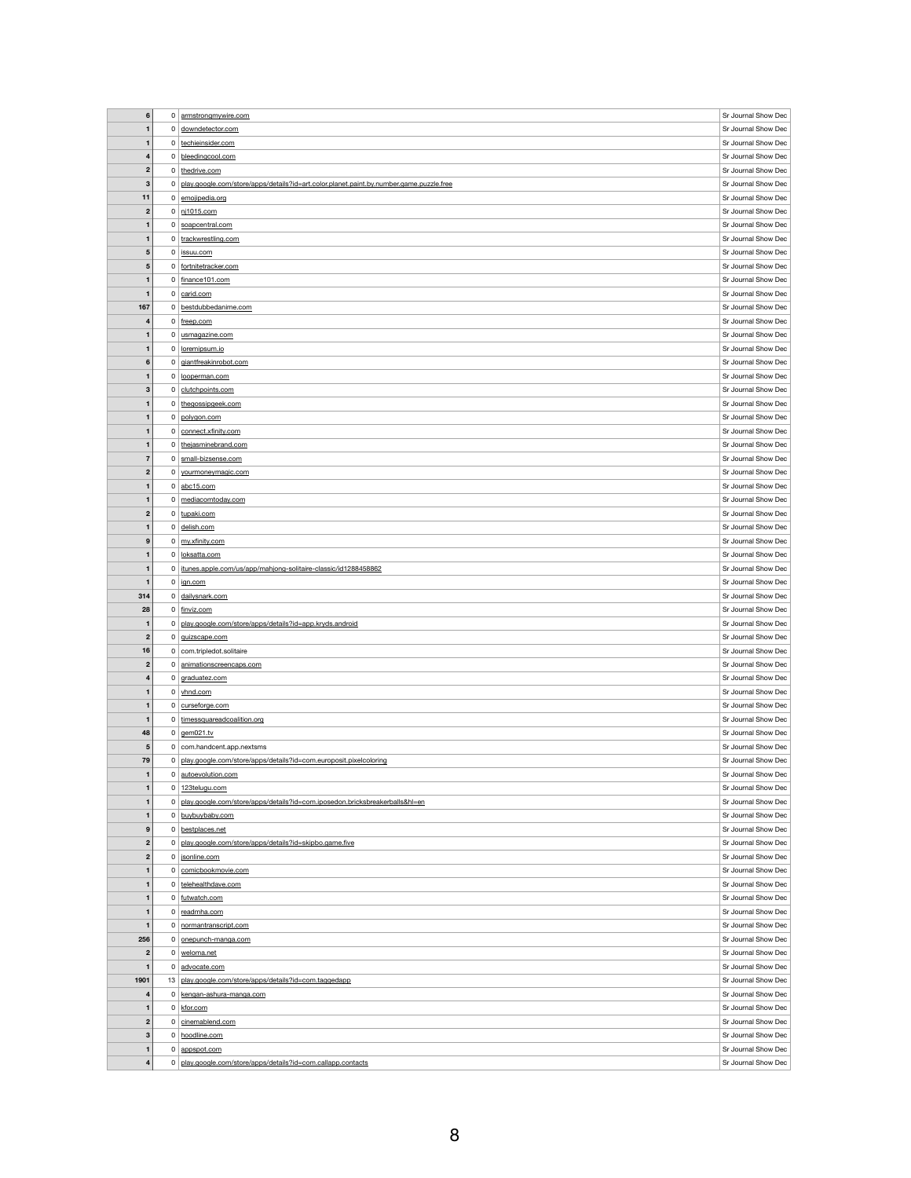|      | $\boldsymbol{6}$                        | $\overline{0}$             | armstrongmywire.com                                                                     | Sr Journal Show Dec                        |
|------|-----------------------------------------|----------------------------|-----------------------------------------------------------------------------------------|--------------------------------------------|
|      | $\mathbf{1}$                            |                            | 0 downdetector.com                                                                      | Sr Journal Show Dec                        |
|      |                                         |                            |                                                                                         |                                            |
|      | $\mathbf{1}$                            |                            | 0 techieinsider.com                                                                     | Sr Journal Show Dec                        |
|      | $\overline{\mathbf{4}}$                 | $\overline{0}$             | bleedingcool.com                                                                        | Sr Journal Show Dec                        |
|      | $\mathbf{2}$                            |                            | 0 thedrive.com                                                                          | Sr Journal Show Dec                        |
|      | $\mathbf{3}$                            | 0                          | play.google.com/store/apps/details?id=art.color.planet.paint.by.number.game.puzzle.free | Sr Journal Show Dec                        |
|      | 11                                      | $\overline{0}$             | emojipedia.org                                                                          | Sr Journal Show Dec                        |
|      | $\overline{\mathbf{2}}$                 | $\overline{0}$             | nj1015.com                                                                              | Sr Journal Show Dec                        |
|      | $\mathbf 1$                             |                            | 0 soapcentral.com                                                                       | Sr Journal Show Dec                        |
|      | $\mathbf{1}$                            |                            | 0 trackwrestling.com                                                                    | Sr Journal Show Dec                        |
|      |                                         |                            |                                                                                         |                                            |
|      | ${\bf 5}$                               | 0                          | issuu.com                                                                               | Sr Journal Show Dec                        |
|      | $\overline{\mathbf{5}}$                 | 0                          | fortnitetracker.com                                                                     | Sr Journal Show Dec                        |
|      | $\mathbf{1}$                            |                            | $0$ finance 101.com                                                                     | Sr Journal Show Dec                        |
|      | $\mathbf{1}$                            |                            | $0$ carid.com                                                                           | Sr Journal Show Dec                        |
| 167  |                                         | 0 <sup>1</sup>             | bestdubbedanime.com                                                                     | Sr Journal Show Dec                        |
|      | $\overline{\mathbf{4}}$                 | $\overline{0}$             | freep.com                                                                               | Sr Journal Show Dec                        |
|      | $\mathbf{1}$                            | $\overline{0}$             | usmagazine.com                                                                          | Sr Journal Show Dec                        |
|      | $\mathbf 1$                             | $\overline{0}$             | loremipsum.io                                                                           | Sr Journal Show Dec                        |
|      |                                         |                            |                                                                                         | Sr Journal Show Dec                        |
|      | 6                                       |                            | 0 giantfreakinrobot.com                                                                 |                                            |
|      | $\mathbf{1}$                            |                            | 0 looperman.com                                                                         | Sr Journal Show Dec                        |
|      | $\mathbf{3}$                            | $\overline{0}$             | clutchpoints.com                                                                        | Sr Journal Show Dec                        |
|      | $\mathbf{1}$                            |                            | 0 thegossipgeek.com                                                                     | Sr Journal Show Dec                        |
|      | $\mathbf{1}$                            | $\overline{0}$             | polygon.com                                                                             | Sr Journal Show Dec                        |
|      | $\mathbf{1}$                            | 0 <sup>1</sup>             | connect.xfinity.com                                                                     | Sr Journal Show Dec                        |
|      | $\mathbf{1}$                            | 0 <sup>1</sup>             | thejasminebrand.com                                                                     | Sr Journal Show Dec                        |
|      | $\overline{7}$                          | 0 <sup>1</sup>             | small-bizsense.com                                                                      | Sr Journal Show Dec                        |
|      |                                         |                            | yourmoneymagic.com                                                                      | Sr Journal Show Dec                        |
|      | $\boldsymbol{2}$                        | $\mathbf{0}$               |                                                                                         |                                            |
|      | $\mathbf{1}$                            |                            | $0$ abc15.com                                                                           | Sr Journal Show Dec                        |
|      | $\mathbf{1}$                            | $\overline{0}$             | mediacomtoday.com                                                                       | Sr Journal Show Dec                        |
|      | $\mathbf{2}$                            |                            | 0 tupaki.com                                                                            | Sr Journal Show Dec                        |
|      | $\mathbf{1}$                            |                            | 0 delish.com                                                                            | Sr Journal Show Dec                        |
|      | 9                                       |                            | 0 my.xfinity.com                                                                        | Sr Journal Show Dec                        |
|      | $\mathbf{1}$                            |                            | 0 loksatta.com                                                                          | Sr Journal Show Dec                        |
|      | $\mathbf{1}$                            | 0 <sup>1</sup>             | itunes.apple.com/us/app/mahjong-solitaire-classic/id1288458862                          | Sr Journal Show Dec                        |
|      | $\mathbf 1$                             | 0 <sup>1</sup>             | ign.com                                                                                 | Sr Journal Show Dec                        |
|      |                                         |                            |                                                                                         | Sr Journal Show Dec                        |
| 314  |                                         |                            | 0 dailysnark.com                                                                        |                                            |
|      | 28                                      |                            | 0 finviz.com                                                                            | Sr Journal Show Dec                        |
|      | $\mathbf 1$                             | 0                          | play.google.com/store/apps/details?id=app.kryds.android                                 | Sr Journal Show Dec                        |
|      | $\mathbf{2}$                            |                            | 0   quizscape.com                                                                       | Sr Journal Show Dec                        |
|      | 16                                      |                            | $0$ com.tripledot.solitaire                                                             | Sr Journal Show Dec                        |
|      | $\mathbf{2}$                            | 0                          | animationscreencaps.com                                                                 | Sr Journal Show Dec                        |
|      | 4                                       |                            | $0 \mid \text{graduatez.com}$                                                           | Sr Journal Show Dec                        |
|      | $\mathbf{1}$                            |                            | $0$ vhnd.com                                                                            | Sr Journal Show Dec                        |
|      |                                         |                            | $0$ curseforge.com                                                                      | Sr Journal Show Dec                        |
|      |                                         |                            |                                                                                         |                                            |
|      | $\mathbf{1}$                            |                            | 0 timessquareadcoalition.org                                                            | Sr Journal Show Dec                        |
|      | 48                                      |                            | 0 $g$ em021.tv                                                                          | Sr Journal Show Dec                        |
|      | 5                                       | 0 <sup>1</sup>             | com.handcent.app.nextsms                                                                | Sr Journal Show Dec                        |
|      | 79                                      | 0                          | play.google.com/store/apps/details?id=com.europosit.pixelcoloring                       | Sr Journal Show Dec                        |
|      | $\mathbf{1}$                            |                            | 0 autoevolution.com                                                                     | Sr Journal Show Dec                        |
|      | $\mathbf 1$                             | 0 <sup>1</sup>             | 123telugu.com                                                                           | Sr Journal Show Dec                        |
|      | $\mathbf{1}$                            | 0                          | play.google.com/store/apps/details?id=com.iposedon.bricksbreakerballs&hl=en             | Sr Journal Show Dec                        |
|      | $\mathbf{1}$                            |                            | 0 buybuybaby.com                                                                        | Sr Journal Show Dec                        |
|      |                                         |                            |                                                                                         |                                            |
|      | 9                                       | 0 <sup>1</sup>             | bestplaces.net                                                                          | Sr Journal Show Dec                        |
|      | $\mathbf{2}$                            | $\mathbf 0$                | play.google.com/store/apps/details?id=skipbo.game.five                                  | Sr Journal Show Dec                        |
|      | $\boldsymbol{2}$                        | 0 <sup>1</sup>             | sonline.com                                                                             | Sr Journal Show Dec                        |
|      | 1                                       | 0 <sup>1</sup>             | comicbookmovie.com                                                                      | Sr Journal Show Dec                        |
|      |                                         |                            | telehealthdave.com                                                                      | Sr Journal Show Dec                        |
|      | $\mathbf{1}$                            | 0 <sup>1</sup>             |                                                                                         |                                            |
|      | $\mathbf 1$                             |                            | 0 futwatch.com                                                                          | Sr Journal Show Dec                        |
|      |                                         |                            |                                                                                         |                                            |
|      | $\mathbf{1}$                            | 0 <sup>1</sup>             | readmha.com                                                                             | Sr Journal Show Dec                        |
|      | $\mathbf 1$                             | $\mathbf{0}$               | normantranscript.com                                                                    | Sr Journal Show Dec                        |
| 256  |                                         |                            | 0   onepunch-manga.com                                                                  | Sr Journal Show Dec                        |
|      | $\boldsymbol{2}$                        |                            | 0 weloma.net                                                                            | Sr Journal Show Dec                        |
|      | $\mathbf 1$                             | $\mathbf{0}$               | advocate.com                                                                            | Sr Journal Show Dec                        |
| 1901 |                                         |                            | 13   play.google.com/store/apps/details?id=com.taggedapp                                | Sr Journal Show Dec                        |
|      | 4                                       | $\mathbf{0}$               | kengan-ashura-manga.com                                                                 | Sr Journal Show Dec                        |
|      | $\mathbf{1}$                            | $\overline{0}$             | kfor.com                                                                                | Sr Journal Show Dec                        |
|      | $\boldsymbol{2}$                        | 0 <sup>1</sup>             | cinemablend.com                                                                         | Sr Journal Show Dec                        |
|      |                                         |                            |                                                                                         |                                            |
|      | $\mathbf{3}$                            |                            | 0 hoodline.com                                                                          | Sr Journal Show Dec                        |
|      | $\mathbf{1}$<br>$\overline{\mathbf{4}}$ | $\mathbf 0$<br>$\mathbf 0$ | appspot.com<br>play.google.com/store/apps/details?id=com.callapp.contacts               | Sr Journal Show Dec<br>Sr Journal Show Dec |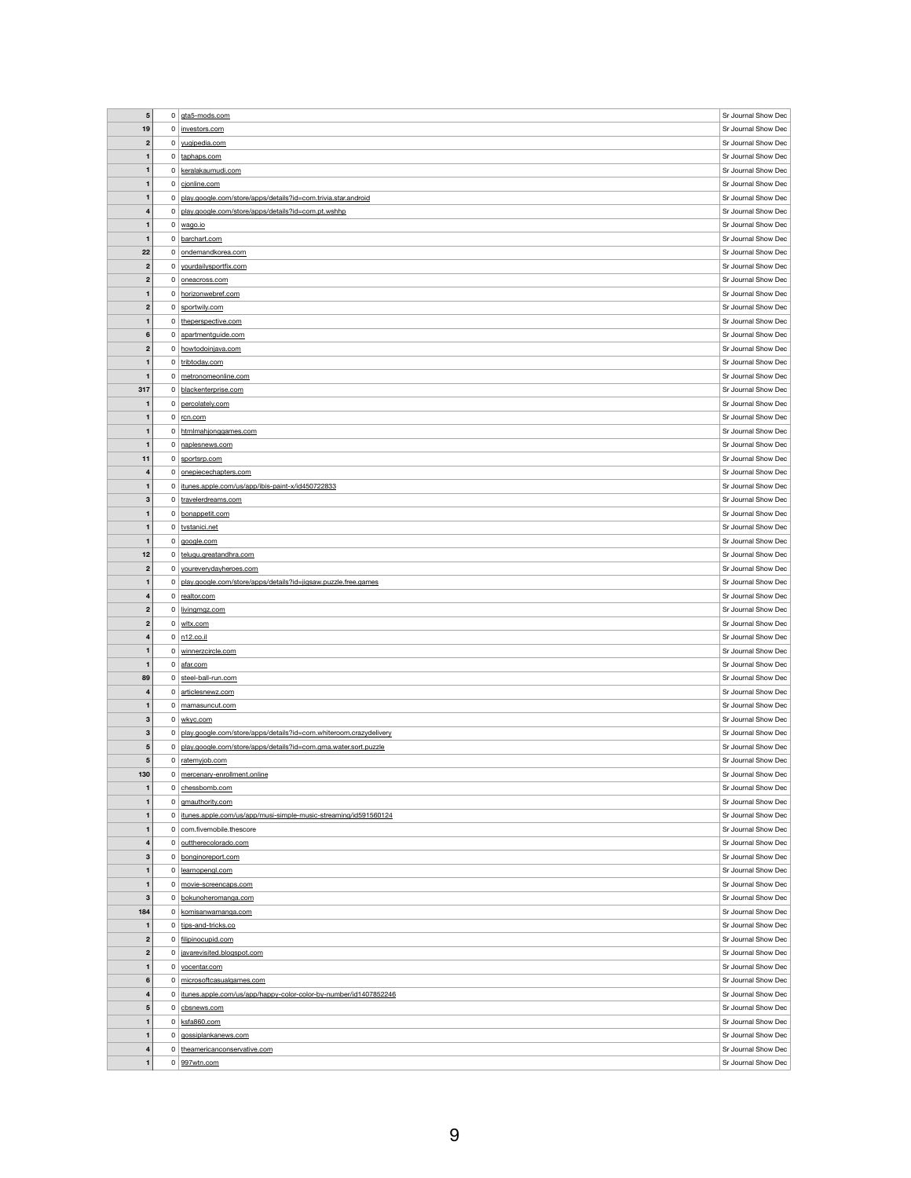| $5\phantom{1}$          |                | $0$ gta5-mods.com                                                 | Sr Journal Show Dec |
|-------------------------|----------------|-------------------------------------------------------------------|---------------------|
|                         |                |                                                                   |                     |
| 19                      | $\overline{0}$ | investors.com                                                     | Sr Journal Show Dec |
| $\boldsymbol{2}$        |                | 0 yugipedia.com                                                   | Sr Journal Show Dec |
| $\mathbf{1}$            |                | 0 taphaps.com                                                     | Sr Journal Show Dec |
| $\mathbf{1}$            | $\overline{0}$ | keralakaumudi.com                                                 | Sr Journal Show Dec |
| $\mathbf 1$             |                | $0$ cjonline.com                                                  | Sr Journal Show Dec |
|                         |                |                                                                   |                     |
| $\mathbf{1}$            | $\mathbf 0$    | play.google.com/store/apps/details?id=com.trivia.star.android     | Sr Journal Show Dec |
| $\overline{\mathbf{4}}$ | 0              | play.google.com/store/apps/details?id=com.pt.wshhp                | Sr Journal Show Dec |
| $\mathbf 1$             | $\overline{0}$ | wago.io                                                           | Sr Journal Show Dec |
| $\mathbf{1}$            |                | 0 barchart.com                                                    | Sr Journal Show Dec |
|                         |                | 0 ondemandkorea.com                                               | Sr Journal Show Dec |
| 22                      |                |                                                                   |                     |
| $\boldsymbol{2}$        | $\overline{0}$ | yourdailysportfix.com                                             | Sr Journal Show Dec |
| $\mathbf{2}$            | $\overline{0}$ | oneacross.com                                                     | Sr Journal Show Dec |
| $\mathbf{1}$            | $\overline{0}$ | horizonwebref.com                                                 | Sr Journal Show Dec |
| $\boldsymbol{2}$        | $\overline{0}$ | sportwily.com                                                     | Sr Journal Show Dec |
|                         |                |                                                                   |                     |
| $\mathbf{1}$            |                | 0 theperspective.com                                              | Sr Journal Show Dec |
| $6\phantom{1}$          | $\overline{0}$ | apartmentguide.com                                                | Sr Journal Show Dec |
| $\boldsymbol{2}$        | $\overline{0}$ | howtodoinjava.com                                                 | Sr Journal Show Dec |
| $\mathbf{1}$            | $\overline{0}$ | tribtoday.com                                                     | Sr Journal Show Dec |
| $\mathbf 1$             | 0              | metronomeonline.com                                               | Sr Journal Show Dec |
|                         |                |                                                                   |                     |
| 317                     | 0 <sup>1</sup> | blackenterprise.com                                               | Sr Journal Show Dec |
| $\mathbf{1}$            |                | 0 percolately.com                                                 | Sr Journal Show Dec |
| $\mathbf{1}$            | 0              | rcn.com                                                           | Sr Journal Show Dec |
| $\mathbf 1$             | $\mathbf{0}$   | htmlmahjonggames.com                                              | Sr Journal Show Dec |
|                         |                |                                                                   |                     |
| $\mathbf{1}$            | 0 <sup>1</sup> | naplesnews.com                                                    | Sr Journal Show Dec |
| 11                      | 0 <sup>1</sup> | sportsrp.com                                                      | Sr Journal Show Dec |
| 4                       | 0 <sup>1</sup> | onepiecechapters.com                                              | Sr Journal Show Dec |
| $\mathbf{1}$            | $\mathbf{0}$   | itunes.apple.com/us/app/ibis-paint-x/id450722833                  | Sr Journal Show Dec |
| 3                       | 0 <sup>1</sup> | travelerdreams.com                                                | Sr Journal Show Dec |
|                         |                |                                                                   |                     |
| $\mathbf{1}$            |                | 0 bonappetit.com                                                  | Sr Journal Show Dec |
| $\mathbf{1}$            |                | 0 tvstanici.net                                                   | Sr Journal Show Dec |
| $\mathbf{1}$            |                | $0 \mid \text{good}$ e.com                                        | Sr Journal Show Dec |
| 12                      |                | 0 telugu.greatandhra.com                                          | Sr Journal Show Dec |
| $\mathbf{2}$            | 0 <sup>1</sup> | youreverydayheroes.com                                            | Sr Journal Show Dec |
|                         |                |                                                                   |                     |
| $\mathbf{1}$            | 0              | play.google.com/store/apps/details?id=jigsaw.puzzle.free.games    | Sr Journal Show Dec |
|                         |                | $0$ realtor.com                                                   | Sr Journal Show Dec |
| 4                       |                |                                                                   |                     |
| $\mathbf{2}$            | 0              | livingmgz.com                                                     | Sr Journal Show Dec |
|                         | 0 <sup>1</sup> |                                                                   |                     |
| $\mathbf{2}$            |                | wltx.com                                                          | Sr Journal Show Dec |
| 4                       |                | $0 \mid n12 \text{.} \text{co.} \text{ii}$                        | Sr Journal Show Dec |
| $\mathbf{1}$            | $\overline{0}$ | winnerzcircle.com                                                 | Sr Journal Show Dec |
| $\mathbf 1$             | 0 <sup>1</sup> | afar.com                                                          | Sr Journal Show Dec |
| 89                      |                | 0 steel-ball-run.com                                              | Sr Journal Show Dec |
|                         |                |                                                                   |                     |
| 4                       | 0 <sup>1</sup> | articlesnewz.com                                                  | Sr Journal Show Dec |
|                         | 0              | mamasuncut.com                                                    | Sr Journal Show Dec |
| $3\phantom{a}$          |                | $0 \vert$ wkyc.com                                                | Sr Journal Show Dec |
| 3                       | 0              | play.google.com/store/apps/details?id=com.whiteroom.crazydelivery | Sr Journal Show Dec |
| 5                       | $\mathbf 0$    | play.google.com/store/apps/details?id=com.gma.water.sort.puzzle   | Sr Journal Show Dec |
|                         |                |                                                                   |                     |
| $\overline{\mathbf{5}}$ | $\mathbf{0}$   | ratemyjob.com                                                     | Sr Journal Show Dec |
| 130                     | 0              | mercenary-enrollment.online                                       | Sr Journal Show Dec |
| -1                      | $\mathbf{0}$   | chessbomb.com                                                     | Sr Journal Show Dec |
| $\mathbf{1}$            | 0 <sup>1</sup> | gmauthority.com                                                   | Sr Journal Show Dec |
| $\mathbf{1}$            | $\mathbf 0$    | itunes.apple.com/us/app/musi-simple-music-streaming/id591560124   | Sr Journal Show Dec |
|                         |                |                                                                   |                     |
| 1                       | 0 <sup>1</sup> | com.fivemobile.thescore                                           | Sr Journal Show Dec |
| $\overline{\mathbf{4}}$ | $\overline{0}$ | outtherecolorado.com                                              | Sr Journal Show Dec |
| 3                       | $\mathbf{0}$   | bonginoreport.com                                                 | Sr Journal Show Dec |
| -1                      | 0 <sup>1</sup> | learnopengl.com                                                   | Sr Journal Show Dec |
|                         |                |                                                                   |                     |
| $\mathbf{1}$            | $\mathbf{0}$   | movie-screencaps.com                                              | Sr Journal Show Dec |
| 3                       | $\mathbf 0$    | bokunoheromanga.com                                               | Sr Journal Show Dec |
| 184                     | $\mathbf 0$    | komisanwamanga.com                                                | Sr Journal Show Dec |
| $\mathbf 1$             | 0 <sup>1</sup> | tips-and-tricks.co                                                | Sr Journal Show Dec |
| $\mathbf{2}$            | 0 <sup>1</sup> | filipinocupid.com                                                 | Sr Journal Show Dec |
|                         | $\overline{0}$ |                                                                   |                     |
| $\mathbf{2}$            |                | javarevisited.blogspot.com                                        | Sr Journal Show Dec |
| $\mathbf{1}$            | $\mathbf{0}$   | vocentar.com                                                      | Sr Journal Show Dec |
| $6\phantom{1}6$         | $\mathbf{0}$   | microsoftcasualgames.com                                          | Sr Journal Show Dec |
| 4                       | 0              | itunes.apple.com/us/app/happy-color-color-by-number/id1407852246  | Sr Journal Show Dec |
| $\overline{\mathbf{5}}$ | 0              | cbsnews.com                                                       | Sr Journal Show Dec |
|                         | 0              |                                                                   |                     |
| $\mathbf{1}$            |                | ksfa860.com                                                       | Sr Journal Show Dec |
| $\mathbf{1}$            |                | 0 gossiplankanews.com                                             | Sr Journal Show Dec |
| $\overline{\mathbf{4}}$ | $\Omega$       | theamericanconservative.com                                       | Sr Journal Show Dec |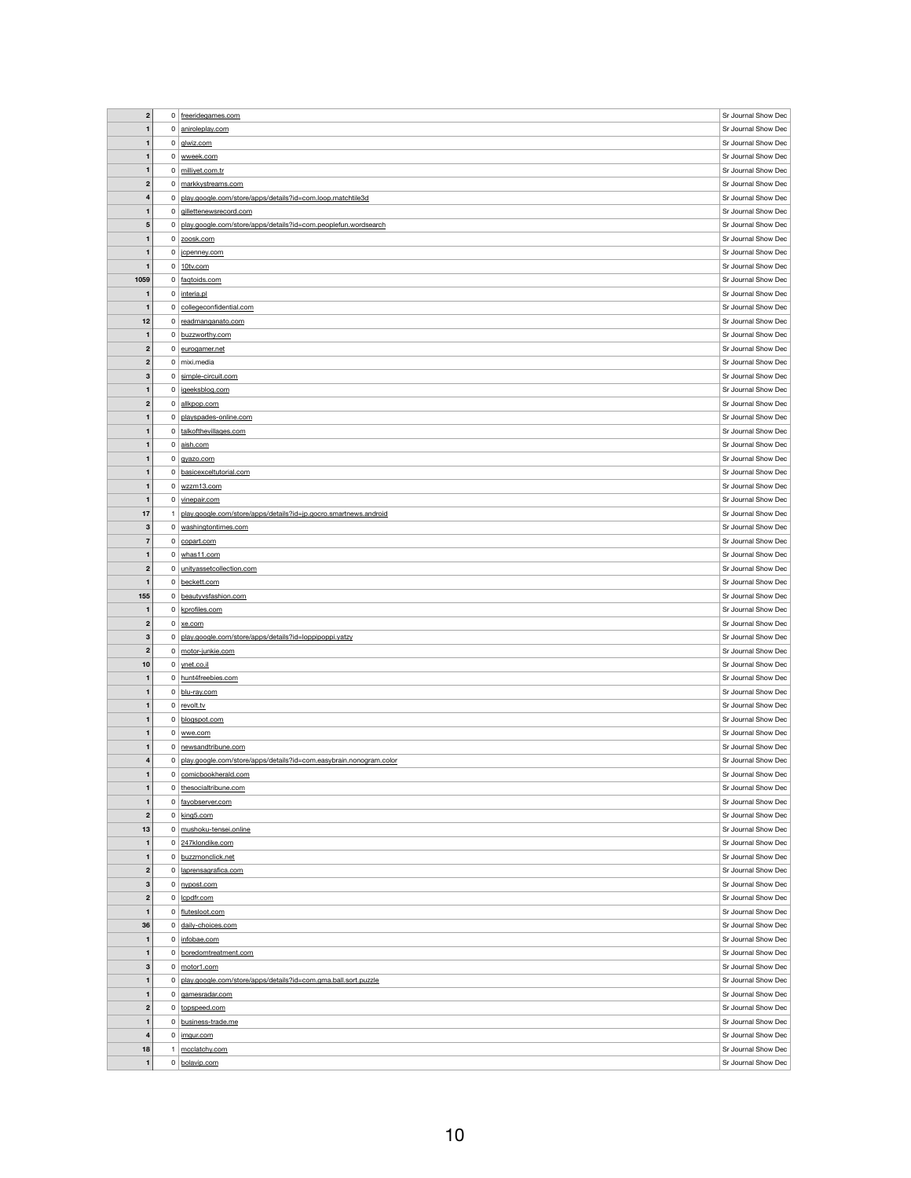| $\overline{\mathbf{2}}$ |                | $0$ freeridegames.com                                                | Sr Journal Show Dec |
|-------------------------|----------------|----------------------------------------------------------------------|---------------------|
| $\mathbf{1}$            |                | 0 aniroleplay.com                                                    | Sr Journal Show Dec |
| 1                       |                | $0$ glwiz.com                                                        | Sr Journal Show Dec |
| 1                       |                | 0 wweek.com                                                          | Sr Journal Show Dec |
|                         |                |                                                                      |                     |
| $\mathbf{1}$            |                | 0 milliyet.com.tr                                                    | Sr Journal Show Dec |
| $\boldsymbol{2}$        |                | 0 markkystreams.com                                                  | Sr Journal Show Dec |
| 4                       |                | 0 play.google.com/store/apps/details?id=com.loop.matchtile3d         | Sr Journal Show Dec |
| $\mathbf{1}$            |                | 0 gillettenewsrecord.com                                             | Sr Journal Show Dec |
| $\sqrt{5}$              |                | 0   play.google.com/store/apps/details?id=com.peoplefun.wordsearch   | Sr Journal Show Dec |
| 1                       |                | $0 \vert$ zoosk.com                                                  | Sr Journal Show Dec |
| $\mathbf{1}$            |                | 0   jcpenney.com                                                     | Sr Journal Show Dec |
| $\mathbf 1$             |                | $0$ 10tv.com                                                         | Sr Journal Show Dec |
| 1059                    |                | 0 faqtoids.com                                                       | Sr Journal Show Dec |
| $\mathbf{1}$            |                |                                                                      | Sr Journal Show Dec |
|                         | 0              | interia.pl                                                           |                     |
| 1                       |                | 0 collegeconfidential.com                                            | Sr Journal Show Dec |
| 12                      |                | 0 readmanganato.com                                                  | Sr Journal Show Dec |
| $\mathbf{1}$            |                | 0 buzzworthy.com                                                     | Sr Journal Show Dec |
| $\boldsymbol{2}$        |                | 0 eurogamer.net                                                      | Sr Journal Show Dec |
| $\boldsymbol{2}$        |                | $0 \mid$ mixi.media                                                  | Sr Journal Show Dec |
| $\mathbf 3$             |                | 0 simple-circuit.com                                                 | Sr Journal Show Dec |
| 1                       |                | 0 igeeksblog.com                                                     | Sr Journal Show Dec |
| $\boldsymbol{2}$        | $\mathsf{O}$   | allkpop.com                                                          | Sr Journal Show Dec |
| $\mathbf{1}$            |                | 0   playspades-online.com                                            | Sr Journal Show Dec |
|                         |                |                                                                      |                     |
| $\mathbf{1}$            |                | 0 talkofthevillages.com                                              | Sr Journal Show Dec |
| $\mathbf{1}$            |                | $0 \mid$ aish.com                                                    | Sr Journal Show Dec |
| 1                       | 0 <sup>1</sup> | gyazo.com                                                            | Sr Journal Show Dec |
| 1                       |                | 0 basicexceltutorial.com                                             | Sr Journal Show Dec |
| $\mathbf{1}$            |                | $0 \vert$ wzzm13.com                                                 | Sr Journal Show Dec |
| $\mathbf{1}$            |                | 0 vinepair.com                                                       | Sr Journal Show Dec |
| 17                      |                | play.google.com/store/apps/details?id=jp.gocro.smartnews.android     | Sr Journal Show Dec |
| $\mathbf{3}$            |                | 0 washingtontimes.com                                                | Sr Journal Show Dec |
| $\overline{7}$          |                | $0$ copart.com                                                       | Sr Journal Show Dec |
| 1                       |                | $0 \mid \text{whas11.com}$                                           | Sr Journal Show Dec |
|                         |                | 0   unityassetcollection.com                                         | Sr Journal Show Dec |
| $\boldsymbol{2}$        |                |                                                                      |                     |
| 1                       |                | $0$ beckett.com                                                      | Sr Journal Show Dec |
|                         |                |                                                                      |                     |
| 155                     |                | 0 beautyvsfashion.com                                                | Sr Journal Show Dec |
| $\mathbf{1}$            | $\mathbf{0}$   | kprofiles.com                                                        | Sr Journal Show Dec |
| $\mathbf{2}$            |                | $0 \mid \underline{\text{xe.com}}$                                   | Sr Journal Show Dec |
| $\mathbf 3$             | 0 <sup>1</sup> | play.google.com/store/apps/details?id=loppipoppi.yatzy               | Sr Journal Show Dec |
| $\mathbf{2}$            | $\mathbf{0}$   | motor-junkie.com                                                     | Sr Journal Show Dec |
| 10                      |                | $0 \mid$ ynet.co.il                                                  | Sr Journal Show Dec |
| 1                       |                | 0 hunt4freebies.com                                                  | Sr Journal Show Dec |
|                         |                |                                                                      |                     |
| $\mathbf{1}$            |                | 0 blu-ray.com                                                        | Sr Journal Show Dec |
| $\mathbf 1$             |                | $0$ revolt.tv                                                        | Sr Journal Show Dec |
| $\mathbf{1}$            |                | 0 blogspot.com                                                       | Sr Journal Show Dec |
| $\mathbf{1}$            |                | $0 \mid$ wwe.com                                                     | Sr Journal Show Dec |
| $\mathbf 1$             |                | $0$ newsandtribune.com                                               | Sr Journal Show Dec |
| 4                       |                | 0 play.google.com/store/apps/details?id=com.easybrain.nonogram.color | Sr Journal Show Dec |
| 1                       |                | 0 comicbookherald.com                                                | Sr Journal Show Dec |
| $\mathbf 1$             | 0              | thesocialtribune.com                                                 | Sr Journal Show Dec |
| $\mathbf{1}$            |                | 0 fayobserver.com                                                    | Sr Journal Show Dec |
| $\boldsymbol{2}$        |                | $0 \mid$ king 5.com                                                  | Sr Journal Show Dec |
|                         |                | 0 mushoku-tensei.online                                              | Sr Journal Show Dec |
| 13                      |                |                                                                      |                     |
| $\mathbf{1}$            |                | 0 247klondike.com                                                    | Sr Journal Show Dec |
| 1                       |                | 0 buzzmonclick.net                                                   | Sr Journal Show Dec |
| $\boldsymbol{2}$        |                | 0   laprensagrafica.com                                              | Sr Journal Show Dec |
| $\mathbf{3}$            |                | 0 nypost.com                                                         | Sr Journal Show Dec |
| $\boldsymbol{2}$        |                | $0$   $lcpdfr.com$                                                   | Sr Journal Show Dec |
| 1                       |                | 0 flutesloot.com                                                     | Sr Journal Show Dec |
| 36                      |                | 0 daily-choices.com                                                  | Sr Journal Show Dec |
| 1                       |                | 0   infobae.com                                                      | Sr Journal Show Dec |
| $\mathbf{1}$            |                | 0 boredomtreatment.com                                               | Sr Journal Show Dec |
| $\mathbf{3}$            |                | $0 \mid motor1.com$                                                  | Sr Journal Show Dec |
|                         |                |                                                                      |                     |
| 1                       | 0 <sup>1</sup> | play.google.com/store/apps/details?id=com.gma.ball.sort.puzzle       | Sr Journal Show Dec |
| 1                       |                | 0 gamesradar.com                                                     | Sr Journal Show Dec |
| $\boldsymbol{2}$        | $0 \mid$       | topspeed.com                                                         | Sr Journal Show Dec |
| $\mathbf{1}$            |                | $0$ business-trade.me                                                | Sr Journal Show Dec |
| $\overline{\mathbf{4}}$ |                | $0 \mid$ imgur.com                                                   | Sr Journal Show Dec |
| 18                      |                | mcclatchy.com                                                        | Sr Journal Show Dec |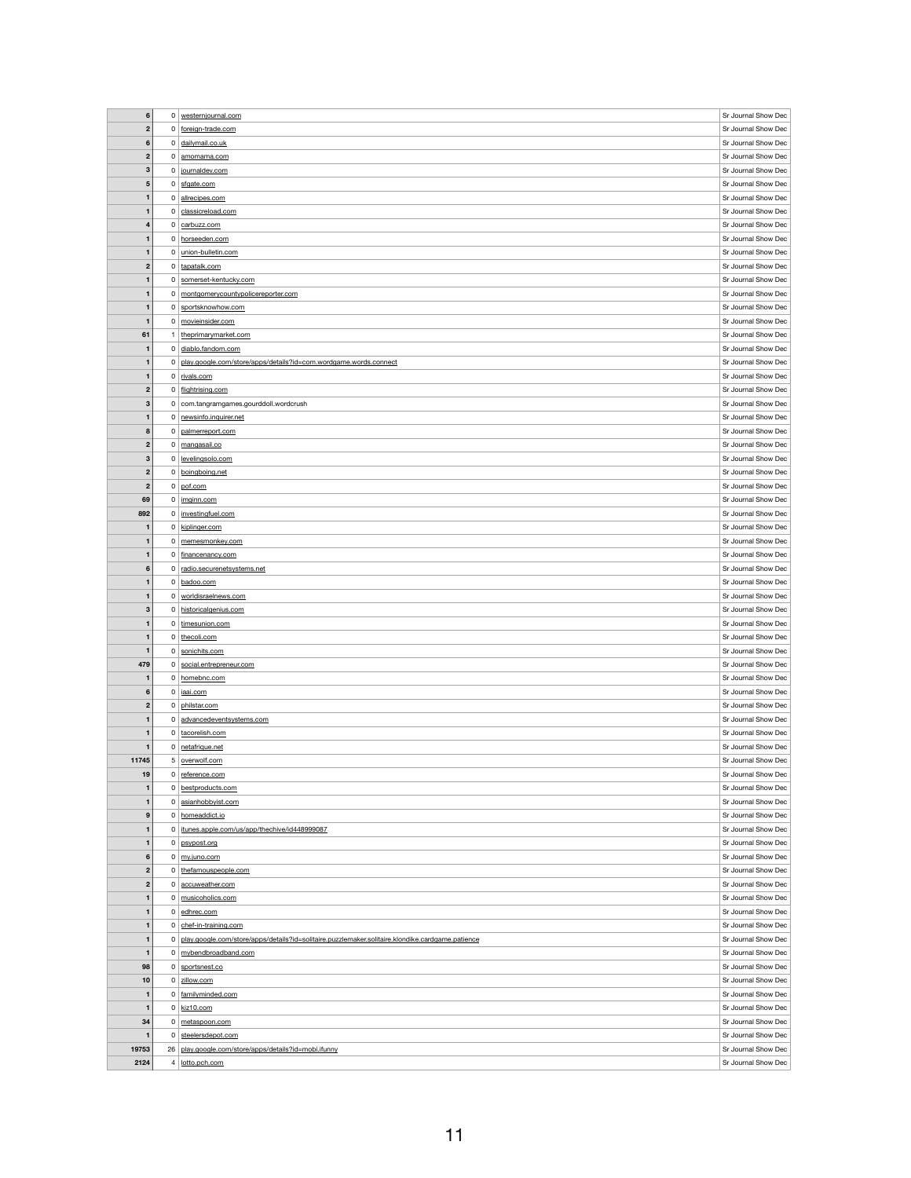| $\bf 6$                 | $\overline{0}$ | westernjournal.com                                                                               | Sr Journal Show Dec                        |
|-------------------------|----------------|--------------------------------------------------------------------------------------------------|--------------------------------------------|
|                         |                |                                                                                                  |                                            |
| $\mathbf{2}$            |                | 0 foreign-trade.com                                                                              | Sr Journal Show Dec                        |
| $6\phantom{1}6$         |                | 0 dailymail.co.uk                                                                                | Sr Journal Show Dec                        |
| $\boldsymbol{2}$        | $\overline{0}$ | amomama.com                                                                                      | Sr Journal Show Dec                        |
| $\mathbf{3}$            |                | 0 journaldev.com                                                                                 | Sr Journal Show Dec                        |
|                         |                |                                                                                                  | Sr Journal Show Dec                        |
| $\sqrt{5}$              |                | $0 \mid$ sfgate.com                                                                              |                                            |
| $\mathbf{1}$            |                | 0 allrecipes.com                                                                                 | Sr Journal Show Dec                        |
| $\mathbf{1}$            |                | 0 classicreload.com                                                                              | Sr Journal Show Dec                        |
| $\overline{\mathbf{4}}$ |                | 0 carbuzz.com                                                                                    | Sr Journal Show Dec                        |
| $\mathbf{1}$            |                | 0 horseeden.com                                                                                  | Sr Journal Show Dec                        |
| $\mathbf{1}$            | $\overline{0}$ | union-bulletin.com                                                                               | Sr Journal Show Dec                        |
|                         |                |                                                                                                  |                                            |
| $\boldsymbol{2}$        | $\overline{0}$ | tapatalk.com                                                                                     | Sr Journal Show Dec                        |
| $\mathbf{1}$            | $\overline{0}$ | somerset-kentucky.com                                                                            | Sr Journal Show Dec                        |
| $\mathbf{1}$            | $\mathbf{0}$   | montgomerycountypolicereporter.com                                                               | Sr Journal Show Dec                        |
| $\mathbf 1$             | $\overline{0}$ | sportsknowhow.com                                                                                | Sr Journal Show Dec                        |
| $\mathbf{1}$            | $\overline{0}$ | movieinsider.com                                                                                 | Sr Journal Show Dec                        |
| 61                      |                | theprimarymarket.com                                                                             | Sr Journal Show Dec                        |
|                         |                |                                                                                                  | Sr Journal Show Dec                        |
| $\mathbf 1$             | $\overline{0}$ | diablo.fandom.com                                                                                |                                            |
| $\mathbf{1}$            | $\mathbf 0$    | play.google.com/store/apps/details?id=com.wordgame.words.connect                                 | Sr Journal Show Dec                        |
| $\mathbf{1}$            |                | $0$ rivals.com                                                                                   | Sr Journal Show Dec                        |
| $\boldsymbol{2}$        |                | 0 flightrising.com                                                                               | Sr Journal Show Dec                        |
| 3                       |                | 0 com.tangramgames.gourddoll.wordcrush                                                           | Sr Journal Show Dec                        |
| $\mathbf{1}$            | $\overline{0}$ | newsinfo.inquirer.net                                                                            | Sr Journal Show Dec                        |
|                         |                |                                                                                                  |                                            |
| 8                       | 0              | palmerreport.com                                                                                 | Sr Journal Show Dec                        |
| $\mathbf{2}$            | $\overline{0}$ | mangasail.co                                                                                     | Sr Journal Show Dec                        |
| 3                       |                | 0 levelingsolo.com                                                                               | Sr Journal Show Dec                        |
| $\mathbf{2}$            |                | 0 boingboing.net                                                                                 | Sr Journal Show Dec                        |
| $\mathbf{2}$            |                | $0$ pof.com                                                                                      | Sr Journal Show Dec                        |
| 69                      |                | $0 \mid \underline{imginn.com}$                                                                  | Sr Journal Show Dec                        |
|                         |                |                                                                                                  |                                            |
| 892                     |                | 0   investingfuel.com                                                                            | Sr Journal Show Dec                        |
| $\mathbf 1$             | $\overline{0}$ | kiplinger.com                                                                                    | Sr Journal Show Dec                        |
| $\mathbf 1$             |                | 0 memesmonkey.com                                                                                | Sr Journal Show Dec                        |
| $\mathbf{1}$            | 0 <sup>1</sup> | financenancy.com                                                                                 | Sr Journal Show Dec                        |
| $6\phantom{1}6$         | 0 <sup>1</sup> | radio.securenetsystems.net                                                                       | Sr Journal Show Dec                        |
| $\mathbf 1$             | 0 <sup>1</sup> | badoo.com                                                                                        | Sr Journal Show Dec                        |
|                         |                |                                                                                                  |                                            |
|                         |                |                                                                                                  |                                            |
| $\mathbf{1}$            |                | 0 worldisraelnews.com                                                                            | Sr Journal Show Dec                        |
| $\mathbf{3}$            |                | 0 historicalgenius.com                                                                           | Sr Journal Show Dec                        |
| 1                       | 0 <sup>1</sup> | timesunion.com                                                                                   | Sr Journal Show Dec                        |
| $\mathbf{1}$            |                | 0 thecoli.com                                                                                    | Sr Journal Show Dec                        |
| $\mathbf{1}$            |                | 0 sonichits.com                                                                                  | Sr Journal Show Dec                        |
| 479                     | 0 <sup>1</sup> | social.entrepreneur.com                                                                          | Sr Journal Show Dec                        |
|                         |                |                                                                                                  |                                            |
| $\mathbf{1}$            |                | 0 homebnc.com                                                                                    | Sr Journal Show Dec                        |
| 6                       |                | $0$   iaai.com                                                                                   | Sr Journal Show Dec                        |
| $\mathbf{2}$            | 0 <sup>1</sup> | philstar.com                                                                                     | Sr Journal Show Dec                        |
| $\mathbf{1}$            |                | 0 advancedeventsystems.com                                                                       | Sr Journal Show Dec                        |
| $\mathbf{1}$            |                | 0 tacorelish.com                                                                                 | Sr Journal Show Dec                        |
| $\mathbf 1$             |                | 0 netafrique.net                                                                                 | Sr Journal Show Dec                        |
| 11745                   |                | 5 overwolf.com                                                                                   | Sr Journal Show Dec                        |
|                         |                |                                                                                                  |                                            |
| 19                      |                | 0 reference.com                                                                                  | Sr Journal Show Dec                        |
| 1                       | 0 <sup>1</sup> | bestproducts.com                                                                                 | Sr Journal Show Dec                        |
| $\mathbf{1}$            | 0 <sup>1</sup> | asianhobbyist.com                                                                                | Sr Journal Show Dec                        |
| $9$                     | 0 <sup>1</sup> | homeaddict.io                                                                                    | Sr Journal Show Dec                        |
| $\mathbf{1}$            | 0 <sup>1</sup> | itunes.apple.com/us/app/thechive/id448999087                                                     | Sr Journal Show Dec                        |
| $\mathbf{1}$            | $\mathbf{0}$   | psypost.org                                                                                      | Sr Journal Show Dec                        |
| $6\phantom{1}6$         | $\mathbf{0}$   | my.juno.com                                                                                      | Sr Journal Show Dec                        |
|                         |                |                                                                                                  |                                            |
| $\mathbf{2}$            | $\overline{0}$ | thefamouspeople.com                                                                              | Sr Journal Show Dec                        |
| $\mathbf{2}$            | $\mathbf{0}$   | accuweather.com                                                                                  | Sr Journal Show Dec                        |
| $\mathbf 1$             |                | 0 musicoholics.com                                                                               | Sr Journal Show Dec                        |
| $\mathbf{1}$            | 0              | edhrec.com                                                                                       | Sr Journal Show Dec                        |
| $\mathbf{1}$            | 0 <sup>1</sup> | chef-in-training.com                                                                             | Sr Journal Show Dec                        |
| $\mathbf 1$             | 0              | play.google.com/store/apps/details?id=solitaire.puzzlemaker.solitaire.klondike.cardgame.patience | Sr Journal Show Dec                        |
|                         |                |                                                                                                  |                                            |
| $\mathbf{1}$            |                | 0 mybendbroadband.com                                                                            | Sr Journal Show Dec                        |
| 98                      | 0              | sportsnest.co                                                                                    | Sr Journal Show Dec                        |
| 10                      | 0              | zillow.com                                                                                       | Sr Journal Show Dec                        |
| $\mathbf{1}$            |                | 0 familyminded.com                                                                               | Sr Journal Show Dec                        |
| $\mathbf{1}$            |                | $0$ kiz10.com                                                                                    | Sr Journal Show Dec                        |
| 34                      | 0              | metaspoon.com                                                                                    | Sr Journal Show Dec                        |
| $\mathbf{1}$            | $\overline{0}$ | steelersdepot.com                                                                                | Sr Journal Show Dec                        |
|                         |                |                                                                                                  |                                            |
| 19753<br>2124           |                | 26   play.google.com/store/apps/details?id=mobi.ifunny<br>4   lotto.pch.com                      | Sr Journal Show Dec<br>Sr Journal Show Dec |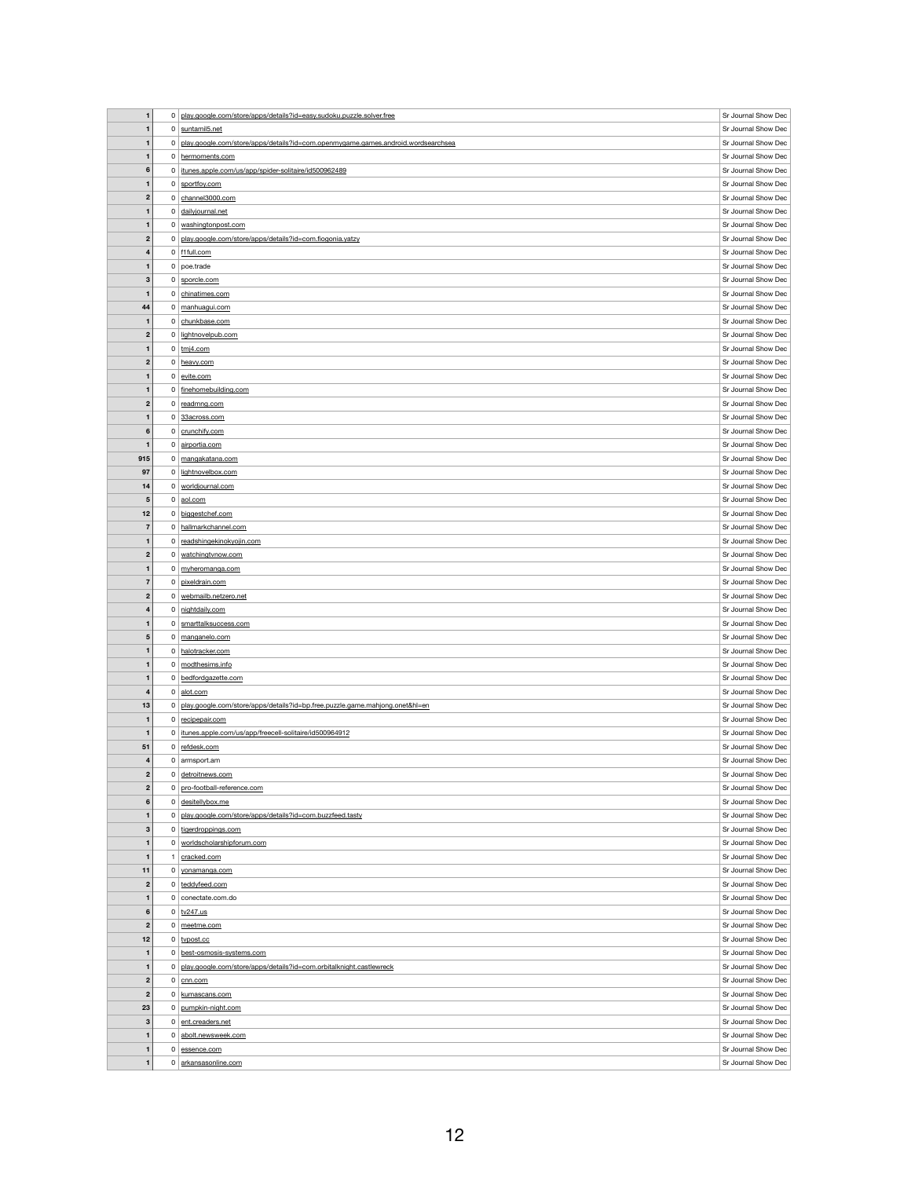|                  | $\mathbf{0}$   | play.google.com/store/apps/details?id=easy.sudoku.puzzle.solver.free             | Sr Journal Show Dec |
|------------------|----------------|----------------------------------------------------------------------------------|---------------------|
| $\mathbf{1}$     |                | $0$ suntamil <sub>5</sub> .net                                                   | Sr Journal Show Dec |
| $\mathbf{1}$     | 0 <sup>1</sup> | play.google.com/store/apps/details?id=com.openmygame.games.android.wordsearchsea | Sr Journal Show Dec |
| $\mathbf{1}$     |                | 0 hermoments.com                                                                 | Sr Journal Show Dec |
| 6                | 0              | itunes.apple.com/us/app/spider-solitaire/id500962489                             | Sr Journal Show Dec |
|                  |                |                                                                                  |                     |
| 1                |                | $0$ sportfoy.com                                                                 | Sr Journal Show Dec |
| $\boldsymbol{2}$ |                | $0$ channel3000.com                                                              | Sr Journal Show Dec |
| $\mathbf 1$      |                | 0 dailyjournal.net                                                               | Sr Journal Show Dec |
| $\mathbf{1}$     |                | 0 washingtonpost.com                                                             | Sr Journal Show Dec |
| $\boldsymbol{2}$ |                | 0 play.google.com/store/apps/details?id=com.fiogonia.yatzy                       | Sr Journal Show Dec |
|                  |                | $0$ f1full.com                                                                   | Sr Journal Show Dec |
| 4                |                |                                                                                  |                     |
| $\mathbf{1}$     |                | $0$ poe.trade                                                                    | Sr Journal Show Dec |
| $\mathbf 3$      |                | 0 sporcle.com                                                                    | Sr Journal Show Dec |
| $\mathbf 1$      |                | $0$ chinatimes.com                                                               | Sr Journal Show Dec |
| 44               |                | 0 manhuagui.com                                                                  | Sr Journal Show Dec |
| $\mathbf{1}$     |                | 0 chunkbase.com                                                                  | Sr Journal Show Dec |
|                  |                |                                                                                  | Sr Journal Show Dec |
| $\boldsymbol{2}$ | $\mathbf{0}$   | lightnovelpub.com                                                                |                     |
| $\mathbf{1}$     |                | $0 \mid \underline{tmj4.com}$                                                    | Sr Journal Show Dec |
| $\boldsymbol{2}$ |                | 0 heavy.com                                                                      | Sr Journal Show Dec |
|                  |                | $0$ evite.com                                                                    | Sr Journal Show Dec |
| $\mathbf{1}$     |                | 0 finehomebuilding.com                                                           | Sr Journal Show Dec |
| $\mathbf{2}$     |                | $0$ readmng.com                                                                  | Sr Journal Show Dec |
|                  |                |                                                                                  | Sr Journal Show Dec |
| $\mathbf{1}$     |                | 0 33across.com                                                                   |                     |
| 6                |                | $0$ crunchify.com                                                                | Sr Journal Show Dec |
| 1                |                | 0 airportia.com                                                                  | Sr Journal Show Dec |
| 915              |                | 0 mangakatana.com                                                                | Sr Journal Show Dec |
| 97               | 0 <sup>1</sup> | lightnovelbox.com                                                                | Sr Journal Show Dec |
| 14               |                | 0 worldjournal.com                                                               | Sr Journal Show Dec |
|                  |                |                                                                                  |                     |
| $\sqrt{5}$       |                | $0 \mid \frac{\text{aol.com}}{\text{aol.com}}$                                   | Sr Journal Show Dec |
| 12               |                | 0 biggestchef.com                                                                | Sr Journal Show Dec |
| $\overline{7}$   |                | 0 hallmarkchannel.com                                                            | Sr Journal Show Dec |
| $\mathbf{1}$     |                | 0 readshingekinokyojin.com                                                       | Sr Journal Show Dec |
| $\boldsymbol{2}$ |                | 0   watchingtvnow.com                                                            | Sr Journal Show Dec |
| 1                |                | 0 myheromanga.com                                                                | Sr Journal Show Dec |
|                  |                |                                                                                  |                     |
|                  |                |                                                                                  |                     |
| $\overline{7}$   |                | 0 pixeldrain.com                                                                 | Sr Journal Show Dec |
| $\boldsymbol{2}$ |                | 0 webmailb.netzero.net                                                           | Sr Journal Show Dec |
| 4                |                | 0 nightdaily.com                                                                 | Sr Journal Show Dec |
| $\mathbf{1}$     |                | 0   smarttalksuccess.com                                                         | Sr Journal Show Dec |
| $5\phantom{1}$   |                |                                                                                  |                     |
|                  |                | 0 manganelo.com                                                                  | Sr Journal Show Dec |
| 1                |                | 0 halotracker.com                                                                | Sr Journal Show Dec |
| $\mathbf{1}$     |                | $0 \mid$ modthesims.info                                                         | Sr Journal Show Dec |
| $\mathbf{1}$     |                | 0 bedfordgazette.com                                                             | Sr Journal Show Dec |
| 4                | $\mathbf{0}$   | alot.com                                                                         | Sr Journal Show Dec |
| 13               |                | 0 play.google.com/store/apps/details?id=bp.free.puzzle.game.mahjong.onet&hl=en   | Sr Journal Show Dec |
| $\overline{a}$   |                | 0 recipepair.com                                                                 | Sr Journal Show Dec |
|                  | 0 <sup>1</sup> |                                                                                  |                     |
| $\mathbf{1}$     |                | itunes.apple.com/us/app/freecell-solitaire/id500964912                           | Sr Journal Show Dec |
| 51               |                | 0 refdesk.com                                                                    | Sr Journal Show Dec |
| 4                |                | $0$ armsport.am                                                                  | Sr Journal Show Dec |
| $\boldsymbol{2}$ |                | 0 detroitnews.com                                                                | Sr Journal Show Dec |
| $\mathbf{2}$     |                | 0   pro-football-reference.com                                                   | Sr Journal Show Dec |
| 6                |                | $0$ desitellybox.me                                                              | Sr Journal Show Dec |
| 1                | 0 <sup>1</sup> | play.google.com/store/apps/details?id=com.buzzfeed.tasty                         | Sr Journal Show Dec |
|                  |                |                                                                                  |                     |
| $\mathbf{3}$     | $\mathbf{0}$   | tigerdroppings.com                                                               | Sr Journal Show Dec |
| $\mathbf 1$      |                | 0 worldscholarshipforum.com                                                      | Sr Journal Show Dec |
| 1                |                | cracked.com                                                                      | Sr Journal Show Dec |
| 11               | 0              | yonamanga.com                                                                    | Sr Journal Show Dec |
| $\boldsymbol{2}$ |                | 0 teddyfeed.com                                                                  | Sr Journal Show Dec |
| $\mathbf{1}$     |                | $0$ conectate.com.do                                                             | Sr Journal Show Dec |
|                  |                |                                                                                  |                     |
| 6                |                | $0$ tv247.us                                                                     | Sr Journal Show Dec |
| $\boldsymbol{2}$ |                | $0 \mid$ meetme.com                                                              | Sr Journal Show Dec |
| 12               |                | $0$ typost.cc                                                                    | Sr Journal Show Dec |
| $\mathbf{1}$     |                | 0 best-osmosis-systems.com                                                       | Sr Journal Show Dec |
| $\mathbf{1}$     | 0              | play.google.com/store/apps/details?id=com.orbitalknight.castlewreck              | Sr Journal Show Dec |
| $\mathbf{2}$     | $\mathbf{0}$   | cnn.com                                                                          | Sr Journal Show Dec |
|                  | 0 <sup>1</sup> |                                                                                  |                     |
| $\boldsymbol{2}$ |                | kumascans.com                                                                    | Sr Journal Show Dec |
| 23               | 0              | pumpkin-night.com                                                                | Sr Journal Show Dec |
| $\mathbf{3}$     | 0 <sup>1</sup> | ent.creaders.net                                                                 | Sr Journal Show Dec |
| $\mathbf{1}$     |                | 0 abolt.newsweek.com                                                             | Sr Journal Show Dec |
| $\mathbf{1}$     |                | $0$ essence.com                                                                  | Sr Journal Show Dec |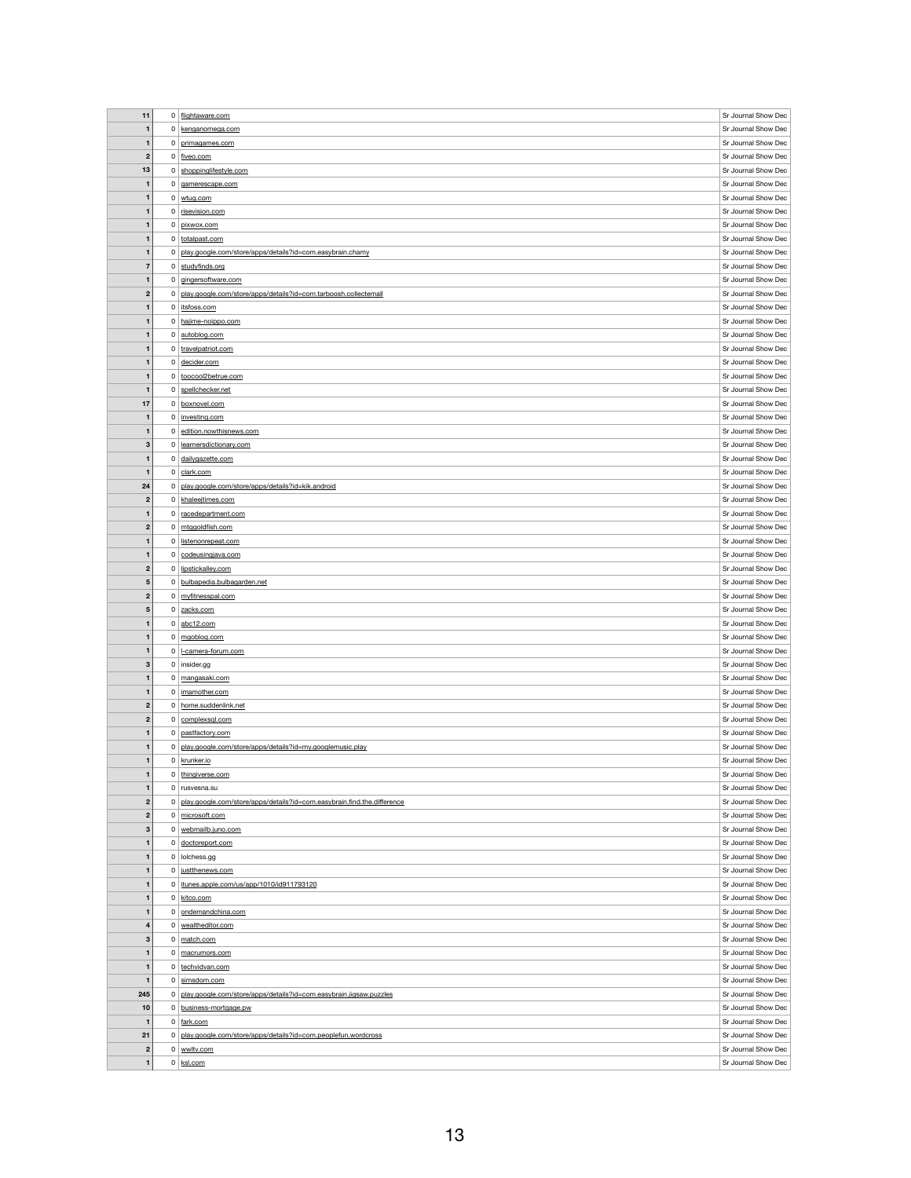| 11                           |                | 0 flightaware.com                                                       | Sr Journal Show Dec                        |
|------------------------------|----------------|-------------------------------------------------------------------------|--------------------------------------------|
|                              |                |                                                                         |                                            |
| $\mathbf{1}$                 |                | 0 kenganomega.com                                                       | Sr Journal Show Dec                        |
| $\mathbf{1}$                 |                | 0 primagames.com                                                        | Sr Journal Show Dec                        |
| $\boldsymbol{2}$             |                | $0 \mid$ fiveo.com                                                      | Sr Journal Show Dec                        |
| 13                           |                | 0 shoppinglifestyle.com                                                 | Sr Journal Show Dec                        |
| $\mathbf 1$                  |                | 0 gamerescape.com                                                       | Sr Journal Show Dec                        |
|                              |                |                                                                         |                                            |
| $\mathbf{1}$                 |                | $0 \vert$ wtug.com                                                      | Sr Journal Show Dec                        |
| $\mathbf{1}$                 |                | 0 risevision.com                                                        | Sr Journal Show Dec                        |
| $\mathbf 1$                  |                | 0 pixwox.com                                                            | Sr Journal Show Dec                        |
| $\mathbf 1$                  |                | 0 totalpast.com                                                         | Sr Journal Show Dec                        |
| $\mathbf{1}$                 | 0 <sup>1</sup> | play.google.com/store/apps/details?id=com.easybrain.chamy               | Sr Journal Show Dec                        |
|                              |                |                                                                         |                                            |
| $\overline{7}$               |                | 0 studyfinds.org                                                        | Sr Journal Show Dec                        |
| $\mathbf{1}$                 |                | 0 gingersoftware.com                                                    | Sr Journal Show Dec                        |
| $\boldsymbol{2}$             | 0 <sup>1</sup> | play.google.com/store/apps/details?id=com.tarboosh.collectemall         | Sr Journal Show Dec                        |
| $\mathbf 1$                  |                | 0   itsfoss.com                                                         | Sr Journal Show Dec                        |
| $\mathbf 1$                  |                | 0 hajime-noippo.com                                                     | Sr Journal Show Dec                        |
|                              |                |                                                                         |                                            |
| $\mathbf 1$                  |                | 0 autoblog.com                                                          | Sr Journal Show Dec                        |
| $\mathbf 1$                  |                | 0   travelpatriot.com                                                   | Sr Journal Show Dec                        |
| $\mathbf 1$                  |                | $0$ decider.com                                                         | Sr Journal Show Dec                        |
| $\mathbf 1$                  |                | 0 toocool2betrue.com                                                    | Sr Journal Show Dec                        |
| $\mathbf 1$                  |                | $0$ spellchecker.net                                                    | Sr Journal Show Dec                        |
|                              |                |                                                                         |                                            |
| 17                           |                | 0 boxnovel.com                                                          | Sr Journal Show Dec                        |
| $\mathbf{1}$                 |                | 0   investing.com                                                       | Sr Journal Show Dec                        |
| $\mathbf{1}$                 |                | 0 edition.nowthisnews.com                                               | Sr Journal Show Dec                        |
| $\mathbf{3}$                 |                | 0   learnersdictionary.com                                              | Sr Journal Show Dec                        |
|                              |                |                                                                         | Sr Journal Show Dec                        |
| $\mathbf 1$                  |                | 0 dailygazette.com                                                      |                                            |
| $\mathbf{1}$                 |                | $0$ clark.com                                                           | Sr Journal Show Dec                        |
| 24                           | 0 <sup>1</sup> | play.google.com/store/apps/details?id=kik.android                       | Sr Journal Show Dec                        |
| $\boldsymbol{2}$             |                | $0$ khaleejtimes.com                                                    | Sr Journal Show Dec                        |
| $\mathbf 1$                  |                | 0 racedepartment.com                                                    | Sr Journal Show Dec                        |
|                              |                |                                                                         |                                            |
| $\mathbf{2}$                 |                | $0 \mid m$ tggoldfish.com                                               | Sr Journal Show Dec                        |
| $\mathbf 1$                  | 0 <sup>1</sup> | listenonrepeat.com                                                      | Sr Journal Show Dec                        |
| $\mathbf 1$                  |                | $0$ codeusing java.com                                                  | Sr Journal Show Dec                        |
| $\mathbf{2}$                 | $\mathbf{0}$   | lipstickalley.com                                                       | Sr Journal Show Dec                        |
| ${\bf 5}$                    |                | 0 bulbapedia.bulbagarden.net                                            | Sr Journal Show Dec                        |
|                              |                |                                                                         |                                            |
| $\mathbf{2}$                 |                | $0 \mid$ myfitnesspal.com                                               | Sr Journal Show Dec                        |
| $5\phantom{1}$               |                | 0 zacks.com                                                             | Sr Journal Show Dec                        |
| $\mathbf 1$                  |                | $0  $ abc12.com                                                         | Sr Journal Show Dec                        |
| $\mathbf 1$                  |                | $0 \mid \text{mgoblog.com}$                                             | Sr Journal Show Dec                        |
| $\mathbf{1}$                 |                | 0   L-camera-forum.com                                                  | Sr Journal Show Dec                        |
|                              |                |                                                                         |                                            |
| $\mathbf{3}$                 |                | $0$ insider.gg                                                          | Sr Journal Show Dec                        |
| $\mathbf 1$                  |                | 0 mangasaki.com                                                         | Sr Journal Show Dec                        |
| $\mathbf{1}$                 |                | 0   imamother.com                                                       | Sr Journal Show Dec                        |
| $\boldsymbol{2}$             |                | 0 home.suddenlink.net                                                   | Sr Journal Show Dec                        |
| $\boldsymbol{2}$             |                | $0$ complexsql.com                                                      | Sr Journal Show Dec                        |
|                              |                |                                                                         |                                            |
| $\mathbf 1$                  |                | 0   pastfactory.com                                                     | Sr Journal Show Dec                        |
| $\mathbf 1$                  | 0 <sup>1</sup> | play.google.com/store/apps/details?id=my.googlemusic.play               | Sr Journal Show Dec                        |
| $\mathbf{1}$                 |                | 0 krunker.io                                                            | Sr Journal Show Dec                        |
| $\mathbf 1$                  |                | 0 thingiverse.com                                                       | Sr Journal Show Dec                        |
| $\mathbf 1$                  |                | $0$ rusvesna.su                                                         | Sr Journal Show Dec                        |
|                              |                |                                                                         |                                            |
| $\boldsymbol{2}$             | 0              | play.google.com/store/apps/details?id=com.easybrain.find.the.difference | Sr Journal Show Dec                        |
| $\boldsymbol{2}$             |                | 0 microsoft.com                                                         | Sr Journal Show Dec                        |
| $\mathbf{3}$                 | $\mathbf{0}$   | webmailb.juno.com                                                       | Sr Journal Show Dec                        |
| $\mathbf 1$                  | 0 <sup>1</sup> | doctoreport.com                                                         | Sr Journal Show Dec                        |
| $\mathbf{1}$                 |                | $0$   lolchess.gg                                                       | Sr Journal Show Dec                        |
|                              |                |                                                                         |                                            |
| 1                            |                | 0 justthenews.com                                                       | Sr Journal Show Dec                        |
| $\mathbf 1$                  | 0              | itunes.apple.com/us/app/1010/id911793120                                | Sr Journal Show Dec                        |
| $\mathbf 1$                  |                |                                                                         |                                            |
| 1                            |                | $0$ kitco.com                                                           | Sr Journal Show Dec                        |
|                              |                | 0 ondemandchina.com                                                     |                                            |
|                              |                |                                                                         | Sr Journal Show Dec                        |
| $\overline{\mathbf{4}}$      | 0 <sup>1</sup> | wealtheditor.com                                                        | Sr Journal Show Dec                        |
| $\mathbf{3}$                 |                | $0 \mid \text{match.com}$                                               | Sr Journal Show Dec                        |
| $\mathbf 1$                  | $\mathbf{0}$   | macrumors.com                                                           | Sr Journal Show Dec                        |
| $\mathbf 1$                  |                | 0 techvidvan.com                                                        | Sr Journal Show Dec                        |
|                              |                |                                                                         |                                            |
| $\mathbf 1$                  | 0 <sup>1</sup> | simsdom.com                                                             | Sr Journal Show Dec                        |
| 245                          | 0 <sup>1</sup> | play.google.com/store/apps/details?id=com.easybrain.jigsaw.puzzles      | Sr Journal Show Dec                        |
| 10                           | 0 <sup>1</sup> | business-mortgage.pw                                                    | Sr Journal Show Dec                        |
| $\mathbf{1}$                 | 0 <sup>1</sup> | fark.com                                                                | Sr Journal Show Dec                        |
| 21                           |                | 0 play.google.com/store/apps/details?id=com.peoplefun.wordcross         | Sr Journal Show Dec                        |
|                              |                |                                                                         |                                            |
| $\mathbf{2}$<br>$\mathbf{1}$ |                | $0 \vert$ wwltv.com<br>$0$ ksl.com                                      | Sr Journal Show Dec<br>Sr Journal Show Dec |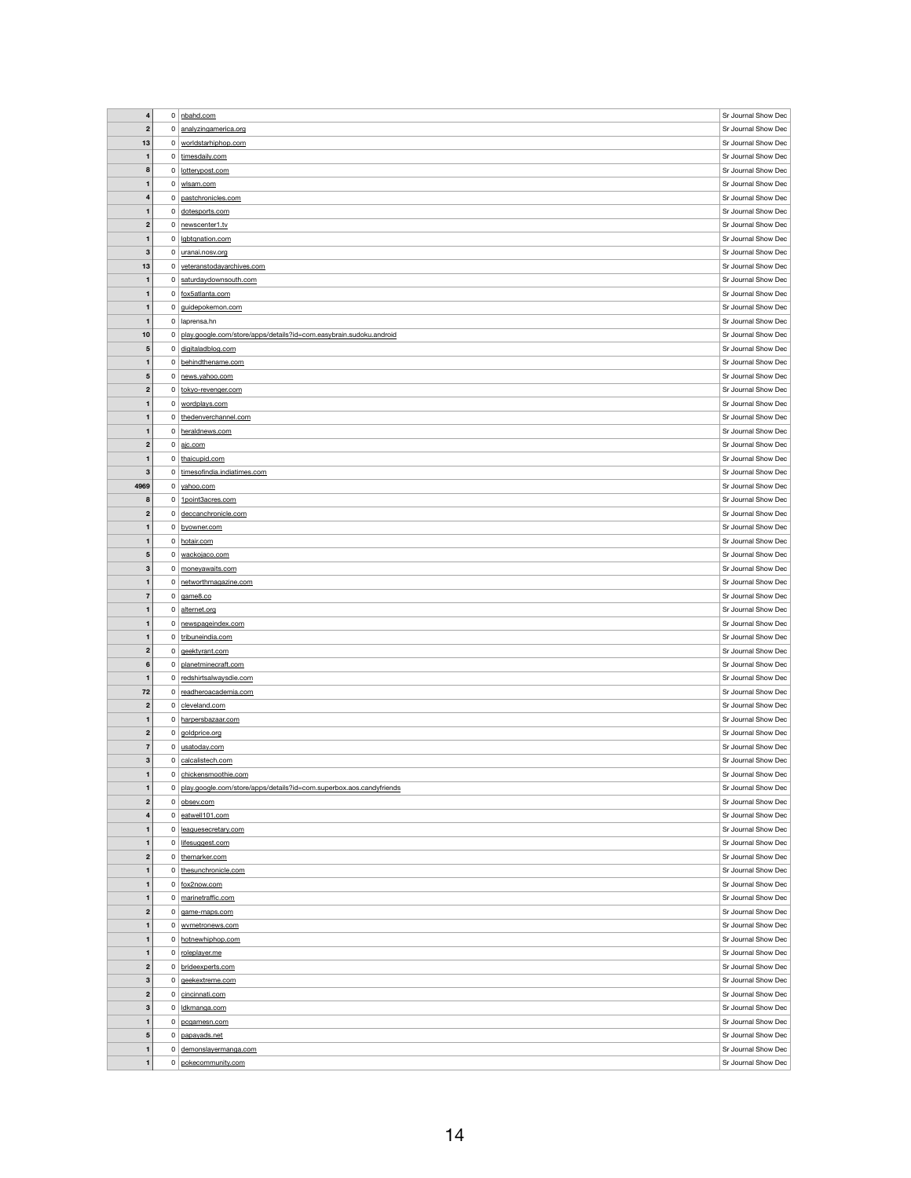| $\overline{\mathbf{4}}$ |                |                                                                       | Sr Journal Show Dec                        |
|-------------------------|----------------|-----------------------------------------------------------------------|--------------------------------------------|
|                         |                | $0$ nbahd.com                                                         |                                            |
| $\boldsymbol{2}$        |                | 0 analyzingamerica.org                                                | Sr Journal Show Dec                        |
| 13                      |                | 0 worldstarhiphop.com                                                 | Sr Journal Show Dec                        |
| 1                       |                | 0 timesdaily.com                                                      | Sr Journal Show Dec                        |
| 8                       |                | 0 lotterypost.com                                                     | Sr Journal Show Dec                        |
| $\mathbf{1}$            |                | $0 \mid \underline{\text{wlsam.com}}$                                 | Sr Journal Show Dec                        |
|                         |                |                                                                       |                                            |
| 4                       |                | 0 pastchronicles.com                                                  | Sr Journal Show Dec                        |
| $\mathbf{1}$            |                | 0 dotesports.com                                                      | Sr Journal Show Dec                        |
| $\boldsymbol{2}$        |                | 0 newscenter1.tv                                                      | Sr Journal Show Dec                        |
| $\mathbf{1}$            |                | 0 gbtqnation.com                                                      | Sr Journal Show Dec                        |
| $\mathbf{3}$            |                | 0 uranai.nosv.org                                                     | Sr Journal Show Dec                        |
| 13                      |                | 0 veteranstodayarchives.com                                           | Sr Journal Show Dec                        |
|                         |                |                                                                       |                                            |
| $\mathbf{1}$            |                | 0 saturdaydownsouth.com                                               | Sr Journal Show Dec                        |
| $\mathbf{1}$            |                | 0 fox5atlanta.com                                                     | Sr Journal Show Dec                        |
| $\mathbf{1}$            |                | 0 guidepokemon.com                                                    | Sr Journal Show Dec                        |
| $\mathbf{1}$            |                | $0$   laprensa.hn                                                     | Sr Journal Show Dec                        |
| 10                      | 0 <sup>1</sup> | play.google.com/store/apps/details?id=com.easybrain.sudoku.android    | Sr Journal Show Dec                        |
| ${\bf 5}$               |                | 0 digitaladblog.com                                                   | Sr Journal Show Dec                        |
|                         |                | 0 behindthename.com                                                   | Sr Journal Show Dec                        |
| $\mathbf{1}$            |                |                                                                       |                                            |
| $\sqrt{5}$              |                | 0 news.yahoo.com                                                      | Sr Journal Show Dec                        |
| $\boldsymbol{2}$        |                | 0 tokyo-revenger.com                                                  | Sr Journal Show Dec                        |
| 1                       |                | 0 wordplays.com                                                       | Sr Journal Show Dec                        |
| $\mathbf{1}$            |                | 0 thedenverchannel.com                                                | Sr Journal Show Dec                        |
| $\mathbf{1}$            |                | 0 heraldnews.com                                                      | Sr Journal Show Dec                        |
| $\boldsymbol{2}$        |                |                                                                       | Sr Journal Show Dec                        |
|                         |                | $0 \mid \underline{\text{ajc.com}}$                                   |                                            |
| 1                       |                | 0 thaicupid.com                                                       | Sr Journal Show Dec                        |
| $\mathbf{3}$            |                | 0 timesofindia.indiatimes.com                                         | Sr Journal Show Dec                        |
| 4969                    |                | 0 yahoo.com                                                           | Sr Journal Show Dec                        |
| 8                       |                | 0 1point3acres.com                                                    | Sr Journal Show Dec                        |
| $\mathbf{2}$            |                | 0 deccanchronicle.com                                                 | Sr Journal Show Dec                        |
| $\mathbf{1}$            |                | 0 byowner.com                                                         | Sr Journal Show Dec                        |
|                         |                |                                                                       | Sr Journal Show Dec                        |
| $\mathbf{1}$            |                | 0 hotair.com                                                          |                                            |
| $\sqrt{5}$              |                | 0   wackojaco.com                                                     | Sr Journal Show Dec                        |
| $\mathbf{3}$            |                | 0 moneyawaits.com                                                     | Sr Journal Show Dec                        |
| 1                       |                | 0 networthmagazine.com                                                | Sr Journal Show Dec                        |
|                         |                |                                                                       |                                            |
| $\overline{7}$          |                | $0 \mid$ game 8.co                                                    | Sr Journal Show Dec                        |
| $\mathbf{1}$            |                |                                                                       |                                            |
|                         |                | 0 alternet.org                                                        | Sr Journal Show Dec                        |
| 1                       |                | 0 newspageindex.com                                                   | Sr Journal Show Dec                        |
| $\mathbf{1}$            |                | 0 tribuneindia.com                                                    | Sr Journal Show Dec                        |
| $\mathbf{2}$            |                | 0 geektyrant.com                                                      | Sr Journal Show Dec                        |
| $6\phantom{1}$          |                | 0 planetminecraft.com                                                 | Sr Journal Show Dec                        |
| $\mathbf{1}$            |                | 0 redshirtsalwaysdie.com                                              | Sr Journal Show Dec                        |
| 72                      |                | 0 readheroacademia.com                                                | Sr Journal Show Dec                        |
| $\boldsymbol{2}$        |                | $0$ cleveland.com                                                     | Sr Journal Show Dec                        |
| $\mathbf{1}$            |                |                                                                       |                                            |
|                         |                | 0 harpersbazaar.com                                                   | Sr Journal Show Dec                        |
| $\boldsymbol{2}$        |                | $0  $ goldprice.org                                                   | Sr Journal Show Dec                        |
| $\overline{7}$          |                | 0 usatoday.com                                                        | Sr Journal Show Dec                        |
| $\mathbf{3}$            |                | 0 calcalistech.com                                                    | Sr Journal Show Dec                        |
| 1                       |                | 0 chickensmoothie.com                                                 | Sr Journal Show Dec                        |
| 1                       |                | 0 play.google.com/store/apps/details?id=com.superbox.aos.candyfriends | Sr Journal Show Dec                        |
| $\boldsymbol{2}$        |                | $0$ obsev.com                                                         | Sr Journal Show Dec                        |
| 4                       |                | $0$ eatwell101.com                                                    | Sr Journal Show Dec                        |
|                         |                |                                                                       |                                            |
| 1                       |                | 0 leaguesecretary.com                                                 | Sr Journal Show Dec                        |
| $\mathbf{1}$            | $\mathbf{0}$   | lifesuggest.com                                                       | Sr Journal Show Dec                        |
| $\boldsymbol{2}$        |                | 0 themarker.com                                                       | Sr Journal Show Dec                        |
| 1                       | $\mathbf{0}$   | thesunchronicle.com                                                   | Sr Journal Show Dec                        |
| $\mathbf{1}$            | $\mathbf{0}$   | fox2now.com                                                           | Sr Journal Show Dec                        |
| $\mathbf{1}$            |                | 0 marinetraffic.com                                                   | Sr Journal Show Dec                        |
| $\boldsymbol{2}$        | $\mathbf{0}$   | game-maps.com                                                         | Sr Journal Show Dec                        |
|                         |                |                                                                       |                                            |
| $\mathbf{1}$            |                | 0 wymetronews.com                                                     | Sr Journal Show Dec                        |
| $\mathbf{1}$            |                | 0 hotnewhiphop.com                                                    | Sr Journal Show Dec                        |
| 1                       |                | 0 roleplayer.me                                                       | Sr Journal Show Dec                        |
| $\mathbf{2}$            |                | 0 brideexperts.com                                                    | Sr Journal Show Dec                        |
| 3                       |                | $0 \mid$ geekextreme.com                                              | Sr Journal Show Dec                        |
| $\overline{2}$          |                | 0 cincinnati.com                                                      | Sr Journal Show Dec                        |
|                         |                |                                                                       |                                            |
| $\mathbf 3$             | 0 <sup>1</sup> | Idkmanga.com                                                          | Sr Journal Show Dec                        |
| $\mathbf{1}$            |                | $0$ pcgamesn.com                                                      | Sr Journal Show Dec                        |
| $5\phantom{.0}$         |                | 0 papayads.net                                                        | Sr Journal Show Dec                        |
| $\mathbf{1}$            |                | 0 demonslayermanga.com<br>0   pokecommunity.com                       | Sr Journal Show Dec<br>Sr Journal Show Dec |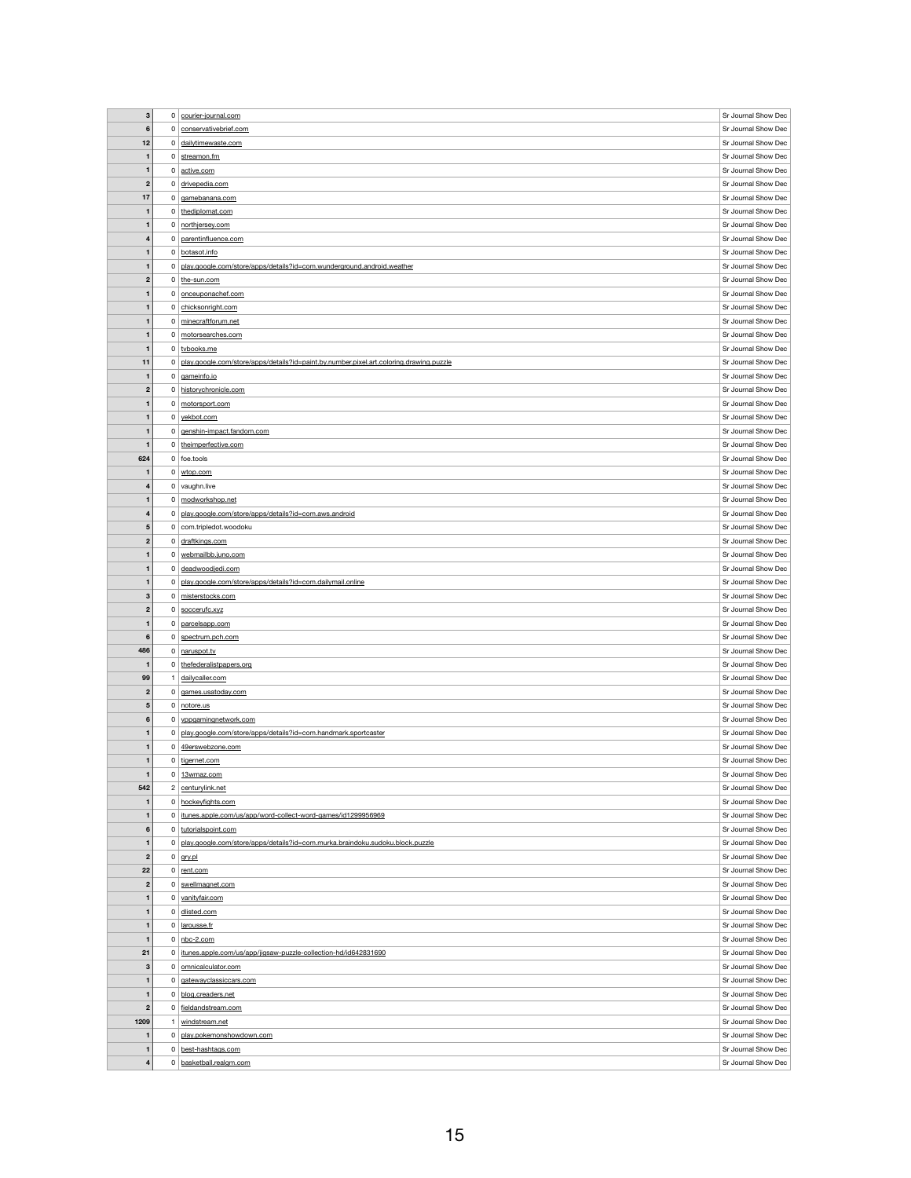| $\mathbf 3$             |                | 0 courier-journal.com                                                                   | Sr Journal Show Dec                        |
|-------------------------|----------------|-----------------------------------------------------------------------------------------|--------------------------------------------|
| $\bf 6$                 |                | 0 conservativebrief.com                                                                 | Sr Journal Show Dec                        |
| 12                      |                | 0 dailytimewaste.com                                                                    | Sr Journal Show Dec                        |
|                         |                | $0$ streamon.fm                                                                         | Sr Journal Show Dec                        |
| 1                       |                |                                                                                         |                                            |
| $\mathbf{1}$            |                | 0 active.com                                                                            | Sr Journal Show Dec                        |
| $\boldsymbol{2}$        |                | 0 drivepedia.com                                                                        | Sr Journal Show Dec                        |
| 17                      |                | $0 \mid$ gamebanana.com                                                                 | Sr Journal Show Dec                        |
| $\mathbf{1}$            |                | 0 thediplomat.com                                                                       | Sr Journal Show Dec                        |
| $\mathbf{1}$            |                | 0 northjersey.com                                                                       | Sr Journal Show Dec                        |
| 4                       |                | 0 parentinfluence.com                                                                   | Sr Journal Show Dec                        |
| $\mathbf{1}$            |                | 0 botasot.info                                                                          | Sr Journal Show Dec                        |
| $\mathbf{1}$            | 0 <sup>1</sup> | play.google.com/store/apps/details?id=com.wunderground.android.weather                  | Sr Journal Show Dec                        |
|                         |                |                                                                                         |                                            |
| $\boldsymbol{2}$        |                | $0  $ the-sun.com                                                                       | Sr Journal Show Dec                        |
| $\mathbf 1$             |                | 0 onceuponachef.com                                                                     | Sr Journal Show Dec                        |
| $\mathbf 1$             |                | 0 chicksonright.com                                                                     | Sr Journal Show Dec                        |
| 1                       |                | $0 \mid$ minecraftforum.net                                                             | Sr Journal Show Dec                        |
| $\mathbf{1}$            | 0 <sup>1</sup> | motorsearches.com                                                                       | Sr Journal Show Dec                        |
| $\mathbf{1}$            |                | 0 tvbooks.me                                                                            | Sr Journal Show Dec                        |
| 11                      | $\mathbf{0}$   | play.google.com/store/apps/details?id=paint.by.number.pixel.art.coloring.drawing.puzzle | Sr Journal Show Dec                        |
| $\mathbf{1}$            |                | 0 gameinfo.io                                                                           | Sr Journal Show Dec                        |
| $\boldsymbol{2}$        |                | 0 historychronicle.com                                                                  | Sr Journal Show Dec                        |
|                         |                |                                                                                         | Sr Journal Show Dec                        |
| 1                       |                | 0 motorsport.com                                                                        |                                            |
| $\mathbf{1}$            | 0 <sup>1</sup> | yekbot.com                                                                              | Sr Journal Show Dec                        |
| 1                       |                | 0 genshin-impact.fandom.com                                                             | Sr Journal Show Dec                        |
| $\mathbf{1}$            |                | 0 the imperfective.com                                                                  | Sr Journal Show Dec                        |
| 624                     |                | $0$ foe.tools                                                                           | Sr Journal Show Dec                        |
| $\mathbf 1$             |                | $0 \mid$ wtop.com                                                                       | Sr Journal Show Dec                        |
| $\overline{\mathbf{4}}$ |                | $0$ vaughn.live                                                                         | Sr Journal Show Dec                        |
| 1                       |                | 0 modworkshop.net                                                                       | Sr Journal Show Dec                        |
|                         |                | 0 play.google.com/store/apps/details?id=com.aws.android                                 | Sr Journal Show Dec                        |
| 4                       |                |                                                                                         |                                            |
| $\overline{\mathbf{5}}$ |                | 0 com.tripledot.woodoku                                                                 | Sr Journal Show Dec                        |
| $\boldsymbol{2}$        |                | $0$ draftkings.com                                                                      | Sr Journal Show Dec                        |
| 1                       | 0 <sup>1</sup> | webmailbb.juno.com                                                                      | Sr Journal Show Dec                        |
| $\mathbf{1}$            |                | 0 deadwoodjedi.com                                                                      | Sr Journal Show Dec                        |
| 1                       | 0 <sup>1</sup> | play.google.com/store/apps/details?id=com.dailymail.online                              | Sr Journal Show Dec                        |
|                         |                |                                                                                         |                                            |
| $\mathbf{3}$            |                | 0 misterstocks.com                                                                      | Sr Journal Show Dec                        |
| $\boldsymbol{2}$        |                | $0$ soccerufc.xyz                                                                       | Sr Journal Show Dec                        |
|                         |                |                                                                                         |                                            |
| 1                       |                | 0 parcelsapp.com                                                                        | Sr Journal Show Dec                        |
| $6\phantom{1}$          |                | $0$ spectrum.pch.com                                                                    | Sr Journal Show Dec                        |
| 486                     |                | 0 naruspot.tv                                                                           | Sr Journal Show Dec                        |
| $\mathbf 1$             | 0              | thefederalistpapers.org                                                                 | Sr Journal Show Dec                        |
| 99                      |                | dailycaller.com                                                                         | Sr Journal Show Dec                        |
| $\boldsymbol{2}$        | 0 <sup>1</sup> | games.usatoday.com                                                                      | Sr Journal Show Dec                        |
| 5                       |                | $0$ notore.us                                                                           | Sr Journal Show Dec                        |
| $6\phantom{1}$          |                | 0 vppgamingnetwork.com                                                                  | Sr Journal Show Dec                        |
| $\mathbf{1}$            |                | 0 play.google.com/store/apps/details?id=com.handmark.sportcaster                        | Sr Journal Show Dec                        |
| $\mathbf 1$             | 0              |                                                                                         |                                            |
|                         |                | 49erswebzone.com                                                                        | Sr Journal Show Dec                        |
| $\mathbf{1}$            |                | $0$   tigernet.com                                                                      | Sr Journal Show Dec                        |
| $\mathbf{1}$            |                | $0$   13wmaz.com                                                                        | Sr Journal Show Dec                        |
| 542                     |                | 2 centurylink.net                                                                       | Sr Journal Show Dec                        |
| $\mathbf 1$             |                | 0 hockeyfights.com                                                                      | Sr Journal Show Dec                        |
| 1                       | 0              | itunes.apple.com/us/app/word-collect-word-games/id1299956969                            | Sr Journal Show Dec                        |
| $6\phantom{1}$          |                | 0 tutorialspoint.com                                                                    | Sr Journal Show Dec                        |
| $\mathbf{1}$            |                | 0 play.google.com/store/apps/details?id=com.murka.braindoku.sudoku.block.puzzle         | Sr Journal Show Dec                        |
| $\mathbf{2}$            |                | $0 \mid$ gry.pl                                                                         | Sr Journal Show Dec                        |
| 22                      | $\mathbf{0}$   | rent.com                                                                                | Sr Journal Show Dec                        |
|                         |                |                                                                                         |                                            |
| $\boldsymbol{2}$        |                | $0$ swellmagnet.com                                                                     | Sr Journal Show Dec                        |
| 1                       |                | 0 vanityfair.com                                                                        | Sr Journal Show Dec                        |
| 1                       |                | 0 dlisted.com                                                                           | Sr Journal Show Dec                        |
| $\mathbf{1}$            |                | $0$   larousse.fr                                                                       | Sr Journal Show Dec                        |
| 1                       |                | $0 \mid$ nbc-2.com                                                                      | Sr Journal Show Dec                        |
| 21                      | 0              | itunes.apple.com/us/app/jigsaw-puzzle-collection-hd/id642831690                         | Sr Journal Show Dec                        |
| $\mathbf{3}$            |                | 0   omnicalculator.com                                                                  | Sr Journal Show Dec                        |
| 1                       | 0 <sup>1</sup> | gatewayclassiccars.com                                                                  | Sr Journal Show Dec                        |
| 1                       |                |                                                                                         | Sr Journal Show Dec                        |
|                         |                | 0 blog.creaders.net                                                                     |                                            |
| $\boldsymbol{2}$        | 0              | fieldandstream.com                                                                      | Sr Journal Show Dec                        |
| 1209                    |                | windstream.net                                                                          | Sr Journal Show Dec                        |
| $\mathbf{1}$            |                | 0 play.pokemonshowdown.com                                                              | Sr Journal Show Dec                        |
| $\mathbf{1}$            |                | 0 best-hashtags.com                                                                     | Sr Journal Show Dec<br>Sr Journal Show Dec |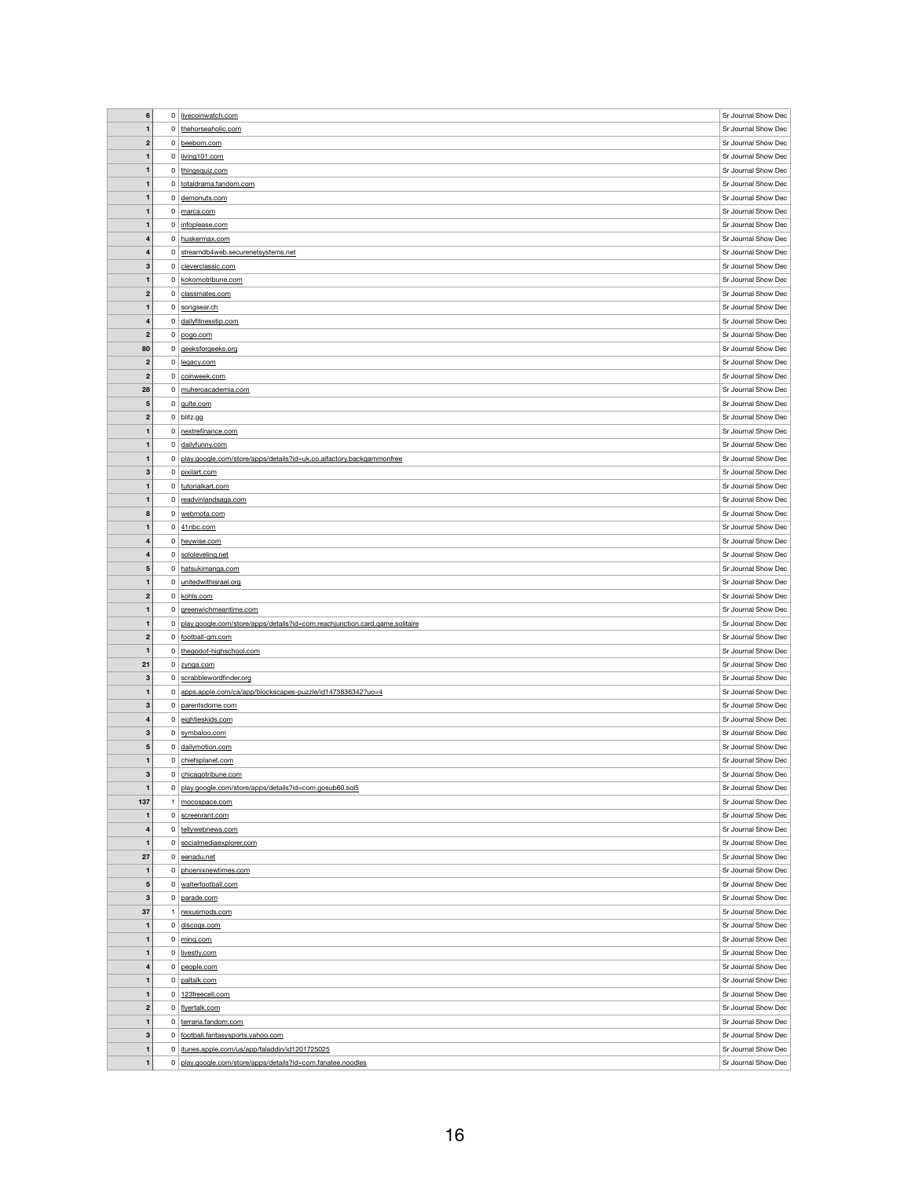| $\bf 6$                      |                | 0 livecoinwatch.com                                                                                            | Sr Journal Show Dec                        |
|------------------------------|----------------|----------------------------------------------------------------------------------------------------------------|--------------------------------------------|
|                              |                |                                                                                                                |                                            |
| $\mathbf{1}$                 |                | 0 thehorseaholic.com                                                                                           | Sr Journal Show Dec                        |
| $\boldsymbol{2}$             |                | 0 beebom.com                                                                                                   | Sr Journal Show Dec                        |
| $\mathbf{1}$                 |                | $0$ living 101.com                                                                                             | Sr Journal Show Dec                        |
| $\mathbf{1}$                 |                | 0 thingsquiz.com                                                                                               | Sr Journal Show Dec                        |
| $\mathbf 1$                  |                | 0 totaldrama.fandom.com                                                                                        | Sr Journal Show Dec                        |
|                              |                |                                                                                                                |                                            |
| $\mathbf{1}$                 |                | $0$ demonuts.com                                                                                               | Sr Journal Show Dec                        |
| $\mathbf{1}$                 |                | $0 \mid$ marca.com                                                                                             | Sr Journal Show Dec                        |
| $\mathbf 1$                  |                | $0$ infoplease.com                                                                                             | Sr Journal Show Dec                        |
| $\overline{\mathbf{4}}$      |                | 0 huskermax.com                                                                                                | Sr Journal Show Dec                        |
| 4                            |                | 0 streamdb4web.securenetsystems.net                                                                            | Sr Journal Show Dec                        |
| $\mathbf{3}$                 |                | 0 cleverclassic.com                                                                                            | Sr Journal Show Dec                        |
| $\mathbf{1}$                 |                | 0 kokomotribune.com                                                                                            | Sr Journal Show Dec                        |
|                              |                |                                                                                                                |                                            |
| $\boldsymbol{2}$             |                | $0$ classmates.com                                                                                             | Sr Journal Show Dec                        |
| $\mathbf 1$                  |                | 0 songsear.ch                                                                                                  | Sr Journal Show Dec                        |
| $\overline{\mathbf{4}}$      |                | 0 dailyfitnesstip.com                                                                                          | Sr Journal Show Dec                        |
| $\mathbf{2}$                 |                | $0  $ pogo.com                                                                                                 | Sr Journal Show Dec                        |
| 80                           |                | $0$ geeksforgeeks.org                                                                                          | Sr Journal Show Dec                        |
| $\boldsymbol{2}$             |                | $0$ legacy.com                                                                                                 | Sr Journal Show Dec                        |
| $\mathbf{2}$                 |                | 0 coinweek.com                                                                                                 | Sr Journal Show Dec                        |
|                              |                |                                                                                                                | Sr Journal Show Dec                        |
| 28                           |                | 0 muheroacademia.com                                                                                           |                                            |
| ${\bf 5}$                    |                | $0 \mid$ gulte.com                                                                                             | Sr Journal Show Dec                        |
| $\mathbf{2}$                 |                | $0$ blitz.gg                                                                                                   | Sr Journal Show Dec                        |
| $\mathbf 1$                  |                | $0$ nextrefinance.com                                                                                          | Sr Journal Show Dec                        |
| $\mathbf{1}$                 |                | 0 dailyfunny.com                                                                                               | Sr Journal Show Dec                        |
| $\mathbf 1$                  | 0 <sup>1</sup> | play.google.com/store/apps/details?id=uk.co.aifactory.backgammonfree                                           | Sr Journal Show Dec                        |
| 3                            |                | 0 pixilart.com                                                                                                 | Sr Journal Show Dec                        |
| $\mathbf 1$                  |                | 0 tutorialkart.com                                                                                             | Sr Journal Show Dec                        |
| $\mathbf 1$                  |                | 0 readvinlandsaga.com                                                                                          | Sr Journal Show Dec                        |
|                              |                |                                                                                                                |                                            |
| 8                            |                | $0$ webmota.com                                                                                                | Sr Journal Show Dec                        |
| $\mathbf{1}$                 |                | $0 \mid 41$ nbc.com                                                                                            | Sr Journal Show Dec                        |
| 4                            |                | 0 heywise.com                                                                                                  | Sr Journal Show Dec                        |
| 4                            |                | 0 sololeveling.net                                                                                             | Sr Journal Show Dec                        |
| $5\phantom{1}$               |                | 0 hatsukimanga.com                                                                                             | Sr Journal Show Dec                        |
| $\mathbf 1$                  |                | $0$ unitedwithisrael.org                                                                                       | Sr Journal Show Dec                        |
|                              |                |                                                                                                                |                                            |
| $\boldsymbol{2}$             |                | $0$ kohls.com                                                                                                  | Sr Journal Show Dec                        |
| 1                            |                | 0 greenwichmeantime.com                                                                                        | Sr Journal Show Dec                        |
| $\mathbf 1$                  | $\mathbf{0}$   |                                                                                                                | Sr Journal Show Dec                        |
|                              |                | play.google.com/store/apps/details?id=com.reachjunction.card.game.solitaire                                    |                                            |
| $\boldsymbol{2}$             |                | 0 football-gm.com                                                                                              | Sr Journal Show Dec                        |
| $\mathbf{1}$                 | 0 <sup>1</sup> | thegodof-highschool.com                                                                                        | Sr Journal Show Dec                        |
| 21                           | 0 <sup>1</sup> | zynga.com                                                                                                      | Sr Journal Show Dec                        |
| 3                            |                | 0   scrabblewordfinder.org                                                                                     | Sr Journal Show Dec                        |
| 1                            |                | 0 apps.apple.com/ca/app/blockscapes-puzzle/id1473836342?uo=4                                                   | Sr Journal Show Dec                        |
| 3                            |                | $0$ parentsdome.com                                                                                            | Sr Journal Show Dec                        |
| 4                            |                | 0 eightieskids.com                                                                                             | Sr Journal Show Dec                        |
| $\mathbf{3}$                 |                | 0 symbaloo.com                                                                                                 | Sr Journal Show Dec                        |
|                              |                |                                                                                                                |                                            |
| $\sqrt{5}$                   |                | 0 dailymotion.com                                                                                              | Sr Journal Show Dec                        |
| $\mathbf{1}$                 |                | $0$ chiefsplanet.com                                                                                           | Sr Journal Show Dec                        |
| 3                            |                | 0 chicagotribune.com                                                                                           | Sr Journal Show Dec                        |
| $\mathbf{1}$                 |                | 0   play.google.com/store/apps/details?id=com.gosub60.sol5                                                     | Sr Journal Show Dec                        |
| 137                          |                | mocospace.com                                                                                                  | Sr Journal Show Dec                        |
| $\mathbf{1}$                 |                | $0$ screenrant.com                                                                                             | Sr Journal Show Dec                        |
| $\overline{\mathbf{4}}$      |                | 0 tellywebnews.com                                                                                             | Sr Journal Show Dec                        |
| $\mathbf{1}$                 |                | 0   socialmediaexplorer.com                                                                                    | Sr Journal Show Dec                        |
|                              |                |                                                                                                                | Sr Journal Show Dec                        |
| 27                           |                | $0$ eenadu.net                                                                                                 |                                            |
| 1                            |                | 0 phoenixnewtimes.com                                                                                          | Sr Journal Show Dec                        |
| $5\phantom{.0}$              |                | 0   walterfootball.com                                                                                         | Sr Journal Show Dec                        |
| 3                            |                | $0$ parade.com                                                                                                 | Sr Journal Show Dec                        |
| 37                           |                | nexusmods.com                                                                                                  | Sr Journal Show Dec                        |
| $\mathbf{1}$                 |                | $0$ discogs.com                                                                                                | Sr Journal Show Dec                        |
| $\mathbf 1$                  |                | $0 \mid \text{minq.com}$                                                                                       | Sr Journal Show Dec                        |
| $\mathbf{1}$                 |                | 0 livestly.com                                                                                                 | Sr Journal Show Dec                        |
| 4                            |                | $0$ people.com                                                                                                 | Sr Journal Show Dec                        |
| $\mathbf 1$                  |                | 0 paltalk.com                                                                                                  | Sr Journal Show Dec                        |
| $\mathbf{1}$                 |                | $0$ 123freecell.com                                                                                            | Sr Journal Show Dec                        |
| $\boldsymbol{2}$             |                | 0 flyertalk.com                                                                                                | Sr Journal Show Dec                        |
| $\mathbf{1}$                 |                | 0 terraria.fandom.com                                                                                          | Sr Journal Show Dec                        |
|                              |                |                                                                                                                |                                            |
| $\mathbf{3}$                 | $\overline{0}$ | football.fantasysports.yahoo.com                                                                               | Sr Journal Show Dec                        |
| $\mathbf{1}$<br>$\mathbf{1}$ | $\mathbf{0}$   | 0   itunes.apple.com/us/app/faladdin/id1201725025<br>play.google.com/store/apps/details?id=com.fanatee.noodles | Sr Journal Show Dec<br>Sr Journal Show Dec |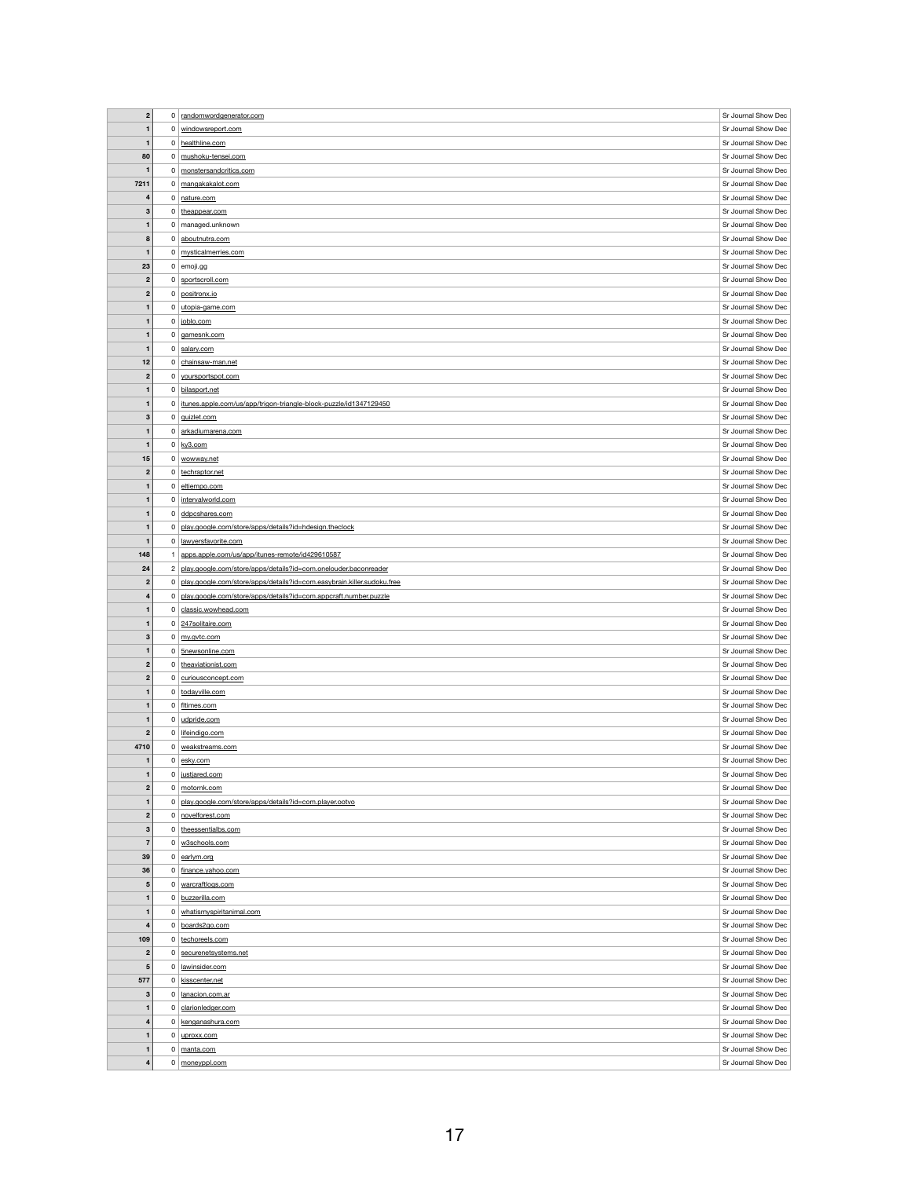| $\overline{2}$          | $\overline{0}$ | randomwordgenerator.com                                                | Sr Journal Show Dec |
|-------------------------|----------------|------------------------------------------------------------------------|---------------------|
| $\mathbf{1}$            | $\overline{0}$ | windowsreport.com                                                      | Sr Journal Show Dec |
|                         |                |                                                                        |                     |
| $\mathbf{1}$            |                | 0 healthline.com                                                       | Sr Journal Show Dec |
| 80                      | $\mathbf 0$    | mushoku-tensei.com                                                     | Sr Journal Show Dec |
| $\mathbf 1$             | 0 <sup>1</sup> | monstersandcritics.com                                                 | Sr Journal Show Dec |
| 7211                    |                | 0 mangakakalot.com                                                     | Sr Journal Show Dec |
| 4                       | $\overline{0}$ | nature.com                                                             | Sr Journal Show Dec |
| $\mathbf{3}$            | $\mathbf{0}$   | theappear.com                                                          | Sr Journal Show Dec |
| $\mathbf 1$             |                | $0 \mid$ managed.unknown                                               | Sr Journal Show Dec |
| 8                       | $\overline{0}$ | aboutnutra.com                                                         | Sr Journal Show Dec |
|                         |                |                                                                        |                     |
| $\mathbf{1}$            | $\overline{0}$ | mysticalmerries.com                                                    | Sr Journal Show Dec |
| 23                      |                | $0$ emoji.gg                                                           | Sr Journal Show Dec |
| $\boldsymbol{2}$        |                | 0 sportscroll.com                                                      | Sr Journal Show Dec |
| $\boldsymbol{2}$        | $\overline{0}$ | positronx.io                                                           | Sr Journal Show Dec |
| $\mathbf 1$             | $\overline{0}$ | utopia-game.com                                                        | Sr Journal Show Dec |
| $\mathbf{1}$            |                | 0 joblo.com                                                            | Sr Journal Show Dec |
| $\mathbf{1}$            | $\overline{0}$ | gamesnk.com                                                            | Sr Journal Show Dec |
| $\mathbf 1$             | $\overline{0}$ | salary.com                                                             | Sr Journal Show Dec |
| 12                      | $\overline{0}$ | chainsaw-man.net                                                       | Sr Journal Show Dec |
|                         |                |                                                                        |                     |
| $\mathbf{2}$            | $\overline{0}$ | yoursportspot.com                                                      | Sr Journal Show Dec |
| $\mathbf 1$             |                | 0 bilasport.net                                                        | Sr Journal Show Dec |
| $\mathbf{1}$            |                | 0 itunes.apple.com/us/app/trigon-triangle-block-puzzle/id1347129450    | Sr Journal Show Dec |
| $\mathbf{3}$            |                | 0 guizlet.com                                                          | Sr Journal Show Dec |
| $\mathbf{1}$            | 0 <sup>1</sup> | arkadiumarena.com                                                      | Sr Journal Show Dec |
| $\mathbf{1}$            |                | $0 \mid \frac{ky3.com}{ky3}$                                           | Sr Journal Show Dec |
| 15                      |                | 0 wowway.net                                                           | Sr Journal Show Dec |
| $\boldsymbol{2}$        |                | 0 techraptor.net                                                       | Sr Journal Show Dec |
|                         |                |                                                                        |                     |
| $\mathbf{1}$            | $\mathbf{0}$   | eltiempo.com                                                           | Sr Journal Show Dec |
| $\mathbf{1}$            |                | 0   intervalworld.com                                                  | Sr Journal Show Dec |
| $\mathbf{1}$            |                | $0$ ddpcshares.com                                                     | Sr Journal Show Dec |
| $\mathbf{1}$            | 0              | play.google.com/store/apps/details?id=hdesign.theclock                 | Sr Journal Show Dec |
| $\mathbf 1$             | 0              | lawyersfavorite.com                                                    | Sr Journal Show Dec |
| 148                     |                | apps.apple.com/us/app/itunes-remote/id429610587                        | Sr Journal Show Dec |
| 24                      | $\mathbf{2}$   | play.google.com/store/apps/details?id=com.onelouder.baconreader        | Sr Journal Show Dec |
| $\mathbf{2}$            | $\mathbf 0$    | play.google.com/store/apps/details?id=com.easybrain.killer.sudoku.free | Sr Journal Show Dec |
|                         |                |                                                                        |                     |
|                         |                |                                                                        |                     |
| $\overline{\mathbf{4}}$ | $\mathbf{0}$   | play.google.com/store/apps/details?id=com.appcraft.number.puzzle       | Sr Journal Show Dec |
| $\mathbf{1}$            | 0 <sup>1</sup> | classic.wowhead.com                                                    | Sr Journal Show Dec |
| $\mathbf 1$             |                | 0 247 solitaire.com                                                    | Sr Journal Show Dec |
| $\mathbf{3}$            | $\mathbf{0}$   | my.gvtc.com                                                            | Sr Journal Show Dec |
| $\mathbf{1}$            |                | 0 5newsonline.com                                                      | Sr Journal Show Dec |
| $\mathbf{2}$            | 0 <sup>1</sup> | theaviationist.com                                                     | Sr Journal Show Dec |
| $\mathbf{2}$            |                | 0 curiousconcept.com                                                   | Sr Journal Show Dec |
| $\mathbf{1}$            |                | 0 todayville.com                                                       | Sr Journal Show Dec |
|                         |                | 0 fltimes.com                                                          | Sr Journal Show Dec |
|                         |                |                                                                        |                     |
| $\mathbf{1}$            |                | $0$ udpride.com                                                        | Sr Journal Show Dec |
| $\boldsymbol{2}$        | 0 <sup>1</sup> | lifeindigo.com                                                         | Sr Journal Show Dec |
| 4710                    | 0 <sup>1</sup> | weakstreams.com                                                        | Sr Journal Show Dec |
| $\mathbf 1$             |                | $0 \mid$ esky.com                                                      | Sr Journal Show Dec |
| $\mathbf{1}$            | 0 <sup>1</sup> | justjared.com                                                          | Sr Journal Show Dec |
| $\mathbf{2}$            | $\mathbf{0}$   | motornk.com                                                            | Sr Journal Show Dec |
| $\mathbf{1}$            | $\mathbf 0$    | play.google.com/store/apps/details?id=com.player.ootvo                 | Sr Journal Show Dec |
| $\mathbf{2}$            |                | 0 novelforest.com                                                      | Sr Journal Show Dec |
| $\boldsymbol{3}$        | 0              | theessentialbs.com                                                     | Sr Journal Show Dec |
| $\overline{7}$          | $\overline{0}$ | w3schools.com                                                          | Sr Journal Show Dec |
|                         |                |                                                                        |                     |
| 39                      |                | $0$ earlym.org                                                         | Sr Journal Show Dec |
| 36                      | $\overline{0}$ | finance.yahoo.com                                                      | Sr Journal Show Dec |
| ${\bf 5}$               | $\overline{0}$ | warcraftlogs.com                                                       | Sr Journal Show Dec |
| $\mathbf{1}$            |                | 0 buzzerilla.com                                                       | Sr Journal Show Dec |
| $\mathbf{1}$            | $\overline{0}$ | whatismyspiritanimal.com                                               | Sr Journal Show Dec |
| $\overline{\mathbf{4}}$ | $\overline{0}$ | boards2go.com                                                          | Sr Journal Show Dec |
| 109                     |                | 0 techoreels.com                                                       | Sr Journal Show Dec |
| $\mathbf{2}$            | 0 <sup>1</sup> | securenetsystems.net                                                   | Sr Journal Show Dec |
| $\sqrt{5}$              | 0              | lawinsider.com                                                         | Sr Journal Show Dec |
| 577                     | 0 <sup>1</sup> | kisscenter.net                                                         | Sr Journal Show Dec |
|                         |                |                                                                        |                     |
| $\mathbf{3}$            |                | 0   lanacion.com.ar                                                    | Sr Journal Show Dec |
| $\mathbf{1}$            | 0 <sup>1</sup> | clarionledger.com                                                      | Sr Journal Show Dec |
| $\overline{\mathbf{4}}$ | 0              | kenganashura.com                                                       | Sr Journal Show Dec |
| $\mathbf{1}$            |                | $0$ uproxx.com                                                         | Sr Journal Show Dec |
| $\mathbf{1}$            | $\mathbf 0$    | manta.com                                                              | Sr Journal Show Dec |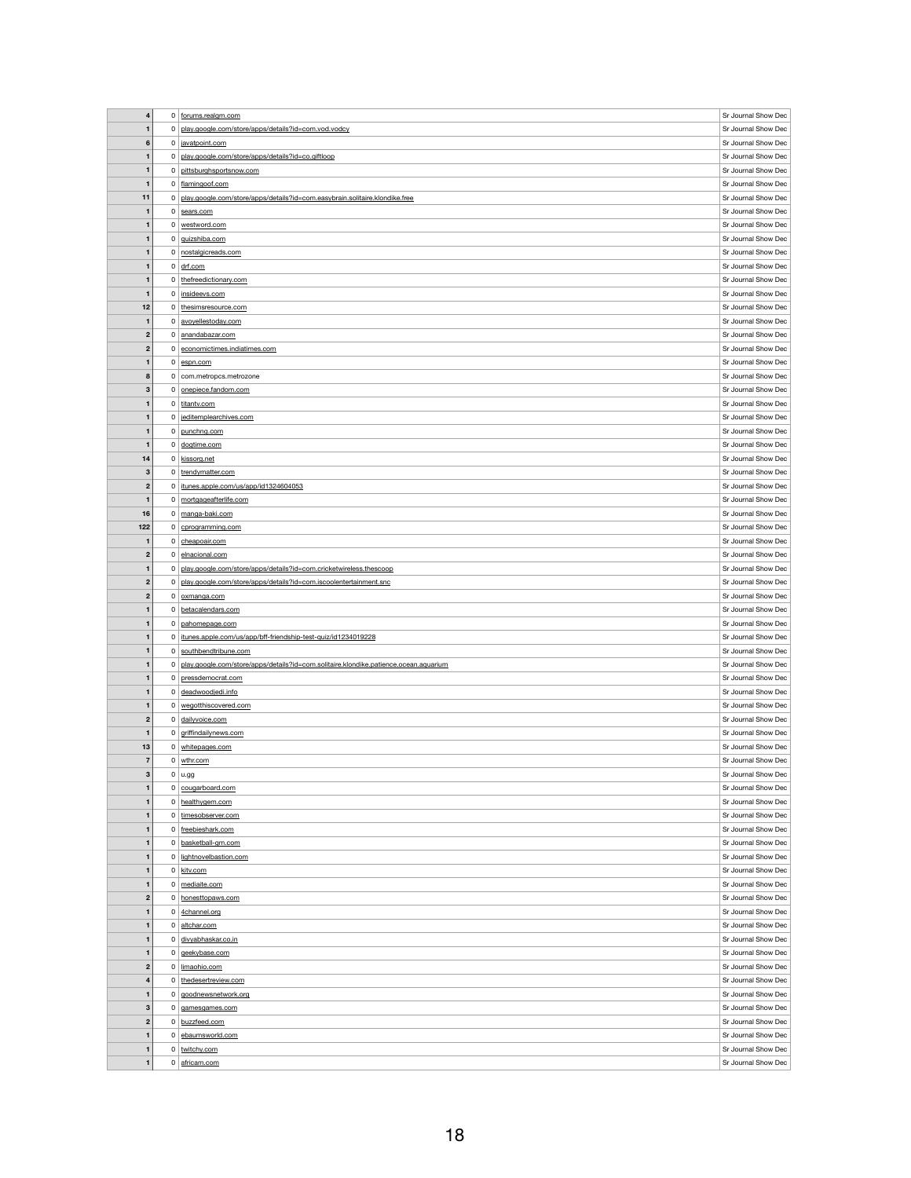| $\overline{\mathbf{4}}$ | $\overline{0}$ | forums.realgm.com                                                                    | Sr Journal Show Dec |
|-------------------------|----------------|--------------------------------------------------------------------------------------|---------------------|
|                         |                |                                                                                      |                     |
| $\mathbf{1}$            | 0              | play.google.com/store/apps/details?id=com.vod.vodcy                                  | Sr Journal Show Dec |
| $6\phantom{1}6$         |                | 0 javatpoint.com                                                                     | Sr Journal Show Dec |
| $\mathbf{1}$            | $\overline{0}$ | play.google.com/store/apps/details?id=co.giftloop                                    | Sr Journal Show Dec |
| $\mathbf{1}$            | $\mathbf{0}$   | pittsburghsportsnow.com                                                              | Sr Journal Show Dec |
| $\mathbf 1$             |                | 0 flamingoof.com                                                                     | Sr Journal Show Dec |
| 11                      | $\overline{0}$ | play.google.com/store/apps/details?id=com.easybrain.solitaire.klondike.free          | Sr Journal Show Dec |
|                         |                |                                                                                      |                     |
| $\mathbf 1$             | $\overline{0}$ | sears.com                                                                            | Sr Journal Show Dec |
| $\mathbf 1$             | $\overline{0}$ | westword.com                                                                         | Sr Journal Show Dec |
| $\mathbf{1}$            |                | 0 guizshiba.com                                                                      | Sr Journal Show Dec |
| $\mathbf{1}$            | 0 <sup>1</sup> | nostalgicreads.com                                                                   | Sr Journal Show Dec |
| $\mathbf 1$             |                | $0 \mid \text{drf.com}$                                                              | Sr Journal Show Dec |
| $\mathbf{1}$            | 0 <sup>1</sup> | thefreedictionary.com                                                                | Sr Journal Show Dec |
|                         |                |                                                                                      | Sr Journal Show Dec |
| $\mathbf{1}$            | 0 <sup>1</sup> | insideevs.com                                                                        |                     |
| 12                      | $\overline{0}$ | thesimsresource.com                                                                  | Sr Journal Show Dec |
| $\mathbf{1}$            |                | 0 avoyellestoday.com                                                                 | Sr Journal Show Dec |
| $\boldsymbol{2}$        | $\mathbf 0$    | anandabazar.com                                                                      | Sr Journal Show Dec |
| $\boldsymbol{2}$        | $\mathbf 0$    | economictimes.indiatimes.com                                                         | Sr Journal Show Dec |
| $\mathbf{1}$            | 0              | espn.com                                                                             | Sr Journal Show Dec |
| 8                       |                | 0 com.metropcs.metrozone                                                             | Sr Journal Show Dec |
| $\mathbf{3}$            | $\overline{0}$ | onepiece.fandom.com                                                                  | Sr Journal Show Dec |
|                         |                |                                                                                      |                     |
| $\mathbf{1}$            |                | 0 titantv.com                                                                        | Sr Journal Show Dec |
| $\mathbf 1$             | 0              | jeditemplearchives.com                                                               | Sr Journal Show Dec |
| $\mathbf{1}$            | $\mathbf{0}$   | punchng.com                                                                          | Sr Journal Show Dec |
| $\mathbf{1}$            |                | 0 dogtime.com                                                                        | Sr Journal Show Dec |
| 14                      | $\overline{0}$ | kissorg.net                                                                          | Sr Journal Show Dec |
| 3                       | 0 <sup>1</sup> | trendymatter.com                                                                     | Sr Journal Show Dec |
|                         |                | itunes.apple.com/us/app/id1324604053                                                 | Sr Journal Show Dec |
| $\mathbf{2}$            | $\mathbf{0}$   |                                                                                      |                     |
|                         | $\mathbf{0}$   | mortgageafterlife.com                                                                | Sr Journal Show Dec |
| 16                      | 0              | manga-baki.com                                                                       | Sr Journal Show Dec |
| 122                     | $\mathbf{0}$   | cprogramming.com                                                                     | Sr Journal Show Dec |
| $\mathbf 1$             | $\mathbf{0}$   | cheapoair.com                                                                        | Sr Journal Show Dec |
| $\mathbf{2}$            | $\mathbf{0}$   | elnacional.com                                                                       | Sr Journal Show Dec |
| $\mathbf{1}$            | 0              | play.google.com/store/apps/details?id=com.cricketwireless.thescoop                   | Sr Journal Show Dec |
| $\mathbf{2}$            | 0              | play.google.com/store/apps/details?id=com.iscoolentertainment.snc                    | Sr Journal Show Dec |
| $\mathbf{2}$            | 0 <sup>1</sup> | oxmanga.com                                                                          | Sr Journal Show Dec |
| $\mathbf{1}$            | $\mathbf 0$    | betacalendars.com                                                                    | Sr Journal Show Dec |
|                         |                |                                                                                      |                     |
| $\mathbf{1}$            | $\mathbf{0}$   | pahomepage.com                                                                       | Sr Journal Show Dec |
| $\mathbf{1}$            | $\mathbf{0}$   | itunes.apple.com/us/app/bff-friendship-test-quiz/id1234019228                        | Sr Journal Show Dec |
| $\mathbf 1$             | $\mathbf{0}$   | southbendtribune.com                                                                 | Sr Journal Show Dec |
| $\mathbf{1}$            | 0              | play.google.com/store/apps/details?id=com.solitaire.klondike.patience.ocean.aquarium | Sr Journal Show Dec |
| $\mathbf{1}$            | $\mathbf{0}$   | pressdemocrat.com                                                                    | Sr Journal Show Dec |
| -1                      | 0 <sup>1</sup> | deadwoodjedi.info                                                                    | Sr Journal Show Dec |
| 1                       |                | 0   wegotthiscovered.com                                                             | Sr Journal Show Dec |
| $\boldsymbol{2}$        |                | 0 dailyvoice.com                                                                     | Sr Journal Show Dec |
| $\mathbf 1$             |                | 0 griffindailynews.com                                                               | Sr Journal Show Dec |
| 13                      |                | 0 whitepages.com                                                                     | Sr Journal Show Dec |
| $\overline{7}$          |                | wthr.com                                                                             | Sr Journal Show Dec |
|                         | $\overline{0}$ |                                                                                      |                     |
| 3                       | $\overline{0}$ | $ $ u.gg                                                                             | Sr Journal Show Dec |
| $\mathbf{1}$            |                | $0$ cougarboard.com                                                                  | Sr Journal Show Dec |
| $\mathbf{1}$            |                | 0 healthygem.com                                                                     | Sr Journal Show Dec |
| $\mathbf 1$             | 0 <sup>1</sup> | timesobserver.com                                                                    | Sr Journal Show Dec |
| $\mathbf{1}$            |                | 0 freebieshark.com                                                                   | Sr Journal Show Dec |
| $\mathbf{1}$            | $\overline{0}$ | basketball-gm.com                                                                    | Sr Journal Show Dec |
| $\mathbf 1$             | $\overline{0}$ | lightnovelbastion.com                                                                | Sr Journal Show Dec |
|                         |                |                                                                                      |                     |
| $\mathbf{1}$            |                | 0 kitv.com                                                                           | Sr Journal Show Dec |
| $\mathbf{1}$            | 0 <sup>1</sup> | mediaite.com                                                                         | Sr Journal Show Dec |
| $\boldsymbol{2}$        | 0 <sup>1</sup> | honesttopaws.com                                                                     | Sr Journal Show Dec |
| $\mathbf{1}$            |                | 0 4channel.org                                                                       | Sr Journal Show Dec |
| $\mathbf{1}$            | 0 <sup>1</sup> | altchar.com                                                                          | Sr Journal Show Dec |
| $\mathbf 1$             |                | 0 divyabhaskar.co.in                                                                 | Sr Journal Show Dec |
| $\mathbf{1}$            |                | 0 geekybase.com                                                                      | Sr Journal Show Dec |
| $\mathbf{2}$            |                | 0 limaohio.com                                                                       | Sr Journal Show Dec |
|                         |                |                                                                                      | Sr Journal Show Dec |
| $\overline{\mathbf{4}}$ |                | 0 thedesertreview.com                                                                |                     |
| $\mathbf{1}$            |                | 0 goodnewsnetwork.org                                                                | Sr Journal Show Dec |
| 3                       | $\mathbf{0}$   | gamesgames.com                                                                       | Sr Journal Show Dec |
| $\mathbf{2}$            |                | 0 buzzfeed.com                                                                       | Sr Journal Show Dec |
| $\mathbf{1}$            |                | 0 ebaumsworld.com                                                                    | Sr Journal Show Dec |
| $\mathbf{1}$            |                | 0 twitchy.com                                                                        | Sr Journal Show Dec |
| $\mathbf{1}$            |                | 0 africam.com                                                                        | Sr Journal Show Dec |
|                         |                |                                                                                      |                     |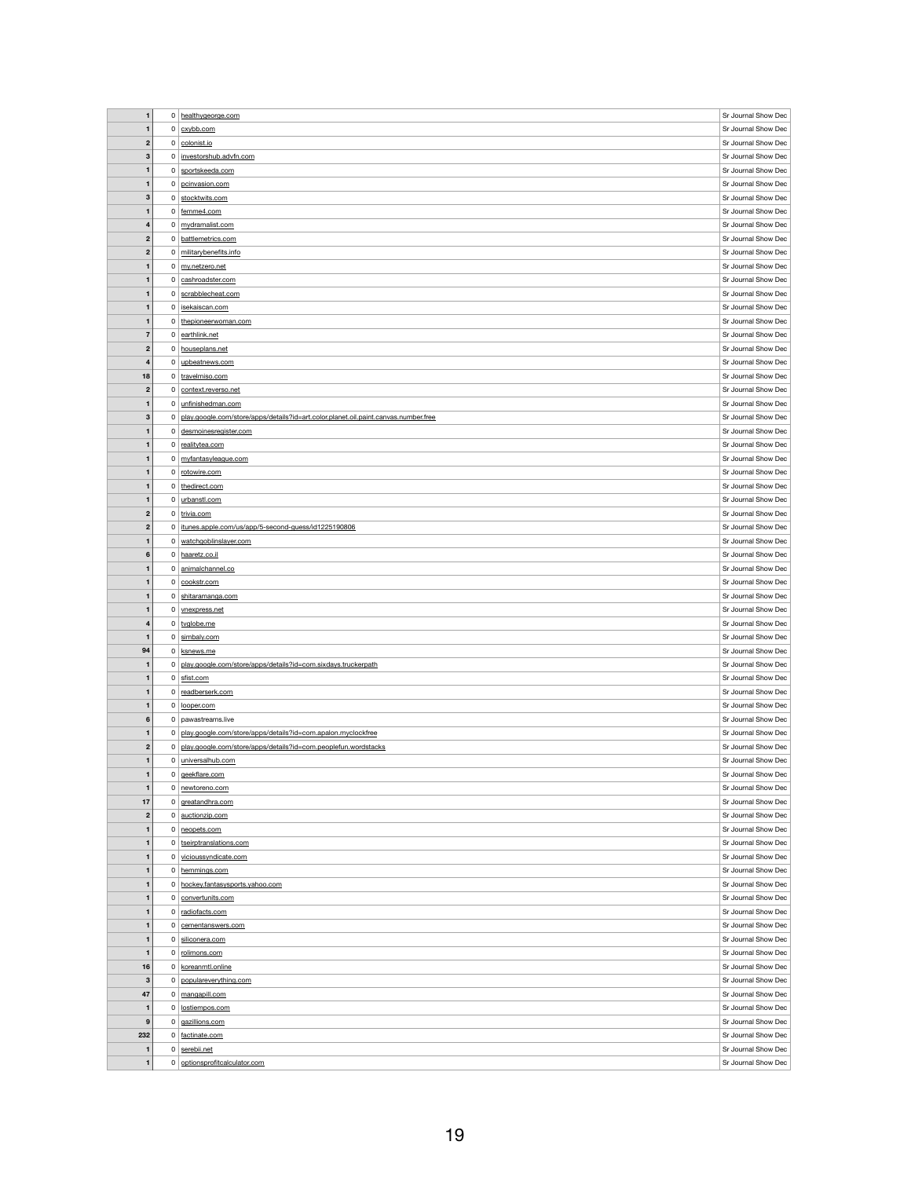| $\mathbf{1}$                 |                | 0 healthygeorge.com                                                                 | Sr Journal Show Dec                        |
|------------------------------|----------------|-------------------------------------------------------------------------------------|--------------------------------------------|
|                              |                |                                                                                     |                                            |
| $\mathbf{1}$                 |                | $0$ $cx$ ybb.com                                                                    | Sr Journal Show Dec                        |
| $\boldsymbol{2}$             |                | $0$ colonist.io                                                                     | Sr Journal Show Dec                        |
| $\mathbf 3$                  |                | 0   investorshub.advfn.com                                                          | Sr Journal Show Dec                        |
| $\mathbf{1}$                 |                | $0$ sportskeeda.com                                                                 | Sr Journal Show Dec                        |
|                              |                |                                                                                     | Sr Journal Show Dec                        |
| 1                            |                | 0 pcinvasion.com                                                                    |                                            |
| $\mathbf 3$                  |                | 0 stocktwits.com                                                                    | Sr Journal Show Dec                        |
| $\mathbf{1}$                 |                | $0$   femme4.com                                                                    | Sr Journal Show Dec                        |
| $\overline{\mathbf{4}}$      |                | 0 mydramalist.com                                                                   | Sr Journal Show Dec                        |
| $\boldsymbol{2}$             |                | 0 battlemetrics.com                                                                 | Sr Journal Show Dec                        |
| $\boldsymbol{2}$             |                | 0 militarybenefits.info                                                             | Sr Journal Show Dec                        |
| 1                            |                | $0 \mid$ my.netzero.net                                                             | Sr Journal Show Dec                        |
|                              |                |                                                                                     |                                            |
| $\mathbf{1}$                 |                | 0 cashroadster.com                                                                  | Sr Journal Show Dec                        |
| $\mathbf{1}$                 |                | $0$ scrabblecheat.com                                                               | Sr Journal Show Dec                        |
| $\mathbf 1$                  |                | 0   isekaiscan.com                                                                  | Sr Journal Show Dec                        |
| $\mathbf{1}$                 |                | 0 thepioneerwoman.com                                                               | Sr Journal Show Dec                        |
| $\overline{7}$               |                | $0$ earthlink.net                                                                   | Sr Journal Show Dec                        |
| $\boldsymbol{2}$             |                | 0 houseplans.net                                                                    | Sr Journal Show Dec                        |
| 4                            |                | $0$ upbeatnews.com                                                                  | Sr Journal Show Dec                        |
| 18                           |                | 0 travelmiso.com                                                                    | Sr Journal Show Dec                        |
|                              |                |                                                                                     |                                            |
| $\boldsymbol{2}$             |                | 0   context.reverso.net                                                             | Sr Journal Show Dec                        |
| $\mathbf{1}$                 |                | 0 unfinishedman.com                                                                 | Sr Journal Show Dec                        |
| 3                            | $\mathbf{0}$   | play.google.com/store/apps/details?id=art.color.planet.oil.paint.canvas.number.free | Sr Journal Show Dec                        |
| 1                            |                | 0 desmoinesregister.com                                                             | Sr Journal Show Dec                        |
| $\mathbf{1}$                 |                | 0 realitytea.com                                                                    | Sr Journal Show Dec                        |
| $\mathbf 1$                  |                | 0 myfantasyleague.com                                                               | Sr Journal Show Dec                        |
| 1                            |                | 0 rotowire.com                                                                      | Sr Journal Show Dec                        |
|                              |                |                                                                                     |                                            |
| $\mathbf{1}$                 |                | 0 thedirect.com                                                                     | Sr Journal Show Dec                        |
| $\mathbf 1$                  |                | $0$ urbanstl.com                                                                    | Sr Journal Show Dec                        |
| $\boldsymbol{2}$             |                | $0$ trivia.com                                                                      | Sr Journal Show Dec                        |
| $\boldsymbol{2}$             |                | 0   itunes.apple.com/us/app/5-second-guess/id1225190806                             | Sr Journal Show Dec                        |
| $\mathbf 1$                  |                | 0   watchgoblinslayer.com                                                           | Sr Journal Show Dec                        |
| 6                            |                | 0 haaretz.co.il                                                                     | Sr Journal Show Dec                        |
| $\mathbf 1$                  |                | 0 animalchannel.co                                                                  | Sr Journal Show Dec                        |
|                              |                |                                                                                     |                                            |
| $\mathbf 1$                  |                | $0$   cookstr.com                                                                   | Sr Journal Show Dec                        |
|                              |                |                                                                                     |                                            |
| $\mathbf{1}$                 | 0 <sup>1</sup> | shitaramanga.com                                                                    | Sr Journal Show Dec                        |
| $\mathbf{1}$                 |                | 0   vnexpress.net                                                                   | Sr Journal Show Dec                        |
| 4                            |                | $0  $ tvglobe.me                                                                    | Sr Journal Show Dec                        |
| $\mathbf{1}$                 |                | $0$ simbaly.com                                                                     | Sr Journal Show Dec                        |
| 94                           |                | $0  $ ksnews.me                                                                     | Sr Journal Show Dec                        |
| $\mathbf 1$                  |                | 0 play.google.com/store/apps/details?id=com.sixdays.truckerpath                     | Sr Journal Show Dec                        |
| $\mathbf{1}$                 |                | $0 \mid$ sfist.com                                                                  | Sr Journal Show Dec                        |
| $\mathbf 1$                  |                |                                                                                     |                                            |
|                              |                | $0$ readberserk.com                                                                 | Sr Journal Show Dec                        |
| $\mathbf 1$                  |                | 0 looper.com                                                                        | Sr Journal Show Dec                        |
| 6                            |                | $0$   pawastreams.live                                                              | Sr Journal Show Dec                        |
| $\mathbf{1}$                 |                | 0 play.google.com/store/apps/details?id=com.apalon.myclockfree                      | Sr Journal Show Dec                        |
| $\boldsymbol{2}$             |                | 0 play.google.com/store/apps/details?id=com.peoplefun.wordstacks                    | Sr Journal Show Dec                        |
| $\mathbf{1}$                 |                | 0 universalhub.com                                                                  | Sr Journal Show Dec                        |
| $\mathbf 1$                  |                | $0$ geekflare.com                                                                   | Sr Journal Show Dec                        |
| $\mathbf{1}$                 |                | $0$ newtoreno.com                                                                   | Sr Journal Show Dec                        |
| 17                           |                | $0 \mid$ greatandhra.com                                                            | Sr Journal Show Dec                        |
|                              |                |                                                                                     |                                            |
| $\boldsymbol{2}$             |                | $0$ auctionzip.com                                                                  | Sr Journal Show Dec                        |
| $\mathbf{1}$                 |                | $0$ neopets.com                                                                     | Sr Journal Show Dec                        |
| $\mathbf{1}$                 |                | 0   tseirptranslations.com                                                          | Sr Journal Show Dec                        |
| $\mathbf 1$                  |                | 0 vicioussyndicate.com                                                              | Sr Journal Show Dec                        |
| $\mathbf{1}$                 |                | 0 hemmings.com                                                                      | Sr Journal Show Dec                        |
| $\mathbf{1}$                 |                | 0 hockey.fantasysports.yahoo.com                                                    | Sr Journal Show Dec                        |
| $\mathbf 1$                  |                | 0 convertunits.com                                                                  | Sr Journal Show Dec                        |
| $\mathbf{1}$                 |                | $0$ radiofacts.com                                                                  | Sr Journal Show Dec                        |
|                              |                |                                                                                     |                                            |
| $\mathbf{1}$                 |                | $0$ cementanswers.com                                                               | Sr Journal Show Dec                        |
| $\mathbf 1$                  | 0 <sup>1</sup> | siliconera.com                                                                      | Sr Journal Show Dec                        |
| $\mathbf{1}$                 |                | 0 rolimons.com                                                                      | Sr Journal Show Dec                        |
| 16                           |                | $0$ koreanmtl.online                                                                | Sr Journal Show Dec                        |
| 3                            |                | 0   populareverything.com                                                           | Sr Journal Show Dec                        |
| 47                           |                | 0 mangapill.com                                                                     | Sr Journal Show Dec                        |
| $\mathbf 1$                  |                | 0   lostiempos.com                                                                  | Sr Journal Show Dec                        |
| $\boldsymbol{9}$             | 0              | gazillions.com                                                                      | Sr Journal Show Dec                        |
| 232                          |                | 0 factinate.com                                                                     | Sr Journal Show Dec                        |
|                              |                |                                                                                     |                                            |
| $\mathbf{1}$<br>$\mathbf{1}$ |                | $0$ serebii.net<br>0 optionsprofitcalculator.com                                    | Sr Journal Show Dec<br>Sr Journal Show Dec |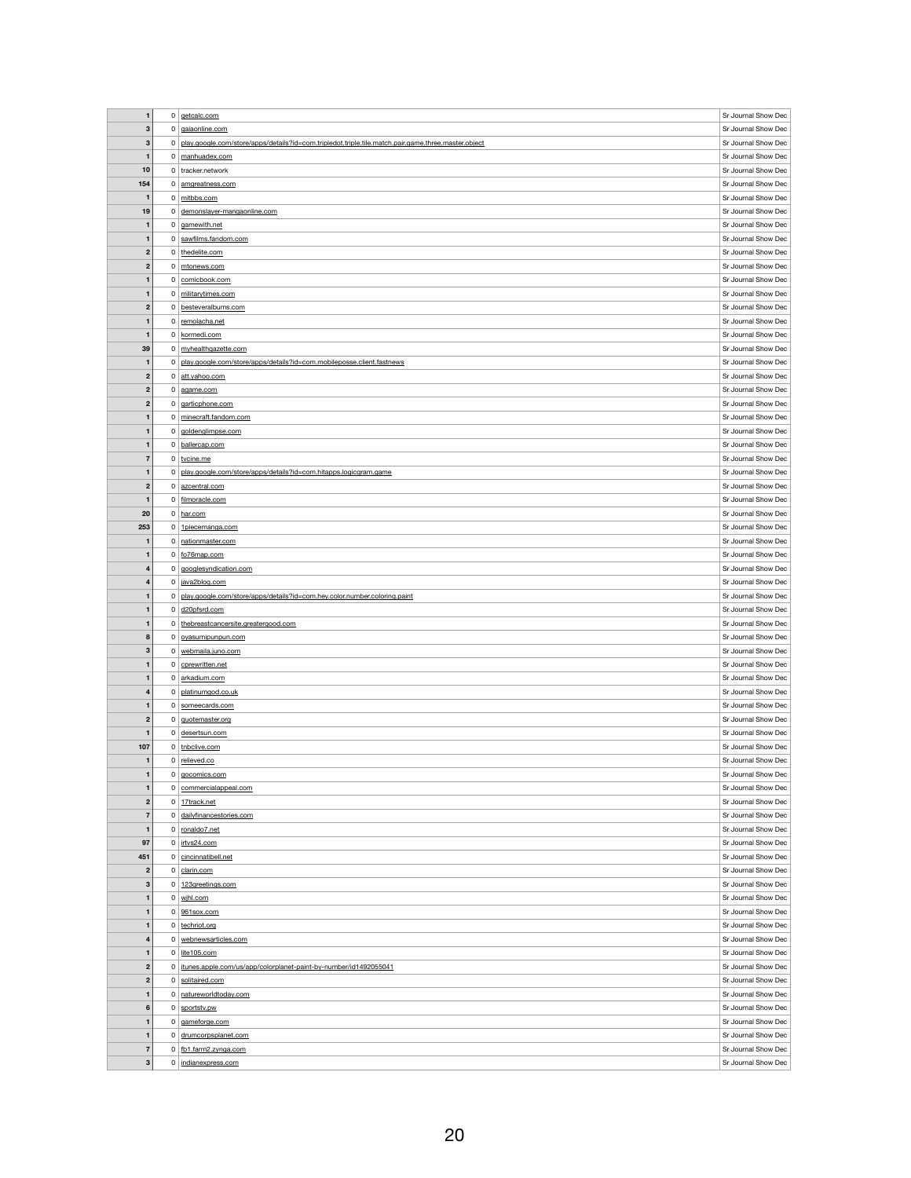| $\mathbf 1$             |                |                                                                                                     |                     |
|-------------------------|----------------|-----------------------------------------------------------------------------------------------------|---------------------|
|                         | 0              | getcalc.com                                                                                         | Sr Journal Show Dec |
| 3                       |                | 0 gaiaonline.com                                                                                    | Sr Journal Show Dec |
| $\mathbf{3}$            | $\mathbf 0$    | play.google.com/store/apps/details?id=com.tripledot.triple.tile.match.pair.game.three.master.object | Sr Journal Show Dec |
| $\mathbf{1}$            | 0 <sup>1</sup> | manhuadex.com                                                                                       | Sr Journal Show Dec |
| 10                      |                | $0$ tracker.network                                                                                 | Sr Journal Show Dec |
| 154                     | $\overline{0}$ | amgreatness.com                                                                                     | Sr Journal Show Dec |
|                         |                |                                                                                                     |                     |
| $\mathbf{1}$            |                | $0 \mid$ mitbbs.com                                                                                 | Sr Journal Show Dec |
| 19                      | 0 <sup>1</sup> | demonslayer-mangaonline.com                                                                         | Sr Journal Show Dec |
| $\mathbf{1}$            |                | $0 \mid$ gamewith.net                                                                               | Sr Journal Show Dec |
| $\mathbf{1}$            |                | 0 sawfilms.fandom.com                                                                               | Sr Journal Show Dec |
| $\boldsymbol{2}$        |                | 0 thedelite.com                                                                                     | Sr Journal Show Dec |
|                         |                |                                                                                                     |                     |
| $\mathbf{2}$            | $\overline{0}$ | mtonews.com                                                                                         | Sr Journal Show Dec |
| $\mathbf{1}$            |                | 0 comicbook.com                                                                                     | Sr Journal Show Dec |
| $\mathbf 1$             | 0 <sup>1</sup> | militarytimes.com                                                                                   | Sr Journal Show Dec |
| $\mathbf{2}$            |                | 0 besteveralbums.com                                                                                | Sr Journal Show Dec |
| $\mathbf{1}$            | 0 <sup>1</sup> | remolacha.net                                                                                       | Sr Journal Show Dec |
| $\mathbf 1$             | $\mathbf{0}$   | kormedi.com                                                                                         | Sr Journal Show Dec |
|                         |                |                                                                                                     |                     |
| 39                      | $\overline{0}$ | myhealthgazette.com                                                                                 | Sr Journal Show Dec |
| $\mathbf{1}$            | 0              | play.google.com/store/apps/details?id=com.mobileposse.client.fastnews                               | Sr Journal Show Dec |
| $\boldsymbol{2}$        | $\overline{0}$ | att.yahoo.com                                                                                       | Sr Journal Show Dec |
| $\mathbf{2}$            | 0              | agame.com                                                                                           | Sr Journal Show Dec |
| $\mathbf{2}$            | 0 <sup>1</sup> | garticphone.com                                                                                     | Sr Journal Show Dec |
| $\mathbf 1$             | 0              | minecraft.fandom.com                                                                                | Sr Journal Show Dec |
|                         |                |                                                                                                     |                     |
| $\mathbf{1}$            | 0 <sup>1</sup> | goldenglimpse.com                                                                                   | Sr Journal Show Dec |
| $\mathbf{1}$            | 0 <sup>1</sup> | ballercap.com                                                                                       | Sr Journal Show Dec |
| $\overline{7}$          |                | 0 tvcine.me                                                                                         | Sr Journal Show Dec |
| $\mathbf{1}$            | $\mathbf{0}$   | play.google.com/store/apps/details?id=com.hitapps.logicgram.game                                    | Sr Journal Show Dec |
| $\mathbf{2}$            | 0 <sup>1</sup> | azcentral.com                                                                                       | Sr Journal Show Dec |
| $\mathbf 1$             |                | 0 filmoracle.com                                                                                    | Sr Journal Show Dec |
|                         |                |                                                                                                     |                     |
| 20                      | $\mathbf{0}$   | har.com                                                                                             | Sr Journal Show Dec |
| 253                     | 0              | 1piecemanga.com                                                                                     | Sr Journal Show Dec |
| $\mathbf 1$             |                | 0 nationmaster.com                                                                                  | Sr Journal Show Dec |
| $\mathbf{1}$            | $\mathbf{0}$   | fo76map.com                                                                                         | Sr Journal Show Dec |
| 4                       | $\mathbf{0}$   | googlesyndication.com                                                                               | Sr Journal Show Dec |
| $\overline{\mathbf{4}}$ |                | 0 java2blog.com                                                                                     | Sr Journal Show Dec |
|                         |                |                                                                                                     |                     |
| $\mathbf{1}$            | $\mathbf{0}$   | play.google.com/store/apps/details?id=com.hey.color.number.coloring.paint                           | Sr Journal Show Dec |
| $\mathbf 1$             | $\overline{0}$ | d20pfsrd.com                                                                                        | Sr Journal Show Dec |
| $\mathbf{1}$            | $\overline{0}$ | thebreastcancersite.greatergood.com                                                                 | Sr Journal Show Dec |
| 8                       | 0 <sup>1</sup> | oyasumipunpun.com                                                                                   | Sr Journal Show Dec |
| $\mathbf{3}$            | $\mathbf{0}$   | webmaila.juno.com                                                                                   | Sr Journal Show Dec |
|                         |                | 0 cprewritten.net                                                                                   |                     |
|                         |                |                                                                                                     |                     |
| $\mathbf{1}$            |                |                                                                                                     | Sr Journal Show Dec |
| $\mathbf{1}$            | 0 <sup>1</sup> | arkadium.com                                                                                        | Sr Journal Show Dec |
| 4                       | $\mathbf{0}$   | platinumgod.co.uk                                                                                   | Sr Journal Show Dec |
| $\mathbf{1}$            | $\mathbf{0}$   | someecards.com                                                                                      | Sr Journal Show Dec |
| $\mathbf{2}$            |                | $0$ $\sqrt{$ guotemaster.org                                                                        | Sr Journal Show Dec |
| $\mathbf 1$             |                |                                                                                                     | Sr Journal Show Dec |
|                         |                | $0  $ desertsun.com                                                                                 |                     |
| 107                     |                | 0 tnbclive.com                                                                                      | Sr Journal Show Dec |
| $\mathbf 1$             |                | 0 relieved.co                                                                                       | Sr Journal Show Dec |
| $\mathbf{1}$            | $\overline{0}$ | gocomics.com                                                                                        | Sr Journal Show Dec |
| $\mathbf{1}$            |                | 0 commercialappeal.com                                                                              | Sr Journal Show Dec |
| $\mathbf{2}$            |                | 0 17track.net                                                                                       | Sr Journal Show Dec |
| $\overline{7}$          |                | 0 dailyfinancestories.com                                                                           | Sr Journal Show Dec |
|                         |                |                                                                                                     |                     |
| $\mathbf{1}$            |                | 0 ronaldo7.net                                                                                      | Sr Journal Show Dec |
| 97                      |                | $0$ irtvs24.com                                                                                     | Sr Journal Show Dec |
| 451                     |                | 0 cincinnatibell.net                                                                                | Sr Journal Show Dec |
| $\boldsymbol{2}$        |                | $0$ clarin.com                                                                                      | Sr Journal Show Dec |
| 3                       |                | 0 123greetings.com                                                                                  | Sr Journal Show Dec |
| $\mathbf{1}$            |                | $0 \mid$ wihl.com                                                                                   | Sr Journal Show Dec |
| $\mathbf{1}$            |                |                                                                                                     |                     |
|                         |                | $0$ 961sox.com                                                                                      | Sr Journal Show Dec |
| $\mathbf{1}$            |                | 0 techriot.org                                                                                      | Sr Journal Show Dec |
| $\overline{\mathbf{4}}$ |                | $0$ webnewsarticles.com                                                                             | Sr Journal Show Dec |
| $\mathbf{1}$            |                | $0$ lite105.com                                                                                     | Sr Journal Show Dec |
| $\boldsymbol{2}$        | $\mathbf{0}$   | itunes.apple.com/us/app/colorplanet-paint-by-number/id1492055041                                    | Sr Journal Show Dec |
| $\boldsymbol{2}$        |                | 0 solitaired.com                                                                                    | Sr Journal Show Dec |
| $\mathbf{1}$            | 0 <sup>1</sup> |                                                                                                     |                     |
|                         |                | natureworldtoday.com                                                                                | Sr Journal Show Dec |
| 6                       | 0 <sup>1</sup> | sportstv.pw                                                                                         | Sr Journal Show Dec |
| $\mathbf{1}$            | 0              | gameforge.com                                                                                       | Sr Journal Show Dec |
| $\mathbf{1}$            |                | 0 drumcorpsplanet.com                                                                               | Sr Journal Show Dec |
| $\overline{7}$          |                | 0 fb1.farm2.zynga.com                                                                               | Sr Journal Show Dec |